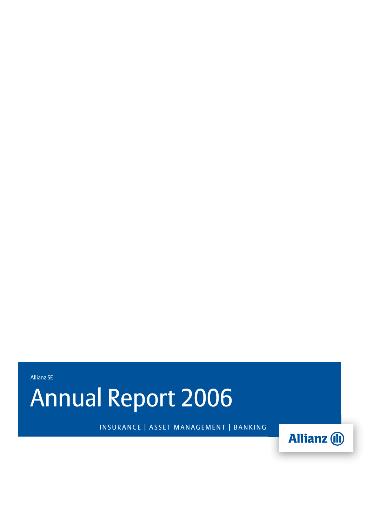INSURANCE | ASSET MANAGEMENT | BANKING

**Allianz (II)** 

Annual Report 2006

Allianz SE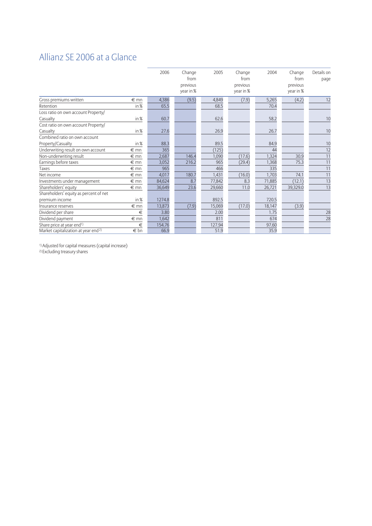# Allianz SE 2006 at a Glance

|                                                 |               | 2006   | Change<br>from<br>previous<br>year in % | 2005   | Change<br>from<br>previous<br>year in % | 2004   | Change<br>from<br>previous<br>year in % | Details on<br>page |
|-------------------------------------------------|---------------|--------|-----------------------------------------|--------|-----------------------------------------|--------|-----------------------------------------|--------------------|
| Gross premiums written                          | $∈$ mn        | 4,386  | (9.5)                                   | 4,849  | (7.9)                                   | 5,265  | (4.2)                                   | 12                 |
| Retention                                       | in %          | 65.5   |                                         | 68.5   |                                         | 70.4   |                                         |                    |
| Loss ratio on own account Property/             |               |        |                                         |        |                                         |        |                                         |                    |
| Casualty                                        | in %          | 60.7   |                                         | 62.6   |                                         | 58.2   |                                         | 10                 |
| Cost ratio on own account Property/             |               |        |                                         |        |                                         |        |                                         |                    |
| Casualty                                        | in %          | 27.6   |                                         | 26.9   |                                         | 26.7   |                                         | 10                 |
| Combined ratio on own account                   |               |        |                                         |        |                                         |        |                                         |                    |
| Property/Casualty                               | in %          | 88.3   |                                         | 89.5   |                                         | 84.9   |                                         | 10                 |
| Underwriting result on own account              | $\notin$ mn   | 365    |                                         | (125)  |                                         | 44     |                                         | 12                 |
| Non-underwriting result                         | $\notin$ mn   | 2,687  | 146.4                                   | 1,090  | (17.6)                                  | 1,324  | 30.9                                    | 11                 |
| Earnings before taxes                           | $\notin$ mn   | 3,052  | 216.2                                   | 965    | (29.4)                                  | 1,368  | 75.3                                    | 11                 |
| Taxes                                           | $\notin$ mn   | 965    |                                         | 466    |                                         | 335    |                                         | 11                 |
| Net income                                      | $\epsilon$ mn | 4,017  | 180.7                                   | 1,431  | (16.0)                                  | 1,703  | 74.1                                    | 11                 |
| Investments under management                    | $\notin$ mn   | 84,624 | 8.7                                     | 77,842 | 8.3                                     | 71,885 | (12.1)                                  | 13                 |
| Shareholders' equity                            | $\notin$ mn   | 36,649 | 23.6                                    | 29,660 | 11.0                                    | 26,721 | 39,329.0                                | 13                 |
| Shareholders' equity as percent of net          |               |        |                                         |        |                                         |        |                                         |                    |
| premium income                                  | in %          | 1274.8 |                                         | 892.5  |                                         | 720.5  |                                         |                    |
| Insurance reserves                              | $∈$ mn        | 13,873 | (7.9)                                   | 15,069 | (17.0)                                  | 18,147 | (3.9)                                   |                    |
| Dividend per share                              | €             | 3.80   |                                         | 2.00   |                                         | 1.75   |                                         | 28                 |
| Dividend payment                                | $∈$ mn        | 1,642  |                                         | 811    |                                         | 674    |                                         | 28                 |
| Share price at year end <sup>1)</sup>           | €             | 154.76 |                                         | 127.94 |                                         | 97.60  |                                         |                    |
| Market capitalization at year end <sup>2)</sup> | € bn          | 66.9   |                                         | 51.9   |                                         | 35.9   |                                         |                    |

1)Adjusted for capital measures (capital increase)

2) Excluding treasury shares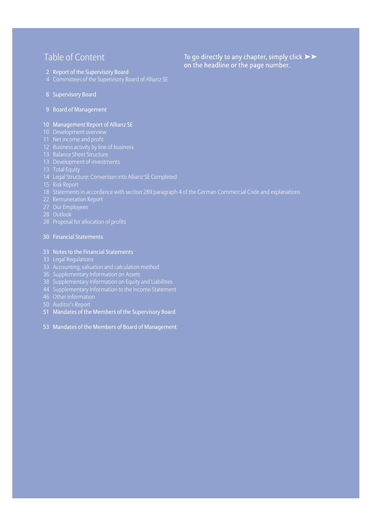# Table of Content

- [2 Report of the Supervisory Board](#page-3-0)
- 
- [8 Supervisory Board](#page-9-0)

#### [9 Board of Management](#page-10-0)

#### [10 Management Report of Allianz SE](#page-11-0)

- 10 Development overview
- [11 Net income and profit](#page-12-0)
- 
- 
- [13 Development of investments](#page-14-0)
- 
- 
- [15 Risk Report](#page-16-0)
- [18 Statements in accordance with section 289 paragraph 4 of the German Commercial Code and explanations](#page-19-0)
- 
- [27 Our Employees](#page-28-0)
- 28 Outlook
- 

#### [30 Financial Statements](#page-31-0)

#### 33 Notes to the Financial Statements

- 33 Legal Regulations
- 
- [36 Supplementary Information on Assets](#page-39-0)
- [38 Supplementary Information on Equity and Liabilities](#page-41-0)
- [44 Supplementary Information to the Income Statement](#page-47-0)
- 
- [50 Auditor's Report](#page-53-0)
- [51 Mandates of the Members of the Supervisory Board](#page-54-0)
- [53 Mandates of the Members of Board of Management](#page-56-0)

To go directly to any chapter, simply click  $\blacktriangleright\blacktriangleright$ on the headline or the page number.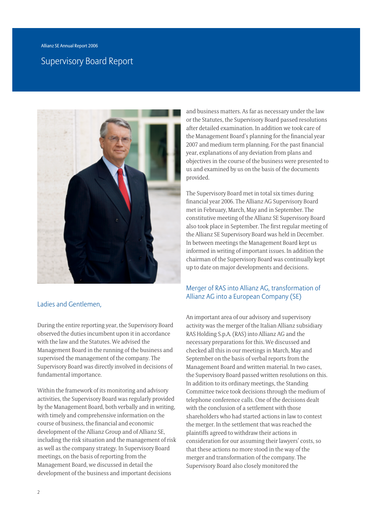# <span id="page-3-0"></span>Supervisory Board Report



## Ladies and Gentlemen,

During the entire reporting year, the Supervisory Board observed the duties incumbent upon it in accordance with the law and the Statutes. We advised the Management Board in the running of the business and supervised the management of the company. The Supervisory Board was directly involved in decisions of fundamental importance.

Within the framework of its monitoring and advisory activities, the Supervisory Board was regularly provided by the Management Board, both verbally and in writing, with timely and comprehensive information on the course of business, the financial and economic development of the Allianz Group and of Allianz SE, including the risk situation and the management of risk as well as the company strategy. In Supervisory Board meetings, on the basis of reporting from the Management Board, we discussed in detail the development of the business and important decisions

and business matters. As far as necessary under the law or the Statutes, the Supervisory Board passed resolutions after detailed examination. In addition we took care of the Management Board's planning for the financial year 2007 and medium term planning. For the past financial year, explanations of any deviation from plans and objectives in the course of the business were presented to us and examined by us on the basis of the documents provided.

The Supervisory Board met in total six times during financial year 2006. The Allianz AG Supervisory Board met in February, March, May and in September. The constitutive meeting of the Allianz SE Supervisory Board also took place in September. The first regular meeting of the Allianz SE Supervisory Board was held in December. In between meetings the Management Board kept us informed in writing of important issues. In addition the chairman of the Supervisory Board was continually kept up to date on major developments and decisions.

## Merger of RAS into Allianz AG, transformation of Allianz AG into a European Company (SE)

An important area of our advisory and supervisory activity was the merger of the Italian Allianz subsidiary RAS Holding S.p.A. (RAS) into Allianz AG and the necessary preparations for this. We discussed and checked all this in our meetings in March, May and September on the basis of verbal reports from the Management Board and written material. In two cases, the Supervisory Board passed written resolutions on this. In addition to its ordinary meetings, the Standing Committee twice took decisions through the medium of telephone conference calls. One of the decisions dealt with the conclusion of a settlement with those shareholders who had started actions in law to contest the merger. In the settlement that was reached the plaintiffs agreed to withdraw their actions in consideration for our assuming their lawyers' costs, so that these actions no more stood in the way of the merger and transformation of the company. The Supervisory Board also closely monitored the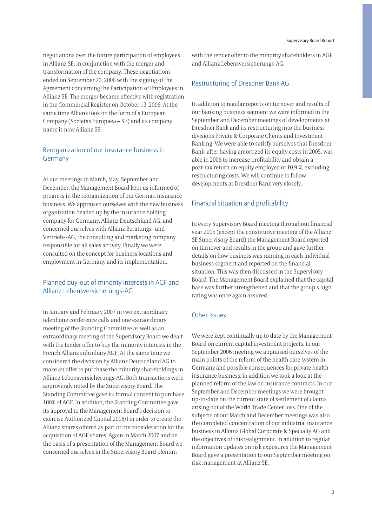negotiations over the future participation of employees in Allianz SE, in conjunction with the merger and transformation of the company. These negotiations ended on September 20, 2006 with the signing of the Agreement concerning the Participation of Employees in Allianz SE. The merger became effective with registration in the Commercial Register on October 13, 2006. At the same time Allianz took on the form of a European Company (Societas Europaea – SE) and its company name is now Allianz SE.

# Reorganization of our insurance business in Germany

At our meetings in March, May, September and December, the Management Board kept us informed of progress in the reorganization of our German insurance business. We appraised ourselves with the new business organization headed up by the insurance holding company for Germany, Allianz Deutschland AG, and concerned ourselves with Allianz Beratungs- und Vertriebs-AG, the consulting and marketing company responsible for all sales activity. Finally we were consulted on the concept for business locations and employment in Germany and its implementation.

# Planned buy-out of minority interests in AGF and Allianz Lebensversicherungs-AG

In January and February 2007 in two extraordinary telephone conference calls and one extraordinary meeting of the Standing Committee as well as an extraordinary meeting of the Supervisory Board we dealt with the tender offer to buy the minority interests in the French Allianz subsidiary AGF. At the same time we considered the decision by Allianz Deutschland AG to make an offer to purchase the minority shareholdings in Allianz Lebensversicherungs-AG. Both transactions were approvingly noted by the Supervisory Board. The Standing Committee gave its formal consent to purchase 100% of AGF. In addition, the Standing Committee gave its approval to the Management Board's decision to exercise Authorized Capital 2006/I in order to create the Allianz shares offered as part of the consideration for the acquisition of AGF shares. Again in March 2007 and on the basis of a presentation of the Management Board we concerned ourselves in the Supervisory Board plenum

with the tender offer to the minority shareholders in AGF and Allianz Lebensversicherungs-AG.

# Restructuring of Dresdner Bank AG

In addition to regular reports on turnover and results of our banking business segment we were informed in the September and December meetings of developments at Dresdner Bank and its restructuring into the business divisions Private & Corporate Clients and Investment Banking. We were able to satisfy ourselves that Dresdner Bank, after having amortized its equity costs in 2005, was able in 2006 to increase profitability and obtain a post-tax return on equity employed of 10.9 %, excluding restructuring costs. We will continue to follow developments at Dresdner Bank very closely.

# Financial situation and profitability

In every Supervisory Board meeting throughout financial year 2006 (except the constitutive meeting of the Allianz SE Supervisory Board) the Management Board reported on turnover and results in the group and gave further details on how business was running in each individual business segment and reported on the financial situation. This was then discussed in the Supervisory Board. The Management Board explained that the capital base was further strengthened and that the group's high rating was once again assured.

# Other issues

We were kept continually up to date by the Management Board on current capital investment projects. In our September 2006 meeting we appraised ourselves of the main points of the reform of the health care system in Germany and possible consequences for private health insurance business; in addition we took a look at the planned reform of the law on insurance contracts. In our September and December meetings we were brought up-to-date on the current state of settlement of claims arising out of the World Trade Center loss. One of the subjects of our March and December meetings was also the completed concentration of our industrial insurance business in Allianz Global Corporate & Specialty AG and the objectives of this realignment. In addition to regular information updates on risk exposures the Management Board gave a presentation to our September meeting on risk management at Allianz SE.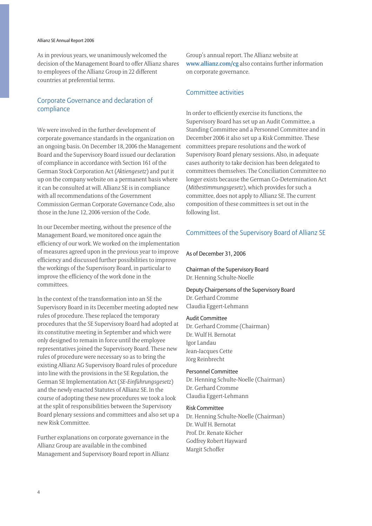#### <span id="page-5-0"></span>Allianz SE Annual Report 2006

As in previous years, we unanimously welcomed the decision of the Management Board to offer Allianz shares to employees of the Allianz Group in 22 different countries at preferential terms.

## Corporate Governance and declaration of compliance

We were involved in the further development of corporate governance standards in the organization on an ongoing basis. On December 18, 2006 the Management Board and the Supervisory Board issued our declaration of compliance in accordance with Section 161 of the German Stock Corporation Act (*Aktiengesetz*) and put it up on the company website on a permanent basis where it can be consulted at will. Allianz SE is in compliance with all recommendations of the Government Commission German Corporate Governance Code, also those in the June 12, 2006 version of the Code.

In our December meeting, without the presence of the Management Board, we monitored once again the efficiency of our work. We worked on the implementation of measures agreed upon in the previous year to improve efficiency and discussed further possibilities to improve the workings of the Supervisory Board, in particular to improve the efficiency of the work done in the committees.

In the context of the transformation into an SE the Supervisory Board in its December meeting adopted new rules of procedure. These replaced the temporary procedures that the SE Supervisory Board had adopted at its constitutive meeting in September and which were only designed to remain in force until the employee representatives joined the Supervisory Board. These new rules of procedure were necessary so as to bring the existing Allianz AG Supervisory Board rules of procedure into line with the provisions in the SE Regulation, the German SE Implementation Act (*SE-Einführungsgesetz*) and the newly enacted Statutes of Allianz SE. In the course of adopting these new procedures we took a look at the split of responsibilities between the Supervisory Board plenary sessions and committees and also set up a new Risk Committee.

Further explanations on corporate governance in the Allianz Group are available in the combined Management and Supervisory Board report in Allianz Group's annual report. The Allianz website at www.allianz.com/cg also contains further information on corporate governance.

## Committee activities

In order to efficiently exercise its functions, the Supervisory Board has set up an Audit Committee, a Standing Committee and a Personnel Committee and in December 2006 it also set up a Risk Committee. These committees prepare resolutions and the work of Supervisory Board plenary sessions. Also, in adequate cases authority to take decision has been delegated to committees themselves. The Conciliation Committee no longer exists because the German Co-Determination Act (*Mitbestimmungsgesetz*), which provides for such a committee, does not apply to Allianz SE. The current composition of these committees is set out in the following list.

## Committees of the Supervisory Board of Allianz SE

#### As of December 31, 2006

Chairman of the Supervisory Board Dr. Henning Schulte-Noelle

Deputy Chairpersons of the Supervisory Board Dr. Gerhard Cromme Claudia Eggert-Lehmann

#### Audit Committee

Dr. Gerhard Cromme (Chairman) Dr. Wulf H. Bernotat Igor Landau Jean-Jacques Cette Jörg Reinbrecht

### Personnel Committee

Dr. Henning Schulte-Noelle (Chairman) Dr. Gerhard Cromme Claudia Eggert-Lehmann

### Risk Committee

Dr. Henning Schulte-Noelle (Chairman) Dr. Wulf H. Bernotat Prof. Dr. Renate Köcher Godfrey Robert Hayward Margit Schoffer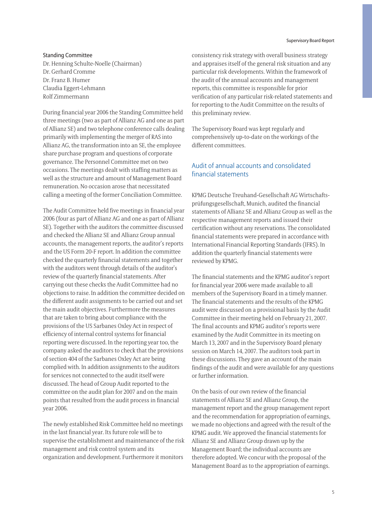#### Standing Committee

Dr. Henning Schulte-Noelle (Chairman) Dr. Gerhard Cromme Dr. Franz B. Humer Claudia Eggert-Lehmann Rolf Zimmermann

During financial year 2006 the Standing Committee held three meetings (two as part of Allianz AG and one as part of Allianz SE) and two telephone conference calls dealing primarily with implementing the merger of RAS into Allianz AG, the transformation into an SE, the employee share purchase program and questions of corporate governance. The Personnel Committee met on two occasions. The meetings dealt with staffing matters as well as the structure and amount of Management Board remuneration. No occasion arose that necessitated calling a meeting of the former Conciliation Committee.

The Audit Committee held five meetings in financial year 2006 (four as part of Allianz AG and one as part of Allianz SE). Together with the auditors the committee discussed and checked the Allianz SE and Allianz Group annual accounts, the management reports, the auditor's reports and the US Form 20-F report. In addition the committee checked the quarterly financial statements and together with the auditors went through details of the auditor's review of the quarterly financial statements. After carrying out these checks the Audit Committee had no objections to raise. In addition the committee decided on the different audit assignments to be carried out and set the main audit objectives. Furthermore the measures that are taken to bring about compliance with the provisions of the US Sarbanes Oxley Act in respect of efficiency of internal control systems for financial reporting were discussed. In the reporting year too, the company asked the auditors to check that the provisions of section 404 of the Sarbanes Oxley Act are being complied with. In addition assignments to the auditors for services not connected to the audit itself were discussed. The head of Group Audit reported to the committee on the audit plan for 2007 and on the main points that resulted from the audit process in financial year 2006.

The newly established Risk Committee held no meetings in the last financial year. Its future role will be to supervise the establishment and maintenance of the risk management and risk control system and its organization and development. Furthermore it monitors

consistency risk strategy with overall business strategy and appraises itself of the general risk situation and any particular risk developments. Within the framework of the audit of the annual accounts and management reports, this committee is responsible for prior verification of any particular risk-related statements and for reporting to the Audit Committee on the results of this preliminary review.

The Supervisory Board was kept regularly and comprehensively up-to-date on the workings of the different committees.

## Audit of annual accounts and consolidated financial statements

KPMG Deutsche Treuhand-Gesellschaft AG Wirtschaftsprüfungsgesellschaft, Munich, audited the financial statements of Allianz SE and Allianz Group as well as the respective management reports and issued their certification without any reservations. The consolidated financial statements were prepared in accordance with International Financial Reporting Standards (IFRS). In addition the quarterly financial statements were reviewed by KPMG.

The financial statements and the KPMG auditor's report for financial year 2006 were made available to all members of the Supervisory Board in a timely manner. The financial statements and the results of the KPMG audit were discussed on a provisional basis by the Audit Committee in their meeting held on February 21, 2007. The final accounts and KPMG auditor's reports were examined by the Audit Committee in its meeting on March 13, 2007 and in the Supervisory Board plenary session on March 14, 2007. The auditors took part in these discussions. They gave an account of the main findings of the audit and were available for any questions or further information.

On the basis of our own review of the financial statements of Allianz SE and Allianz Group, the management report and the group management report and the recommendation for appropriation of earnings, we made no objections and agreed with the result of the KPMG audit. We approved the financial statements for Allianz SE and Allianz Group drawn up by the Management Board; the individual accounts are therefore adopted. We concur with the proposal of the Management Board as to the appropriation of earnings.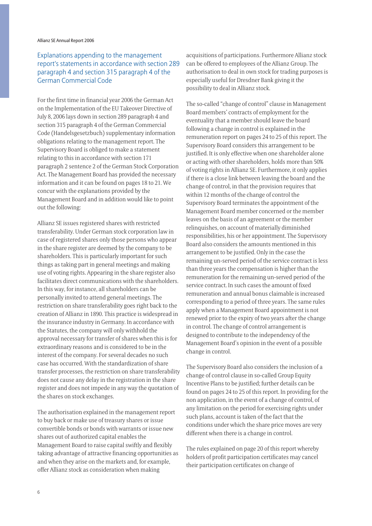## Explanations appending to the management report's statements in accordance with section 289 paragraph 4 and section 315 paragraph 4 of the German Commercial Code

For the first time in financial year 2006 the German Act on the Implementation of the EU Takeover Directive of July 8, 2006 lays down in section 289 paragraph 4 and section 315 paragraph 4 of the German Commercial Code (Handelsgesetzbuch) supplementary information obligations relating to the management report. The Supervisory Board is obliged to make a statement relating to this in accordance with section 171 paragraph 2 sentence 2 of the German Stock Corporation Act. The Management Board has provided the necessary information and it can be found on pages 18 to 21. We concur with the explanations provided by the Management Board and in addition would like to point out the following:

Allianz SE issues registered shares with restricted transferability. Under German stock corporation law in case of registered shares only those persons who appear in the share register are deemed by the company to be shareholders. This is particularly important for such things as taking part in general meetings and making use of voting rights. Appearing in the share register also facilitates direct communications with the shareholders. In this way, for instance, all shareholders can be personally invited to attend general meetings. The restriction on share transferability goes right back to the creation of Allianz in 1890. This practice is widespread in the insurance industry in Germany. In accordance with the Statutes, the company will only withhold the approval necessary for transfer of shares when this is for extraordinary reasons and is considered to be in the interest of the company. For several decades no such case has occurred. With the standardization of share transfer processes, the restriction on share transferability does not cause any delay in the registration in the share register and does not impede in any way the quotation of the shares on stock exchanges.

The authorisation explained in the management report to buy back or make use of treasury shares or issue convertible bonds or bonds with warrants or issue new shares out of authorized capital enables the Management Board to raise capital swiftly and flexibly taking advantage of attractive financing opportunities as and when they arise on the markets and, for example, offer Allianz stock as consideration when making

acquisitions of participations. Furthermore Allianz stock can be offered to employees of the Allianz Group. The authorisation to deal in own stock for trading purposes is especially useful for Dresdner Bank giving it the possibility to deal in Allianz stock.

The so-called "change of control" clause in Management Board members' contracts of employment for the eventuality that a member should leave the board following a change in control is explained in the remuneration report on pages 24 to 25 of this report. The Supervisory Board considers this arrangement to be justified. It is only effective when one shareholder alone or acting with other shareholders, holds more than 50% of voting rights in Allianz SE. Furthermore, it only applies if there is a close link between leaving the board and the change of control, in that the provision requires that within 12 months of the change of control the Supervisory Board terminates the appointment of the Management Board member concerned or the member leaves on the basis of an agreement or the member relinquishes, on account of materially diminished responsibilities, his or her appointment. The Supervisory Board also considers the amounts mentioned in this arrangement to be justified. Only in the case the remaining un-served period of the service contract is less than three years the compensation is higher than the remuneration for the remaining un-served period of the service contract. In such cases the amount of fixed remuneration and annual bonus claimable is increased corresponding to a period of three years. The same rules apply when a Management Board appointment is not renewed prior to the expiry of two years after the change in control. The change of control arrangement is designed to contribute to the independency of the Management Board's opinion in the event of a possible change in control.

The Supervisory Board also considers the inclusion of a change of control clause in so-called Group Equity Incentive Plans to be justified; further details can be found on pages 24 to 25 of this report. In providing for the non application, in the event of a change of control, of any limitation on the period for exercising rights under such plans, account is taken of the fact that the conditions under which the share price moves are very different when there is a change in control.

The rules explained on page 20 of this report whereby holders of profit participation certificates may cancel their participation certificates on change of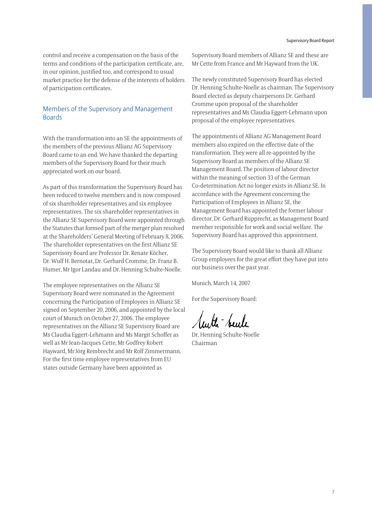control and receive a compensation on the basis of the terms and conditions of the participation certificate, are, in our opinion, justified too, and correspond to usual market practice for the defense of the interests of holders of participation certificates.

## Members of the Supervisory and Management Boards

With the transformation into an SE the appointments of the members of the previous Allianz AG Supervisory Board came to an end. We have thanked the departing members of the Supervisory Board for their much appreciated work on our board.

As part of this transformation the Supervisory Board has been reduced to twelve members and is now composed of six shareholder representatives and six employee representatives. The six shareholder representatives in the Allianz SE Supervisory Board were appointed through the Statutes that formed part of the merger plan resolved at the Shareholders' General Meeting of February 8, 2006. The shareholder representatives on the first Allianz SE Supervisory Board are Professor Dr. Renate Köcher, Dr. Wulf H. Bernotat, Dr. Gerhard Cromme, Dr. Franz B. Humer, Mr Igor Landau and Dr. Henning Schulte-Noelle.

The employee representatives on the Allianz SE Supervisory Board were nominated in the Agreement concerning the Participation of Employees in Allianz SE signed on September 20, 2006, and appointed by the local court of Munich on October 27, 2006. The employee representatives on the Allianz SE Supervisory Board are Ms Claudia Eggert-Lehmann and Ms Margit Schoffer as well as Mr Jean-Jacques Cette, Mr Godfrey Robert Hayward, Mr Jörg Reinbrecht and Mr Rolf Zimmermann. For the first time employee representatives from EU states outside Germany have been appointed as

Supervisory Board members of Allianz SE and these are Mr Cette from France and Mr Hayward from the UK.

The newly constituted Supervisory Board has elected Dr. Henning Schulte-Noelle as chairman. The Supervisory Board elected as deputy chairpersons Dr. Gerhard Cromme upon proposal of the shareholder representatives and Ms Claudia Eggert-Lehmann upon proposal of the employee representatives.

The appointments of Allianz AG Management Board members also expired on the effective date of the transformation. They were all re-appointed by the Supervisory Board as members of the Allianz SE Management Board. The position of labour director within the meaning of section 33 of the German Co-determination Act no longer exists in Allianz SE. In accordance with the Agreement concerning the Participation of Employees in Allianz SE, the Management Board has appointed the former labour director, Dr. Gerhard Rupprecht, as Management Board member responsible for work and social welfare. The Supervisory Board has approved this appointment.

The Supervisory Board would like to thank all Allianz Group employees for the great effort they have put into our business over the past year.

Munich, March 14, 2007

For the Supervisory Board:

with beach

Dr. Henning Schulte-Noelle Chairman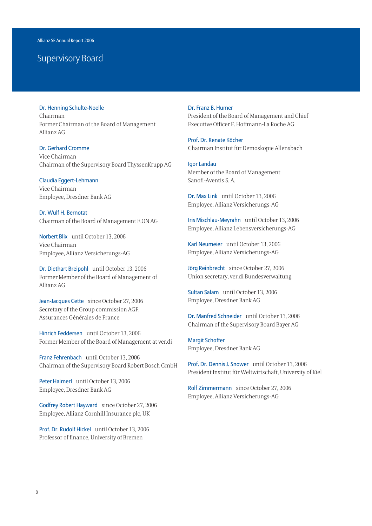# <span id="page-9-0"></span>Supervisory Board

#### Dr. Henning Schulte-Noelle

Chairman Former Chairman of the Board of Management Allianz AG

Dr. Gerhard Cromme Vice Chairman Chairman of the Supervisory Board ThyssenKrupp AG

Claudia Eggert-Lehmann Vice Chairman Employee, Dresdner Bank AG

Dr. Wulf H. Bernotat Chairman of the Board of Management E.ON AG

Norbert Blix until October 13, 2006 Vice Chairman Employee, Allianz Versicherungs-AG

Dr. Diethart Breipohl until October 13, 2006 Former Member of the Board of Management of Allianz AG

Jean-Jacques Cette since October 27, 2006 Secretary of the Group commission AGF, Assurances Générales de France

Hinrich Feddersen until October 13, 2006 Former Member of the Board of Management at ver.di

Franz Fehrenbach until October 13, 2006 Chairman of the Supervisory Board Robert Bosch GmbH

Peter Haimerl until October 13, 2006 Employee, Dresdner Bank AG

Godfrey Robert Hayward since October 27, 2006 Employee, Allianz Cornhill Insurance plc, UK

Prof. Dr. Rudolf Hickel until October 13, 2006 Professor of finance, University of Bremen

## Dr. Franz B. Humer President of the Board of Management and Chief Executive Officer F. Hoffmann-La Roche AG

Prof. Dr. Renate Köcher Chairman Institut für Demoskopie Allensbach

Igor Landau Member of the Board of Management Sanofi-Aventis S. A.

Dr. Max Link until October 13, 2006 Employee, Allianz Versicherungs-AG

Iris Mischlau-Meyrahn until October 13, 2006 Employee, Allianz Lebensversicherungs-AG

Karl Neumeier until October 13, 2006 Employee, Allianz Versicherungs-AG

Jörg Reinbrecht since October 27, 2006 Union secretary, ver.di Bundesverwaltung

Sultan Salam until October 13, 2006 Employee, Dresdner Bank AG

Dr. Manfred Schneider until October 13, 2006 Chairman of the Supervisory Board Bayer AG

Margit Schoffer Employee, Dresdner Bank AG

Prof. Dr. Dennis J. Snower until October 13, 2006 President Institut für Weltwirtschaft, University of Kiel

Rolf Zimmermann since October 27, 2006 Employee, Allianz Versicherungs-AG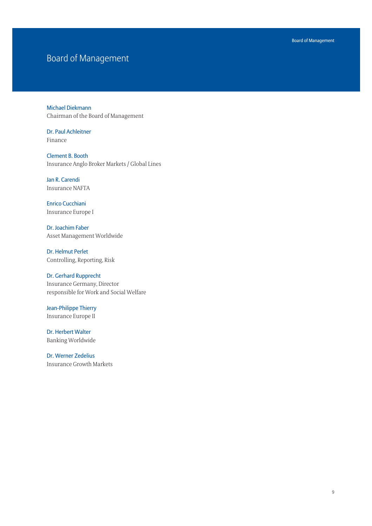# <span id="page-10-0"></span>Board of Management

Michael Diekmann Chairman of the Board of Management

Dr. Paul Achleitner Finance

Clement B. Booth Insurance Anglo Broker Markets / Global Lines

Jan R. Carendi Insurance NAFTA

Enrico Cucchiani Insurance Europe I

Dr. Joachim Faber Asset Management Worldwide

Dr. Helmut Perlet Controlling, Reporting, Risk

Dr. Gerhard Rupprecht Insurance Germany, Director responsible for Work and Social Welfare

Jean-Philippe Thierry Insurance Europe II

Dr. Herbert Walter Banking Worldwide

Dr. Werner Zedelius Insurance Growth Markets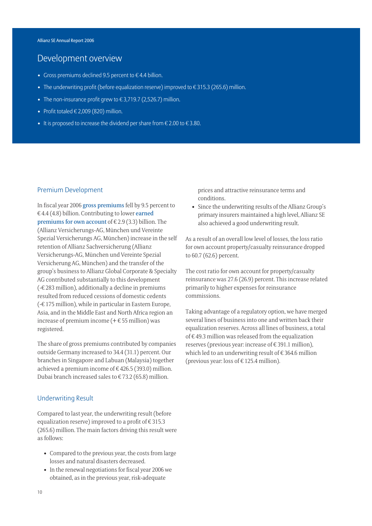# <span id="page-11-0"></span>Development overview

- Gross premiums declined 9.5 percent to  $\epsilon$  4.4 billion.
- The underwriting profit (before equalization reserve) improved to  $\epsilon$  315.3 (265.6) million.
- The non-insurance profit grew to  $\epsilon$  3,719.7 (2,526.7) million.
- Profit totaled  $\in$  2,009 (820) million.
- It is proposed to increase the dividend per share from  $\epsilon$  2.00 to  $\epsilon$  3.80.

### Premium Development

In fiscal year 2006 gross premiums fell by 9.5 percent to  $\in$  4.4 (4.8) billion. Contributing to lower earned premiums for own account of  $\in$  2.9 (3.3) billion. The (Allianz Versicherungs-AG, München und Vereinte Spezial Versicherungs AG, München) increase in the self retention of Allianz Sachversicherung (Allianz Versicherungs-AG, München und Vereinte Spezial Versicherung AG, München) and the transfer of the group's business to Allianz Global Corporate & Specialty AG contributed substantially to this development (-€ 283 million), additionally a decline in premiums resulted from reduced cessions of domestic cedents (-€ 175 million), while in particular in Eastern Europe, Asia, and in the Middle East and North Africa region an increase of premium income ( $+ \epsilon$  55 million) was registered.

The share of gross premiums contributed by companies outside Germany increased to 34.4 (31.1) percent. Our branches in Singapore and Labuan (Malaysia) together achieved a premium income of  $\epsilon$  426.5 (393.0) million. Dubai branch increased sales to  $\in$  73.2 (65.8) million.

## Underwriting Result

Compared to last year, the underwriting result (before equalization reserve) improved to a profit of  $\epsilon$  315.3 (265.6) million. The main factors driving this result were as follows:

- Compared to the previous year, the costs from large losses and natural disasters decreased.
- In the renewal negotiations for fiscal year 2006 we obtained, as in the previous year, risk-adequate

prices and attractive reinsurance terms and conditions.

• Since the underwriting results of the Allianz Group's primary insurers maintained a high level, Allianz SE also achieved a good underwriting result.

As a result of an overall low level of losses, the loss ratio for own account property/casualty reinsurance dropped to 60.7 (62.6) percent.

The cost ratio for own account for property/casualty reinsurance was 27.6 (26.9) percent. This increase related primarily to higher expenses for reinsurance commissions.

Taking advantage of a regulatory option, we have merged several lines of business into one and written back their equalization reserves. Across all lines of business, a total of € 49.3 million was released from the equalization reserves (previous year: increase of € 391.1 million), which led to an underwriting result of € 364.6 million (previous year: loss of  $\epsilon$  125.4 million).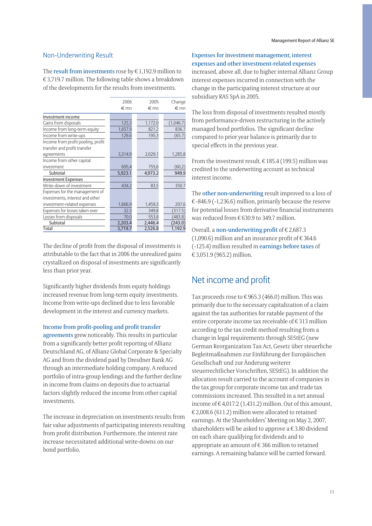<span id="page-12-0"></span>The result from investments rose by  $\epsilon$  1.192.9 million to € 3,719.7 million. The following table shows a breakdown of the developments for the results from investments.

|                                    | 2006        | 2005     | Change    |
|------------------------------------|-------------|----------|-----------|
|                                    | $\notin$ mn | $\in$ mn | € mn      |
| Investment income                  |             |          |           |
| Gains from disposals               | 125.3       | 1,172.0  | (1,046.7) |
| Income from long-term equity       | 1,657.9     | 821.2    | 836.7     |
| Income from write-ups              | 129.6       | 195.3    | (65.7)    |
| Income from profit pooling, profit |             |          |           |
| transfer and profit transfer       |             |          |           |
| agreements                         | 3,314.9     | 2,029.1  | 1,285.8   |
| Income from other capital          |             |          |           |
| investment                         | 695,4       | 755,6    | (60,2)    |
| Subtotal                           | 5,923.1     | 4,973.2  | 949.9     |
| <b>Investment Expenses</b>         |             |          |           |
| Write-down of investment           | 434.2       | 83.5     | 350.7     |
| Expenses for the management of     |             |          |           |
| investments, interest and other    |             |          |           |
| investment-related expenses        | 1,666.9     | 1,459.3  | 207.6     |
| Expenses for losses taken over     | 32.3        | 349.8    | (317.5)   |
| Losses from disposals              | 70.0        | 553.8    | (483.8)   |
| Subtotal                           | 2,203.4     | 2,446.4  | (243.0)   |
| Total                              | 3,719.7     | 2,526.8  | 1,192.9   |

The decline of profit from the disposal of investments is attributable to the fact that in 2006 the unrealized gains crystallized on disposal of investments are significantly less than prior year.

Significantly higher dividends from equity holdings increased revenue from long-term equity investments. Income from write-ups declined due to less favorable development in the interest and currency markets.

#### Income from profit-pooling and profit transfer

agreements grew noticeably. This results in particular from a significantly better profit reporting of Allianz Deutschland AG, of Allianz Global Corporate & Specialty AG and from the dividend paid by Dresdner Bank AG through an intermediate holding company. A reduced portfolio of intra-group lendings and the further decline in income from claims on deposits due to actuarial factors slightly reduced the income from other capital investments.

The increase in depreciation on investments results from fair value adjustments of participating interests resulting from profit distribution. Furthermore, the interest rate increase necessitated additional write-downs on our bond portfolio.

# Expenses for investment management, interest expenses and other investment-related expenses

increased, above all, due to higher internal Allianz Group interest expenses incurred in connection with the change in the participating interest structure at our subsidiary RAS SpA in 2005.

The loss from disposal of investments resulted mostly from performance-driven restructuring in the actively managed bond portfolios. The significant decline compared to prior year balance is primarily due to special effects in the previous year.

From the investment result,  $\epsilon$  185.4 (199.5) million was credited to the underwriting account as technical interest income.

The other non-underwriting result improved to a loss of € -846.9 (-1,236.6) million, primarily because the reserve for potential losses from derivative financial instruments was reduced from € 630.9 to 349.7 million.

Overall, a non-underwriting profit of  $\epsilon$  2,687.3 (1,090.6) million and an insurance profit of  $\epsilon$  364.6 (-125.4) million resulted in earnings before taxes of € 3,051.9 (965.2) million.

# Net income and profit

Tax proceeds rose to  $\epsilon$  965.3 (466.0) million. This was primarily due to the necessary capitalization of a claim against the tax authorities for ratable payment of the entire corporate income tax receivable of € 313 million according to the tax credit method resulting from a change in legal requirements through SEStEG (new German Reorganization Tax Act, Gesetz über steuerliche Begleitmaßnahmen zur Einführung der Europäischen Gesellschaft und zur Änderung weiterer steuerrechtlicher Vorschriften, SEStEG). In addition the allocation result carried to the account of companies in the tax group for corporate income tax and trade tax commissions increased. This resulted in a net annual income of €4,017.2 (1,431.2) million. Out of this amount, € 2,008.6 (611.2) million were allocated to retained earnings. At the Shareholders' Meeting on May 2, 2007, shareholders will be asked to approve a  $\epsilon$  3.80 dividend on each share qualifying for dividends and to appropriate an amount of € 366 million to retained earnings. A remaining balance will be carried forward.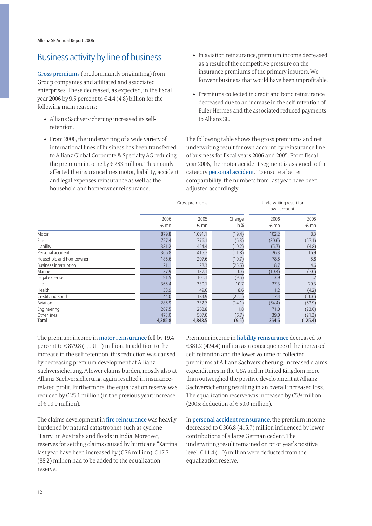# <span id="page-13-0"></span>Business activity by line of business

Gross premiums (predominantly originating) from Group companies and affiliated and associated enterprises. These decreased, as expected, in the fiscal year 2006 by 9.5 percent to  $\in$  4.4 (4.8) billion for the following main reasons:

- Allianz Sachversicherung increased its selfretention.
- From 2006, the underwriting of a wide variety of international lines of business has been transferred to Allianz Global Corporate & Specialty AG reducing the premium income by € 283 million. This mainly affected the insurance lines motor, liability, accident and legal expenses reinsurance as well as the household and homeowner reinsurance.
- In aviation reinsurance, premium income decreased as a result of the competitive pressure on the insurance premiums of the primary insurers. We forwent business that would have been unprofitable.
- Premiums collected in credit and bond reinsurance decreased due to an increase in the self-retention of Euler Hermes and the associated reduced payments to Allianz SE.

The following table shows the gross premiums and net underwriting result for own account by reinsurance line of business for fiscal years 2006 and 2005. From fiscal year 2006, the motor accident segment is assigned to the category personal accident. To ensure a better comparability, the numbers from last year have been adjusted accordingly.

|                              |             | Gross premiums |        |               | Underwriting result for<br>own account |  |
|------------------------------|-------------|----------------|--------|---------------|----------------------------------------|--|
|                              | 2006        | 2005           | Change | 2006          | 2005                                   |  |
|                              | $\notin$ mn | $\epsilon$ mn  | in $%$ | $\epsilon$ mn | $\notin$ mn                            |  |
| Motor                        | 879.8       | 1.091.1        | (19.4) | 102.2         | 8.3                                    |  |
| Fire                         | 727.4       | 776.1          | (6.3)  | (30.6)        | (57.1)                                 |  |
| Liability                    | 381.2       | 424.4          | (10.2) | (5.7)         | (4.8)                                  |  |
| Personal accident            | 366.8       | 415.7          | (11.8) | 26.3          | 16.9                                   |  |
| Household and homeowner      | 185.6       | 207.6          | (10.7) | 78.5          | 5.8                                    |  |
| <b>Business interruption</b> | 21.1        | 28.3           | (25.5) | 8.7           | 4.6                                    |  |
| Marine                       | 137.9       | 137.1          | 0.6    | (10.4)        | (7.0)                                  |  |
| Legal expenses               | 91.5        | 101.1          | (9.5)  | 3.9           | 1.2                                    |  |
| Life                         | 365.4       | 330.1          | 10.7   | 27.3          | 29.3                                   |  |
| Health                       | 58.9        | 49.6           | 18.6   | 1.2           | (4.2)                                  |  |
| Credit and Bond              | 144.0       | 184.9          | (22.1) | 17.4          | (20.6)                                 |  |
| Aviation                     | 285.9       | 332.7          | (14.1) | (64.4)        | (52.9)                                 |  |
| Engineering                  | 267.5       | 262.8          | 1.8    | 171.0         | (23.6)                                 |  |
| Other lines                  | 473.0       | 507.0          | (6.7)  | 39.0          | (21.3)                                 |  |
| Total                        | 4,385.8     | 4,848.5        | (9.5)  | 364.6         | (125.4)                                |  |

The premium income in motor reinsurance fell by 19.4 percent to  $\epsilon$  879.8 (1,091.1) million. In addition to the increase in the self retention, this reduction was caused by decreasing premium development at Allianz Sachversicherung. A lower claims burden, mostly also at Allianz Sachversicherung, again resulted in insurancerelated profit. Furthermore, the equalization reserve was reduced by  $\in$  25.1 million (in the previous year: increase of  $\epsilon$  19.9 million).

The claims development in fire reinsurance was heavily burdened by natural catastrophes such as cyclone "Larry" in Australia and floods in India. Moreover, reserves for settling claims caused by hurricane "Katrina" last year have been increased by ( $\epsilon$  76 million).  $\epsilon$  17.7 (88.2) million had to be added to the equalization reserve.

Premium income in liability reinsurance decreased to €381.2 (424.4) million as a consequence of the increased self-retention and the lower volume of collected premiums at Allianz Sachversicherung. Increased claims expenditures in the USA and in United Kingdom more than outweighed the positive development at Allianz Sachversicherung resulting in an overall increased loss. The equalization reserve was increased by €5.9 million (2005: deduction of  $\text{\large\ensuremath{\epsilon}}$  50.0 million).

In personal accident reinsurance, the premium income decreased to  $\epsilon$  366.8 (415.7) million influenced by lower contributions of a large German cedent. The underwriting result remained on prior year's positive level.  $\in$  11.4 (1.0) million were deducted from the equalization reserve.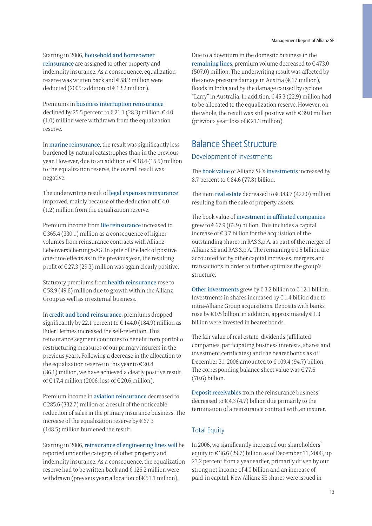<span id="page-14-0"></span>Starting in 2006, household and homeowner

reinsurance are assigned to other property and indemnity insurance. As a consequence, equalization reserve was written back and € 58.2 million were deducted (2005: addition of € 12.2 million).

Premiums in business interruption reinsurance declined by 25.5 percent to  $\in$  21.1 (28.3) million.  $\in$  4.0 (1.0) million were withdrawn from the equalization reserve.

In marine reinsurance, the result was significantly less burdened by natural catastrophes than in the previous year. However, due to an addition of € 18.4 (15.5) million to the equalization reserve, the overall result was negative.

The underwriting result of legal expenses reinsurance improved, mainly because of the deduction of  $\epsilon$  4.0 (1.2) million from the equalization reserve.

Premium income from life reinsurance increased to  $\epsilon$  365.4 (330.1) million as a consequence of higher volumes from reinsurance contracts with Allianz Lebenversicherungs-AG. In spite of the lack of positive one-time effects as in the previous year, the resulting profit of  $\in$  27.3 (29.3) million was again clearly positive.

Statutory premiums from health reinsurance rose to  $\epsilon$  58.9 (49.6) million due to growth within the Allianz Group as well as in external business.

In credit and bond reinsurance, premiums dropped significantly by 22.1 percent to  $\in$  144.0 (184.9) million as Euler Hermes increased the self-retention. This reinsurance segment continues to benefit from portfolio restructuring measures of our primary insurers in the previous years. Following a decrease in the allocation to the equalization reserve in this year to  $\epsilon$  20.4 (86.1) million, we have achieved a clearly positive result of € 17.4 million (2006: loss of € 20.6 million).

Premium income in aviation reinsurance decreased to € 285.6 (332.7) million as a result of the noticeable reduction of sales in the primary insurance business. The increase of the equalization reserve by  $\epsilon$  67.3 (148.5) million burdened the result.

Starting in 2006, reinsurance of engineering lines will be reported under the category of other property and indemnity insurance. As a consequence, the equalization reserve had to be written back and € 126.2 million were withdrawn (previous year: allocation of  $\epsilon$  51.1 million).

Due to a downturn in the domestic business in the remaining lines, premium volume decreased to € 473.0 (507.0) million. The underwriting result was affected by the snow pressure damage in Austria ( $\epsilon$  17 million), floods in India and by the damage caused by cyclone "Larry" in Australia. In addition, € 45.3 (22.9) million had to be allocated to the equalization reserve. However, on the whole, the result was still positive with  $\epsilon$  39.0 million (previous year: loss of  $\epsilon$  21.3 million).

# Balance Sheet Structure

## Development of investments

The book value of Allianz SE's investments increased by 8.7 percent to  $\in$  84.6 (77.8) billion.

The item real estate decreased to  $\epsilon$  383.7 (422.0) million resulting from the sale of property assets.

The book value of investment in affiliated companies grew to  $\epsilon$  67.9 (63.9) billion. This includes a capital increase of  $\epsilon$  3.7 billion for the acquisition of the outstanding shares in RAS S.p.A. as part of the merger of Allianz SE and RAS S.p.A. The remaining  $\epsilon$  0.5 billion are accounted for by other capital increases, mergers and transactions in order to further optimize the group's structure.

Other investments grew by  $\in$  3.2 billion to  $\in$  12.1 billion. Investments in shares increased by  $\epsilon$  1.4 billion due to intra-Allianz Group acquisitions. Deposits with banks rose by  $\epsilon$  0.5 billion; in addition, approximately  $\epsilon$  1.3 billion were invested in bearer bonds.

The fair value of real estate, dividends (affiliated companies, participating business interests, shares and investment certificates) and the bearer bonds as of December 31, 2006 amounted to  $\in$  109.4 (94.7) billion. The corresponding balance sheet value was  $\epsilon$  77.6 (70.6) billion.

Deposit receivables from the reinsurance business decreased to  $\in$  4.3 (4.7) billion due primarily to the termination of a reinsurance contract with an insurer.

# Total Equity

In 2006, we significantly increased our shareholders' equity to  $\in$  36.6 (29.7) billion as of December 31, 2006, up 23.2 percent from a year earlier, primarily driven by our strong net income of 4.0 billion and an increase of paid-in capital. New Allianz SE shares were issued in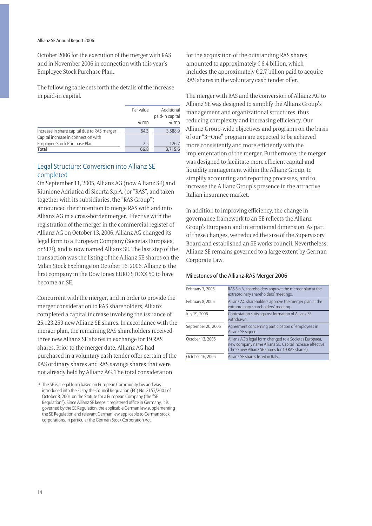#### <span id="page-15-0"></span>Allianz SE Annual Report 2006

October 2006 for the execution of the merger with RAS and in November 2006 in connection with this year's Employee Stock Purchase Plan.

The following table sets forth the details of the increase in paid-in capital.

|                                             | Par value   | Additional      |
|---------------------------------------------|-------------|-----------------|
|                                             |             | paid-in capital |
|                                             | $\notin$ mn | $\notin$ mn     |
| Increase in share capital due to RAS merger | 64.3        | 3,588.9         |
| Capital increase in connection with         |             |                 |
| Employee Stock Purchase Plan                | 2.5         | 126.7           |
| Total                                       | 66.8        | 3,715.6         |

## Legal Structure: Conversion into Allianz SE completed

On September 11, 2005, Allianz AG (now Allianz SE) and Riunione Adriatica di Sicurtà S.p.A. (or "RAS", and taken together with its subsidiaries, the "RAS Group") announced their intention to merge RAS with and into Allianz AG in a cross-border merger. Effective with the registration of the merger in the commercial register of Allianz AG on October 13, 2006, Allianz AG changed its legal form to a European Company (Societas Europaea, or SE1)), and is now named Allianz SE. The last step of the transaction was the listing of the Allianz SE shares on the Milan Stock Exchange on October 16, 2006. Allianz is the first company in the Dow Jones EURO STOXX 50 to have become an SE.

Concurrent with the merger, and in order to provide the merger consideration to RAS shareholders, Allianz completed a capital increase involving the issuance of 25,123,259 new Allianz SE shares. In accordance with the merger plan, the remaining RAS shareholders received three new Allianz SE shares in exchange for 19 RAS shares. Prior to the merger date, Allianz AG had purchased in a voluntary cash tender offer certain of the RAS ordinary shares and RAS savings shares that were not already held by Allianz AG. The total consideration

for the acquisition of the outstanding RAS shares amounted to approximately  $\epsilon$  6.4 billion, which includes the approximately  $\epsilon$  2.7 billion paid to acquire RAS shares in the voluntary cash tender offer.

The merger with RAS and the conversion of Allianz AG to Allianz SE was designed to simplify the Allianz Group's management and organizational structures, thus reducing complexity and increasing efficiency. Our Allianz Group-wide objectives and programs on the basis of our "3+One" program are expected to be achieved more consistently and more efficiently with the implementation of the merger. Furthermore, the merger was designed to facilitate more efficient capital and liquidity management within the Allianz Group, to simplify accounting and reporting processes, and to increase the Allianz Group's presence in the attractive Italian insurance market.

In addition to improving efficiency, the change in governance framework to an SE reflects the Allianz Group's European and international dimension. As part of these changes, we reduced the size of the Supervisory Board and established an SE works council. Nevertheless, Allianz SE remains governed to a large extent by German Corporate Law.

### Milestones of the Allianz-RAS Merger 2006

| February 3, 2006   | RAS S.p.A. shareholders approve the merger plan at the<br>extraordinary shareholders' meetings.                                                                        |
|--------------------|------------------------------------------------------------------------------------------------------------------------------------------------------------------------|
| February 8, 2006   | Allianz AG shareholders approve the merger plan at the<br>extraordinary shareholders' meeting.                                                                         |
| July 19, 2006      | Contestation suits against formation of Allianz SE<br>withdrawn.                                                                                                       |
| September 20, 2006 | Agreement concerning participation of employees in<br>Allianz SE signed.                                                                                               |
| October 13, 2006   | Allianz AG's legal form changed to a Societas Europaea,<br>new company name Allianz SE. Capital increase effective<br>(three new Allianz SE shares for 19 RAS shares). |
| October 16, 2006   | Allianz SE shares listed in Italy.                                                                                                                                     |

<sup>1)</sup> The SE is a legal form based on European Community law and was introduced into the EU by the Council Regulation (EC) No. 2157/2001 of October 8, 2001 on the Statute for a European Company (the "SE Regulation"). Since Allianz SE keeps it registered office in Germany, it is governed by the SE Regulation, the applicable German law supplementing the SE Regulation and relevant German law applicable to German stock corporations, in particular the German Stock Corporation Act.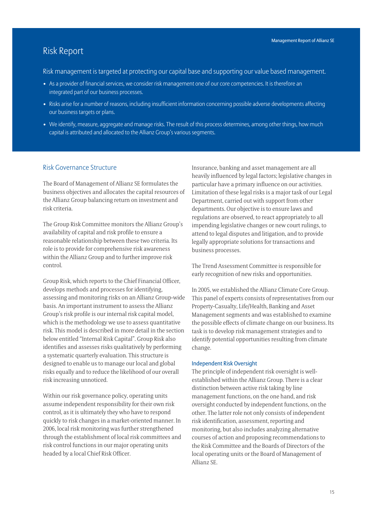# <span id="page-16-0"></span>Risk Report

Risk management is targeted at protecting our capital base and supporting our value based management.

- As a provider of financial services, we consider risk management one of our core competencies. It is therefore an integrated part of our business processes.
- Risks arise for a number of reasons, including insufficient information concerning possible adverse developments affecting our business targets or plans.
- We identify, measure, aggregate and manage risks. The result of this process determines, among other things, how much capital is attributed and allocated to the Allianz Group's various segments.

## Risk Governance Structure

The Board of Management of Allianz SE formulates the business objectives and allocates the capital resources of the Allianz Group balancing return on investment and risk criteria.

The Group Risk Committee monitors the Allianz Group's availability of capital and risk profile to ensure a reasonable relationship between these two criteria. Its role is to provide for comprehensive risk awareness within the Allianz Group and to further improve risk control.

Group Risk, which reports to the Chief Financial Officer, develops methods and processes for identifying, assessing and monitoring risks on an Allianz Group-wide basis. An important instrument to assess the Allianz Group's risk profile is our internal risk capital model, which is the methodology we use to assess quantitative risk. This model is described in more detail in the section below entitled "Internal Risk Capital". Group Risk also identifies and assesses risks qualitatively by performing a systematic quarterly evaluation. This structure is designed to enable us to manage our local and global risks equally and to reduce the likelihood of our overall risk increasing unnoticed.

Within our risk governance policy, operating units assume independent responsibility for their own risk control, as it is ultimately they who have to respond quickly to risk changes in a market-oriented manner. In 2006, local risk monitoring was further strengthened through the establishment of local risk committees and risk control functions in our major operating units headed by a local Chief Risk Officer.

Insurance, banking and asset management are all heavily influenced by legal factors; legislative changes in particular have a primary influence on our activities. Limitation of these legal risks is a major task of our Legal Department, carried out with support from other departments. Our objective is to ensure laws and regulations are observed, to react appropriately to all impending legislative changes or new court rulings, to attend to legal disputes and litigation, and to provide legally appropriate solutions for transactions and business processes.

The Trend Assessment Committee is responsible for early recognition of new risks and opportunities.

In 2005, we established the Allianz Climate Core Group. This panel of experts consists of representatives from our Property-Casualty, Life/Health, Banking and Asset Management segments and was established to examine the possible effects of climate change on our business. Its task is to develop risk management strategies and to identify potential opportunities resulting from climate change.

## Independent Risk Oversight

The principle of independent risk oversight is wellestablished within the Allianz Group. There is a clear distinction between active risk taking by line management functions, on the one hand, and risk oversight conducted by independent functions, on the other. The latter role not only consists of independent risk identification, assessment, reporting and monitoring, but also includes analyzing alternative courses of action and proposing recommendations to the Risk Committee and the Boards of Directors of the local operating units or the Board of Management of Allianz SE.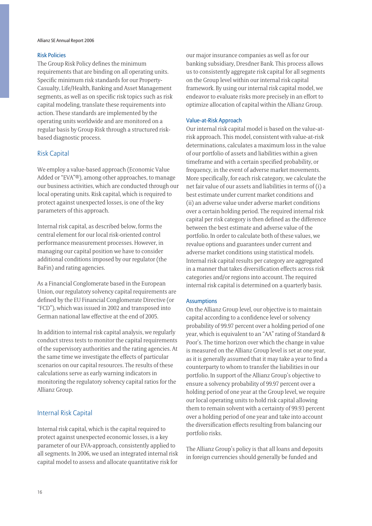#### Allianz SE Annual Report 2006

#### Risk Policies

The Group Risk Policy defines the minimum requirements that are binding on all operating units. Specific minimum risk standards for our Property-Casualty, Life/Health, Banking and Asset Management segments, as well as on specific risk topics such as risk capital modeling, translate these requirements into action. These standards are implemented by the operating units worldwide and are monitored on a regular basis by Group Risk through a structured riskbased diagnostic process.

## Risk Capital

We employ a value-based approach (Economic Value Added or "EVA"®), among other approaches, to manage our business activities, which are conducted through our local operating units. Risk capital, which is required to protect against unexpected losses, is one of the key parameters of this approach.

Internal risk capital, as described below, forms the central element for our local risk-oriented control performance measurement processes. However, in managing our capital position we have to consider additional conditions imposed by our regulator (the BaFin) and rating agencies.

As a Financial Conglomerate based in the European Union, our regulatory solvency capital requirements are defined by the EU Financial Conglomerate Directive (or "FCD"), which was issued in 2002 and transposed into German national law effective at the end of 2005.

In addition to internal risk capital analysis, we regularly conduct stress tests to monitor the capital requirements of the supervisory authorities and the rating agencies. At the same time we investigate the effects of particular scenarios on our capital resources. The results of these calculations serve as early warning indicators in monitoring the regulatory solvency capital ratios for the Allianz Group.

## Internal Risk Capital

Internal risk capital, which is the capital required to protect against unexpected economic losses, is a key parameter of our EVA-approach, consistently applied to all segments. In 2006, we used an integrated internal risk capital model to assess and allocate quantitative risk for

our major insurance companies as well as for our banking subsidiary, Dresdner Bank. This process allows us to consistently aggregate risk capital for all segments on the Group level within our internal risk capital framework. By using our internal risk capital model, we endeavor to evaluate risks more precisely in an effort to optimize allocation of capital within the Allianz Group.

#### Value-at-Risk Approach

Our internal risk capital model is based on the value-atrisk approach. This model, consistent with value-at-risk determinations, calculates a maximum loss in the value of our portfolio of assets and liabilities within a given timeframe and with a certain specified probability, or frequency, in the event of adverse market movements. More specifically, for each risk category, we calculate the net fair value of our assets and liabilities in terms of (i) a best estimate under current market conditions and (ii) an adverse value under adverse market conditions over a certain holding period. The required internal risk capital per risk category is then defined as the difference between the best estimate and adverse value of the portfolio. In order to calculate both of these values, we revalue options and guarantees under current and adverse market conditions using statistical models. Internal risk capital results per category are aggregated in a manner that takes diversification effects across risk categories and/or regions into account. The required internal risk capital is determined on a quarterly basis.

### **Assumptions**

On the Allianz Group level, our objective is to maintain capital according to a confidence level or solvency probability of 99.97 percent over a holding period of one year, which is equivalent to an "AA" rating of Standard & Poor's. The time horizon over which the change in value is measured on the Allianz Group level is set at one year, as it is generally assumed that it may take a year to find a counterparty to whom to transfer the liabilities in our portfolio. In support of the Allianz Group's objective to ensure a solvency probability of 99.97 percent over a holding period of one year at the Group level, we require our local operating units to hold risk capital allowing them to remain solvent with a certainty of 99.93 percent over a holding period of one year and take into account the diversification effects resulting from balancing our portfolio risks.

The Allianz Group's policy is that all loans and deposits in foreign currencies should generally be funded and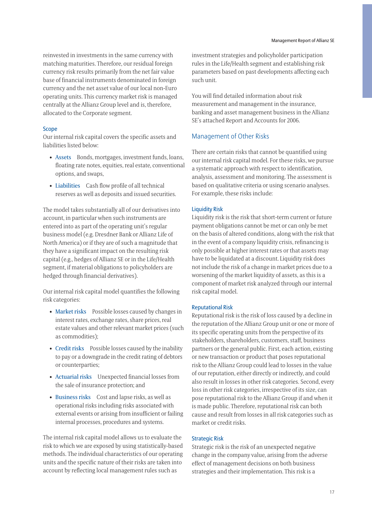reinvested in investments in the same currency with matching maturities. Therefore, our residual foreign currency risk results primarily from the net fair value base of financial instruments denominated in foreign currency and the net asset value of our local non-Euro operating units. This currency market risk is managed centrally at the Allianz Group level and is, therefore, allocated to the Corporate segment.

## Scope

Our internal risk capital covers the specific assets and liabilities listed below:

- Assets Bonds, mortgages, investment funds, loans, floating rate notes, equities, real estate, conventional options, and swaps,
- Liabilities Cash flow profile of all technical reserves as well as deposits and issued securities.

The model takes substantially all of our derivatives into account, in particular when such instruments are entered into as part of the operating unit's regular business model (e.g. Dresdner Bank or Allianz Life of North America) or if they are of such a magnitude that they have a significant impact on the resulting risk capital (e.g., hedges of Allianz SE or in the Life/Health segment, if material obligations to policyholders are hedged through financial derivatives).

Our internal risk capital model quantifies the following risk categories:

- Market risks Possible losses caused by changes in interest rates, exchange rates, share prices, real estate values and other relevant market prices (such as commodities);
- Credit risks Possible losses caused by the inability to pay or a downgrade in the credit rating of debtors or counterparties;
- Actuarial risks Unexpected financial losses from the sale of insurance protection; and
- Business risks Cost and lapse risks, as well as operational risks including risks associated with external events or arising from insufficient or failing internal processes, procedures and systems.

The internal risk capital model allows us to evaluate the risk to which we are exposed by using statistically-based methods. The individual characteristics of our operating units and the specific nature of their risks are taken into account by reflecting local management rules such as

investment strategies and policyholder participation rules in the Life/Health segment and establishing risk parameters based on past developments affecting each such unit.

You will find detailed information about risk measurement and management in the insurance, banking and asset management business in the Allianz SE's attached Report and Accounts for 2006.

# Management of Other Risks

There are certain risks that cannot be quantified using our internal risk capital model. For these risks, we pursue a systematic approach with respect to identification, analysis, assessment and monitoring. The assessment is based on qualitative criteria or using scenario analyses. For example, these risks include:

## Liquidity Risk

Liquidity risk is the risk that short-term current or future payment obligations cannot be met or can only be met on the basis of altered conditions, along with the risk that in the event of a company liquidity crisis, refinancing is only possible at higher interest rates or that assets may have to be liquidated at a discount. Liquidity risk does not include the risk of a change in market prices due to a worsening of the market liquidity of assets, as this is a component of market risk analyzed through our internal risk capital model.

## Reputational Risk

Reputational risk is the risk of loss caused by a decline in the reputation of the Allianz Group unit or one or more of its specific operating units from the perspective of its stakeholders, shareholders, customers, staff, business partners or the general public. First, each action, existing or new transaction or product that poses reputational risk to the Allianz Group could lead to losses in the value of our reputation, either directly or indirectly, and could also result in losses in other risk categories. Second, every loss in other risk categories, irrespective of its size, can pose reputational risk to the Allianz Group if and when it is made public. Therefore, reputational risk can both cause and result from losses in all risk categories such as market or credit risks.

## Strategic Risk

Strategic risk is the risk of an unexpected negative change in the company value, arising from the adverse effect of management decisions on both business strategies and their implementation. This risk is a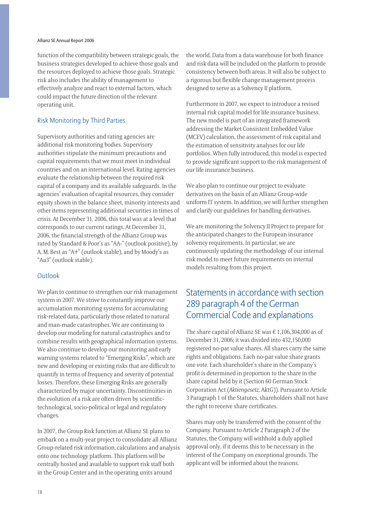#### <span id="page-19-0"></span>Allianz SE Annual Report 2006

function of the compatibility between strategic goals, the business strategies developed to achieve those goals and the resources deployed to achieve those goals. Strategic risk also includes the ability of management to effectively analyze and react to external factors, which could impact the future direction of the relevant operating unit.

# Risk Monitoring by Third Parties

Supervisory authorities and rating agencies are additional risk monitoring bodies. Supervisory authorities stipulate the minimum precautions and capital requirements that we must meet in individual countries and on an international level. Rating agencies evaluate the relationship between the required risk capital of a company and its available safeguards. In the agencies' evaluation of capital resources, they consider equity shown in the balance sheet, minority interests and other items representing additional securities in times of crisis. At December 31, 2006, this total was at a level that corresponds to our current ratings. At December 31, 2006, the financial strength of the Allianz Group was rated by Standard & Poor's as "AA-" (outlook positive), by A. M. Best as "A+" (outlook stable), and by Moody's as "Aa3" (outlook stable).

# **Outlook**

We plan to continue to strengthen our risk management system in 2007. We strive to constantly improve our accumulation monitoring systems for accumulating risk-related data, particularly those related to natural and man-made catastrophes. We are continuing to develop our modeling for natural catastrophes and to combine results with geographical information systems. We also continue to develop our monitoring and early warning systems related to "Emerging Risks", which are new and developing or existing risks that are difficult to quantify in terms of frequency and severity of potential losses. Therefore, these Emerging Risks are generally characterized by major uncertainty. Discontinuities in the evolution of a risk are often driven by scientifictechnological, socio-political or legal and regulatory changes.

In 2007, the Group Risk function at Allianz SE plans to embark on a multi-year project to consolidate all Allianz Group-related risk information, calculations and analysis onto one technology platform. This platform will be centrally hosted and available to support risk staff both in the Group Center and in the operating units around

the world. Data from a data warehouse for both finance and risk data will be included on the platform to provide consistency between both areas. It will also be subject to a rigorous but flexible change management process designed to serve as a Solvency II platform.

Furthermore in 2007, we expect to introduce a revised internal risk capital model for life insurance business. The new model is part of an integrated framework addressing the Market Consistent Embedded Value (MCEV) calculation, the assessment of risk capital and the estimation of sensitivity analyses for our life portfolios. When fully introduced, this model is expected to provide significant support to the risk management of our life insurance business.

We also plan to continue our project to evaluate derivatives on the basis of an Allianz Group-wide uniform IT system. In addition, we will further strengthen and clarify our guidelines for handling derivatives.

We are monitoring the Solvency II Project to prepare for the anticipated changes to the European insurance solvency requirements. In particular, we are continuously updating the methodology of our internal risk model to meet future requirements on internal models resulting from this project.

# Statements in accordance with section 289 paragraph 4 of the German Commercial Code and explanations

The share capital of Allianz SE was € 1,106,304,000 as of December 31, 2006; it was divided into 432,150,000 registered no-par value shares. All shares carry the same rights and obligations. Each no-par value share grants one vote. Each shareholder's share in the Company's profit is determined in proportion to the share in the share capital held by it (Section 60 German Stock Corporation Act (*Aktiengesetz*, AktG)). Pursuant to Article 3 Paragraph 1 of the Statutes, shareholders shall not have the right to receive share certificates.

Shares may only be transferred with the consent of the Company. Pursuant to Article 2 Paragraph 2 of the Statutes, the Company will withhold a duly applied approval only, if it deems this to be necessary in the interest of the Company on exceptional grounds. The applicant will be informed about the reasons.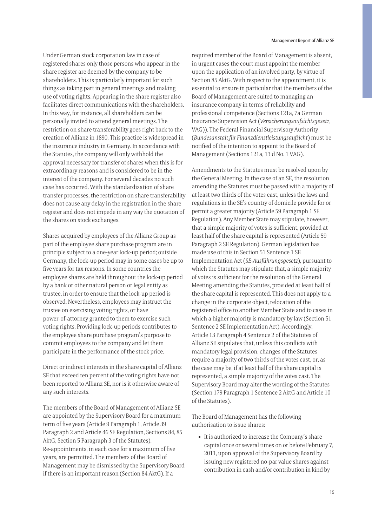Under German stock corporation law in case of registered shares only those persons who appear in the share register are deemed by the company to be shareholders. This is particularly important for such things as taking part in general meetings and making use of voting rights. Appearing in the share register also facilitates direct communications with the shareholders. In this way, for instance, all shareholders can be personally invited to attend general meetings. The restriction on share transferability goes right back to the creation of Allianz in 1890. This practice is widespread in the insurance industry in Germany. In accordance with the Statutes, the company will only withhold the approval necessary for transfer of shares when this is for extraordinary reasons and is considered to be in the interest of the company. For several decades no such case has occurred. With the standardization of share transfer processes, the restriction on share transferability does not cause any delay in the registration in the share register and does not impede in any way the quotation of the shares on stock exchanges.

Shares acquired by employees of the Allianz Group as part of the employee share purchase program are in principle subject to a one-year lock-up period; outside Germany, the lock-up period may in some cases be up to five years for tax reasons. In some countries the employee shares are held throughout the lock-up period by a bank or other natural person or legal entity as trustee, in order to ensure that the lock-up period is observed. Nevertheless, employees may instruct the trustee on exercising voting rights, or have power-of-attorney granted to them to exercise such voting rights. Providing lock-up periods contributes to the employee share purchase program's purpose to commit employees to the company and let them participate in the performance of the stock price.

Direct or indirect interests in the share capital of Allianz SE that exceed ten percent of the voting rights have not been reported to Allianz SE, nor is it otherwise aware of any such interests.

The members of the Board of Management of Allianz SE are appointed by the Supervisory Board for a maximum term of five years (Article 9 Paragraph 1, Article 39 Paragraph 2 and Article 46 SE Regulation, Sections 84, 85 AktG, Section 5 Paragraph 3 of the Statutes). Re-appointments, in each case for a maximum of five years, are permitted. The members of the Board of Management may be dismissed by the Supervisory Board if there is an important reason (Section 84 AktG). If a

required member of the Board of Management is absent, in urgent cases the court must appoint the member upon the application of an involved party, by virtue of Section 85 AktG. With respect to the appointment, it is essential to ensure in particular that the members of the Board of Management are suited to managing an insurance company in terms of reliability and professional competence (Sections 121a, 7a German Insurance Supervision Act (*Versicherungsaufsichtsgesetz*, VAG)). The Federal Financial Supervisory Authority (*Bundesanstalt für Finanzdienstleistungsaufsicht*) must be notified of the intention to appoint to the Board of Management (Sections 121a, 13 d No. 1 VAG).

Amendments to the Statutes must be resolved upon by the General Meeting. In the case of an SE, the resolution amending the Statutes must be passed with a majority of at least two thirds of the votes cast, unless the laws and regulations in the SE's country of domicile provide for or permit a greater majority (Article 59 Paragraph 1 SE Regulation). Any Member State may stipulate, however, that a simple majority of votes is sufficient, provided at least half of the share capital is represented (Article 59 Paragraph 2 SE Regulation). German legislation has made use of this in Section 51 Sentence 1 SE Implementation Act (*SE-Ausführungsgesetz*), pursuant to which the Statutes may stipulate that, a simple majority of votes is sufficient for the resolution of the General Meeting amending the Statutes, provided at least half of the share capital is represented. This does not apply to a change in the corporate object, relocation of the registered office to another Member State and to cases in which a higher majority is mandatory by law (Section 51 Sentence 2 SE Implementation Act). Accordingly, Article 13 Paragraph 4 Sentence 2 of the Statutes of Allianz SE stipulates that, unless this conflicts with mandatory legal provision, changes of the Statutes require a majority of two thirds of the votes cast, or, as the case may be, if at least half of the share capital is represented, a simple majority of the votes cast. The Supervisory Board may alter the wording of the Statutes (Section 179 Paragraph 1 Sentence 2 AktG and Article 10 of the Statutes).

The Board of Management has the following authorisation to issue shares:

• It is authorized to increase the Company's share capital once or several times on or before February 7, 2011, upon approval of the Supervisory Board by issuing new registered no-par value shares against contribution in cash and/or contribution in kind by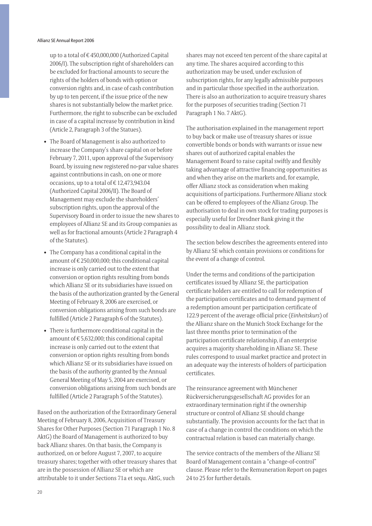up to a total of € 450,000,000 (Authorized Capital 2006/I). The subscription right of shareholders can be excluded for fractional amounts to secure the rights of the holders of bonds with option or conversion rights and, in case of cash contribution by up to ten percent, if the issue price of the new shares is not substantially below the market price. Furthermore, the right to subscribe can be excluded in case of a capital increase by contribution in kind (Article 2, Paragraph 3 of the Statues).

- The Board of Management is also authorized to increase the Company's share capital on or before February 7, 2011, upon approval of the Supervisory Board, by issuing new registered no-par value shares against contributions in cash, on one or more occasions, up to a total of  $\epsilon$  12,473,943.04 (Authorized Capital 2006/II). The Board of Management may exclude the shareholders' subscription rights, upon the approval of the Supervisory Board in order to issue the new shares to employees of Allianz SE and its Group companies as well as for fractional amounts (Article 2 Paragraph 4 of the Statutes).
- The Company has a conditional capital in the amount of € 250,000,000; this conditional capital increase is only carried out to the extent that conversion or option rights resulting from bonds which Allianz SE or its subsidiaries have issued on the basis of the authorization granted by the General Meeting of February 8, 2006 are exercised, or conversion obligations arising from such bonds are fulfilled (Article 2 Paragraph 6 of the Statutes).
- There is furthermore conditional capital in the amount of  $\epsilon$  5,632,000; this conditional capital increase is only carried out to the extent that conversion or option rights resulting from bonds which Allianz SE or its subsidiaries have issued on the basis of the authority granted by the Annual General Meeting of May 5, 2004 are exercised, or conversion obligations arising from such bonds are fulfilled (Article 2 Paragraph 5 of the Statutes).

Based on the authorization of the Extraordinary General Meeting of February 8, 2006, Acquisition of Treasury Shares for Other Purposes (Section 71 Paragraph 1 No. 8 AktG) the Board of Management is authorized to buy back Allianz shares. On that basis, the Company is authorized, on or before August 7, 2007, to acquire treasury shares; together with other treasury shares that are in the possession of Allianz SE or which are attributable to it under Sections 71a et sequ. AktG, such

shares may not exceed ten percent of the share capital at any time. The shares acquired according to this authorization may be used, under exclusion of subscription rights, for any legally admissible purposes and in particular those specified in the authorization. There is also an authorization to acquire treasury shares for the purposes of securities trading (Section 71 Paragraph 1 No. 7 AktG).

The authorisation explained in the management report to buy back or make use of treasury shares or issue convertible bonds or bonds with warrants or issue new shares out of authorized capital enables the Management Board to raise capital swiftly and flexibly taking advantage of attractive financing opportunities as and when they arise on the markets and, for example, offer Allianz stock as consideration when making acquisitions of participations. Furthermore Allianz stock can be offered to employees of the Allianz Group. The authorisation to deal in own stock for trading purposes is especially useful for Dresdner Bank giving it the possibility to deal in Allianz stock.

The section below describes the agreements entered into by Allianz SE which contain provisions or conditions for the event of a change of control.

Under the terms and conditions of the participation certificates issued by Allianz SE, the participation certificate holders are entitled to call for redemption of the participation certificates and to demand payment of a redemption amount per participation certificate of 122.9 percent of the average official price (*Einheitskurs*) of the Allianz share on the Munich Stock Exchange for the last three months prior to termination of the participation certificate relationship, if an enterprise acquires a majority shareholding in Allianz SE. These rules correspond to usual market practice and protect in an adequate way the interests of holders of participation certificates.

The reinsurance agreement with Münchener Rückversicherungsgesellschaft AG provides for an extraordinary termination right if the ownership structure or control of Allianz SE should change substantially. The provision accounts for the fact that in case of a change in control the conditions on which the contractual relation is based can materially change.

The service contracts of the members of the Allianz SE Board of Management contain a "change-of-control" clause. Please refer to the Remuneration Report on pages 24 to 25 for further details.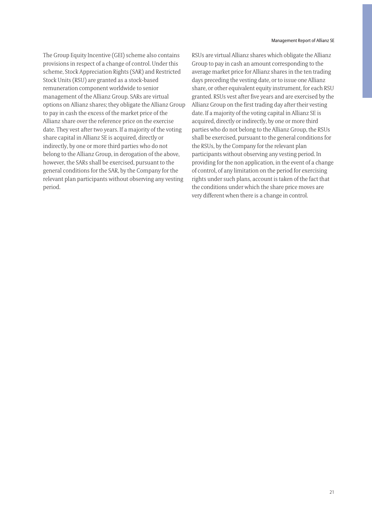The Group Equity Incentive (GEI) scheme also contains provisions in respect of a change of control. Under this scheme, Stock Appreciation Rights (SAR) and Restricted Stock Units (RSU) are granted as a stock-based remuneration component worldwide to senior management of the Allianz Group. SARs are virtual options on Allianz shares; they obligate the Allianz Group to pay in cash the excess of the market price of the Allianz share over the reference price on the exercise date. They vest after two years. If a majority of the voting share capital in Allianz SE is acquired, directly or indirectly, by one or more third parties who do not belong to the Allianz Group, in derogation of the above, however, the SARs shall be exercised, pursuant to the general conditions for the SAR, by the Company for the relevant plan participants without observing any vesting period.

RSUs are virtual Allianz shares which obligate the Allianz Group to pay in cash an amount corresponding to the average market price for Allianz shares in the ten trading days preceding the vesting date, or to issue one Allianz share, or other equivalent equity instrument, for each RSU granted. RSUs vest after five years and are exercised by the Allianz Group on the first trading day after their vesting date. If a majority of the voting capital in Allianz SE is acquired, directly or indirectly, by one or more third parties who do not belong to the Allianz Group, the RSUs shall be exercised, pursuant to the general conditions for the RSUs, by the Company for the relevant plan participants without observing any vesting period. In providing for the non application, in the event of a change of control, of any limitation on the period for exercising rights under such plans, account is taken of the fact that the conditions under which the share price moves are very different when there is a change in control.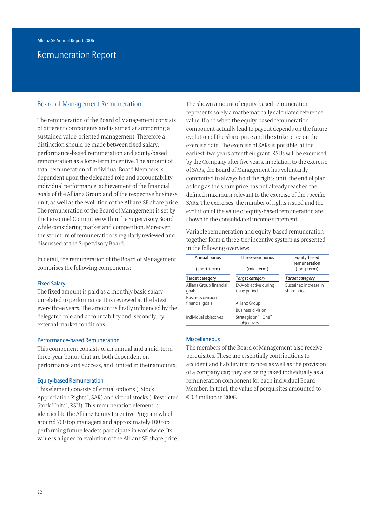# <span id="page-23-0"></span>Remuneration Report

## Board of Management Remuneration

The remuneration of the Board of Management consists of different components and is aimed at supporting a sustained value-oriented management. Therefore a distinction should be made between fixed salary, performance-based remuneration and equity-based remuneration as a long-term incentive. The amount of total remuneration of individual Board Members is dependent upon the delegated role and accountability, individual performance, achievement of the financial goals of the Allianz Group and of the respective business unit, as well as the evolution of the Allianz SE share price. The remuneration of the Board of Management is set by the Personnel Committee within the Supervisory Board while considering market and competition. Moreover, the structure of remuneration is regularly reviewed and discussed at the Supervisory Board.

In detail, the remuneration of the Board of Management comprises the following components:

### Fixed Salary

The fixed amount is paid as a monthly basic salary unrelated to performance. It is reviewed at the latest every three years. The amount is firstly influenced by the delegated role and accountability and, secondly, by external market conditions.

## Performance-based Remuneration

This component consists of an annual and a mid-term three-year bonus that are both dependent on performance and success, and limited in their amounts.

#### Equity-based Remuneration

This element consists of virtual options ("Stock Appreciation Rights", SAR) and virtual stocks ("Restricted Stock Units", RSU). This remuneration element is identical to the Allianz Equity Incentive Program which around 700 top managers and approximately 100 top performing future leaders participate in worldwide. Its value is aligned to evolution of the Allianz SE share price.

The shown amount of equity-based remuneration represents solely a mathematically calculated reference value. If and when the equity-based remuneration component actually lead to payout depends on the future evolution of the share price and the strike price on the exercise date. The exercise of SARs is possible, at the earliest, two years after their grant. RSUs will be exercised by the Company after five years. In relation to the exercise of SARs, the Board of Management has voluntarily committed to always hold the rights until the end of plan as long as the share price has not already reached the defined maximum relevant to the exercise of the specific SARs. The exercises, the number of rights issued and the evolution of the value of equity-based remuneration are shown in the consolidated income statement.

Variable remuneration and equity-based remuneration together form a three-tier incentive system as presented in the following overview:

| Annual bonus                                | Three-year bonus                          | Equity-based<br>remuneration<br>(long-term) |  |  |
|---------------------------------------------|-------------------------------------------|---------------------------------------------|--|--|
| (short-term)                                | (mid-term)                                |                                             |  |  |
| Target category                             | <b>Target category</b>                    | <b>Target category</b>                      |  |  |
| Allianz Group financial<br>qoals            | EVA-objective during<br>issue period      | Sustained increase in<br>share price        |  |  |
| <b>Business division</b><br>financial goals | Allianz Group<br><b>Business division</b> |                                             |  |  |
| Individual objectives                       | Strategic or "+One"<br>obiectives         |                                             |  |  |

### Miscellaneous

The members of the Board of Management also receive perquisites. These are essentially contributions to accident and liability insurances as well as the provision of a company car; they are being taxed individually as a remuneration component for each individual Board Member. In total, the value of perquisites amounted to  $\epsilon$  0.2 million in 2006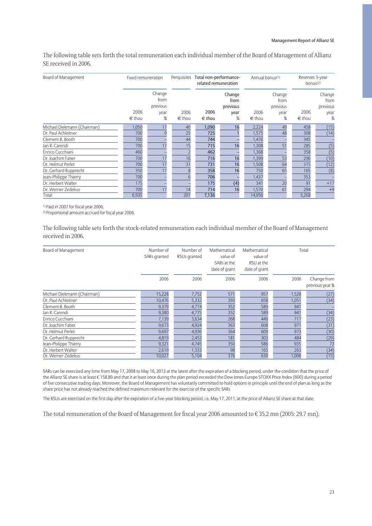The following table sets forth the total remuneration each individual member of the Board of Management of Allianz SE received in 2006.

| Board of Management         | Fixed remuneration      |                                         | Perquisites<br>Total non-performance-<br>related remuneration |                    | Annual bonus <sup>(1)</sup>             |                         | Reserves 3-year<br>bonus <sup>(2)</sup> |                         |                                         |
|-----------------------------|-------------------------|-----------------------------------------|---------------------------------------------------------------|--------------------|-----------------------------------------|-------------------------|-----------------------------------------|-------------------------|-----------------------------------------|
|                             | 2006<br>$\epsilon$ thou | Change<br>from<br>previous<br>year<br>% | 2006<br>€ thou                                                | 2006<br>$\in$ thou | Change<br>from<br>previous<br>year<br>% | 2006<br>$\epsilon$ thou | Change<br>from<br>previous<br>year<br>% | 2006<br>$\epsilon$ thou | Change<br>from<br>previous<br>year<br>% |
| Michael Diekmann (Chairman) | 1,050                   | 17                                      | 40                                                            | 1,090              | 16                                      | 2,224                   | 49                                      | 458                     | (15)                                    |
| Dr. Paul Achleitner         | 700                     |                                         | 25                                                            | 725                |                                         | 1,575                   | 48                                      | 308                     | (14)                                    |
| Clement B. Booth            | 700                     |                                         | 44                                                            | 744                |                                         | 1,476                   |                                         | 345                     |                                         |
| Jan R. Carendi              | 700                     |                                         | 15                                                            | 715                | 16                                      | 1,308                   | 51                                      | 285                     | (5)                                     |
| Enrico Cucchiani            | 460                     |                                         |                                                               | 462                |                                         | 1,368                   |                                         | 358                     | (5)                                     |
| Dr. Joachim Faber           | 700                     | 17                                      | 16                                                            | 716                | 16                                      | 1,399                   | 53                                      | 296                     | (10)                                    |
| Dr. Helmut Perlet           | 700                     | 17                                      | 31                                                            | 731                | 16                                      | 1,508                   | 64                                      | 315                     | (12)                                    |
| Dr. Gerhard Rupprecht       | 350                     | 17                                      | 8                                                             | 358                | 16                                      | 750                     | 65                                      | 165                     | (8)                                     |
| Jean-Philippe Thierry       | 700                     |                                         | 6                                                             | 706                |                                         | 1,437                   |                                         | 353                     |                                         |
| Dr. Herbert Walter          | 175                     |                                         |                                                               | 175                | (4)                                     | 341                     | 20                                      | 91                      | $+17$                                   |
| Dr. Werner Zedelius         | 700                     |                                         | 14                                                            | 714                | 16                                      | 1,570                   | 61                                      | 294                     | $+9$                                    |
| Total                       | 6,935                   |                                         | 201                                                           | 7,136              |                                         | 14,956                  |                                         | 3,268                   |                                         |

1) Paid in 2007 for fiscal year 2006.

2) Proportional amount accrued for fiscal year 2006.

The following table sets forth the stock-related remuneration each individual member of the Board of Management received in 2006.

| Board of Management         | Number of<br>SARs granted | Number of<br>RSUs granted | Mathematical<br>value of<br>SARs at the<br>date of grant | Mathematical<br>value of<br>RSU at the<br>date of grant | Total |                                |
|-----------------------------|---------------------------|---------------------------|----------------------------------------------------------|---------------------------------------------------------|-------|--------------------------------|
|                             | 2006                      | 2006                      | 2006                                                     | 2006                                                    | 2006  | Change from<br>previous year % |
| Michael Diekmann (Chairman) | 15,228                    | 7,752                     | 571                                                      | 957                                                     | 1,528 | (27)                           |
| Dr. Paul Achleitner         | 10,476                    | 5,332                     | 393                                                      | 658                                                     | 1,051 | (34)                           |
| Clement B. Booth            | 9,379                     | 4,774                     | 352                                                      | 589                                                     | 941   |                                |
| Jan R. Carendi              | 9,380                     | 4,775                     | 352                                                      | 589                                                     | 941   | (34)                           |
| Enrico Cucchiani            | 7,139                     | 3,634                     | 268                                                      | 449                                                     | 717   | (23)                           |
| Dr. Joachim Faber           | 9,673                     | 4,924                     | 363                                                      | 608                                                     | 971   | (31)                           |
| Dr. Helmut Perlet           | 9,697                     | 4,936                     | 364                                                      | 609                                                     | 973   | (30)                           |
| Dr. Gerhard Rupprecht       | 4,819                     | 2,453                     | 181                                                      | 303                                                     | 484   | (29)                           |
| Jean-Philippe Thierry       | 9,321                     | 4,745                     | 350                                                      | 586                                                     | 935   | 73                             |
| Dr. Herbert Walter          | 2,619                     | 1,333                     | 98                                                       | 165                                                     | 263   | (34)                           |
| Dr. Werner Zedelius         | 10,027                    | 5,104                     | 376                                                      | 630                                                     | 1,006 | (15)                           |

SARs can be exercised any time from May 17, 2008 to May 16, 2013 at the latest after the expiration of a blocking period, under the condition that the price of the Allianz SE share is at least € 158.89 and that it at least once during the plan period exceeded the Dow Jones Europe STOXX Price Index (600) during a period of five consecutive trading days. Moreover, the Board of Management has voluntarily committed to hold options in principle until the end of plan as long as the share price has not already reached the defined maximum relevant for the exercise of the specific SARs

The RSUs are exercised on the first day after the expiration of a five-year blocking period, i.e. May 17, 2011, at the price of Allianz SE share at that date.

The total remuneration of the Board of Management for fiscal year 2006 amounted to € 35,2 mn (2005: 29.7 mn).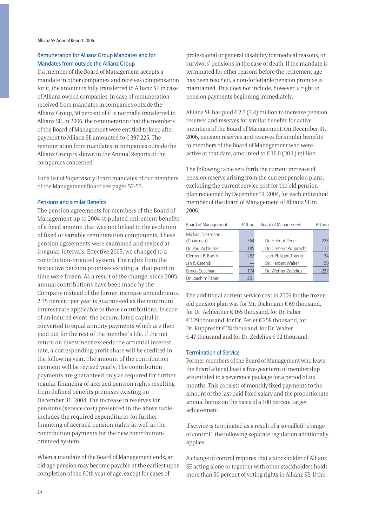## Remuneration for Allianz Group Mandates and for Mandates from outside the Allianz Group

If a member of the Board of Management accepts a mandate in other companies and receives compensation for it, the amount is fully transferred to Allianz SE in case of Allianz owned companies. In case of remuneration received from mandates in companies outside the Allianz Group, 50 percent of it is normally transferred to Allianz SE. In 2006, the remuneration that the members of the Board of Management were entitled to keep after payment to Allianz SE amounted to € 397,225. The remuneration from mandates in companies outside the Allianz Group is shown in the Annual Reports of the companies concerned.

For a list of Supervisory Board mandates of our members of the Management Board see pages 52-53.

#### Pensions and similar Benefits

The pension agreements for members of the Board of Management up to 2004 stipulated retirement benefits of a fixed amount that was not linked to the evolution of fixed or variable remuneration components. These pension agreements were examined and revised at irregular intervals. Effective 2005, we changed to a contribution-oriented system. The rights from the respective pension promises existing at that point in time were frozen. As a result of the change, since 2005, annual contributions have been made by the Company instead of the former increase amendments. 2.75 percent per year is guaranteed as the minimum interest rate applicable to these contributions. In case of an insured event, the accumulated capital is converted to equal annuity payments which are then paid out for the rest of the member's life. If the net return on investment exceeds the actuarial interest rate, a corresponding profit share will be credited in the following year. The amount of the contribution payment will be revised yearly. The contribution payments are guaranteed only as required for further regular financing of accrued pension rights resulting from defined benefits promises existing on December 31, 2004. The increase in reserves for pensions (service cost) presented in the above table includes the required expenditures for further financing of accrued pension rights as well as the contribution payments for the new contributionoriented system.

When a mandate of the Board of Management ends, an old age pension may become payable at the earliest upon completion of the 60th year of age, except for cases of

professional or general disability for medical reasons, or survivors' pensions in the case of death. If the mandate is terminated for other reasons before the retirement age has been reached, a non-forfeitable pension promise is maintained. This does not include, however, a right to pension payments beginning immediately.

Allianz SE has paid  $\in$  2.7 (2.4) million to increase pension reserves and reserves for similar benefits for active members of the Board of Management. On December 31, 2006, pension reserves and reserves for similar benefits to members of the Board of Management who were active at that date, amounted to  $\in$  16.0 (20.1) million.

The following table sets forth the current increase of pension reserve arising from the current pension plans, excluding the current service cost for the old pension plan redeemed by December 31, 2004, for each individual member of the Board of Management of Allianz SE in 2006.

| Board of Management            | $\epsilon$ thou | Board of Management   | $\epsilon$ thou |
|--------------------------------|-----------------|-----------------------|-----------------|
| Michael Diekmann<br>(Chairman) | 364             | Dr. Helmut Perlet     | 238             |
| Dr. Paul Achleitner            | 185             | Dr. Gerhard Rupprecht | 112             |
| Clement B. Booth               | 263             | Jean-Philippe Thierry | 34              |
| Jan R. Carendi                 |                 | Dr. Herbert Walter    | 50              |
| Enrico Cucchiani               | 174             | Dr. Werner Zedelius   | 237             |
| Dr. Joachim Faber              | 251             |                       |                 |

The additional current service cost in 2006 for the frozen old pension plan was for Mr. Diekmann  $\epsilon$  69 thousand, for Dr. Achleitner € 165 thousand, for Dr. Faber € 129 thousand, for Dr. Perlet € 258 thousand, for Dr. Rupprecht € 28 thousand, for Dr. Walter € 47 thousand and for Dr. Zedelius € 92 thousand.

#### Termination of Service

Former members of the Board of Management who leave the Board after at least a five-year term of membership are entitled to a severance package for a period of six months. This consists of monthly fixed payments to the amount of the last paid fixed salary and the proportionate annual bonus on the basis of a 100 percent target achievement.

If service is terminated as a result of a so-called "change of control", the following separate regulation additionally applies:

A change of control requires that a stockholder of Allianz SE acting alone or together with other stockholders holds more than 50 percent of voting rights in Allianz SE. If the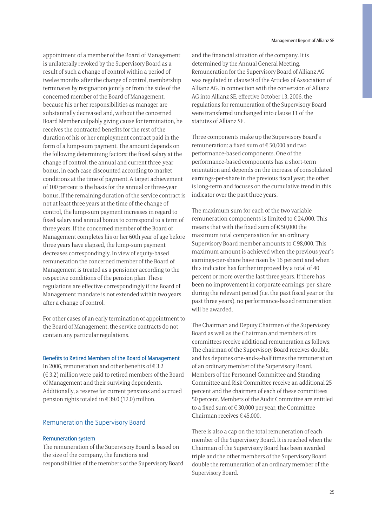appointment of a member of the Board of Management is unilaterally revoked by the Supervisory Board as a result of such a change of control within a period of twelve months after the change of control, membership terminates by resignation jointly or from the side of the concerned member of the Board of Management, because his or her responsibilities as manager are substantially decreased and, without the concerned Board Member culpably giving cause for termination, he receives the contracted benefits for the rest of the duration of his or her employment contract paid in the form of a lump-sum payment. The amount depends on the following determining factors: the fixed salary at the change of control, the annual and current three-year bonus, in each case discounted according to market conditions at the time of payment. A target achievement of 100 percent is the basis for the annual or three-year bonus. If the remaining duration of the service contract is not at least three years at the time of the change of control, the lump-sum payment increases in regard to fixed salary and annual bonus to correspond to a term of three years. If the concerned member of the Board of Management completes his or her 60th year of age before three years have elapsed, the lump-sum payment decreases correspondingly. In view of equity-based remuneration the concerned member of the Board of Management is treated as a pensioner according to the respective conditions of the pension plan. These regulations are effective correspondingly if the Board of Management mandate is not extended within two years after a change of control.

For other cases of an early termination of appointment to the Board of Management, the service contracts do not contain any particular regulations.

#### Benefits to Retired Members of the Board of Management

In 2006, remuneration and other benefits of  $\epsilon$  3.2 (€ 3.2) million were paid to retired members of the Board of Management and their surviving dependents. Additionally, a reserve for current pensions and accrued pension rights totaled in  $\epsilon$  39.0 (32.0) million.

## Remuneration the Supervisory Board

#### Remuneration system

The remuneration of the Supervisory Board is based on the size of the company, the functions and responsibilities of the members of the Supervisory Board

and the financial situation of the company. It is determined by the Annual General Meeting. Remuneration for the Supervisory Board of Allianz AG was regulated in clause 9 of the Articles of Association of Allianz AG. In connection with the conversion of Allianz AG into Allianz SE, effective October 13, 2006, the regulations for remuneration of the Supervisory Board were transferred unchanged into clause 11 of the statutes of Allianz SE.

Three components make up the Supervisory Board's remuneration: a fixed sum of € 50,000 and two performance-based components. One of the performance-based components has a short-term orientation and depends on the increase of consolidated earnings-per-share in the previous fiscal year; the other is long-term and focuses on the cumulative trend in this indicator over the past three years.

The maximum sum for each of the two variable remuneration components is limited to  $\epsilon$  24,000. This means that with the fixed sum of € 50,000 the maximum total compensation for an ordinary Supervisory Board member amounts to € 98,000. This maximum amount is achieved when the previous year's earnings-per-share have risen by 16 percent and when this indicator has further improved by a total of 40 percent or more over the last three years. If there has been no improvement in corporate earnings-per-share during the relevant period (i.e. the past fiscal year or the past three years), no performance-based remuneration will be awarded.

The Chairman and Deputy Chairmen of the Supervisory Board as well as the Chairman and members of its committees receive additional remuneration as follows: The chairman of the Supervisory Board receives double, and his deputies one-and-a-half times the remuneration of an ordinary member of the Supervisory Board. Members of the Personnel Committee and Standing Committee and Risk Committee receive an additional 25 percent and the chairmen of each of these committees 50 percent. Members of the Audit Committee are entitled to a fixed sum of € 30,000 per year; the Committee Chairman receives € 45,000.

There is also a cap on the total remuneration of each member of the Supervisory Board. It is reached when the Chairman of the Supervisory Board has been awarded triple and the other members of the Supervisory Board double the remuneration of an ordinary member of the Supervisory Board.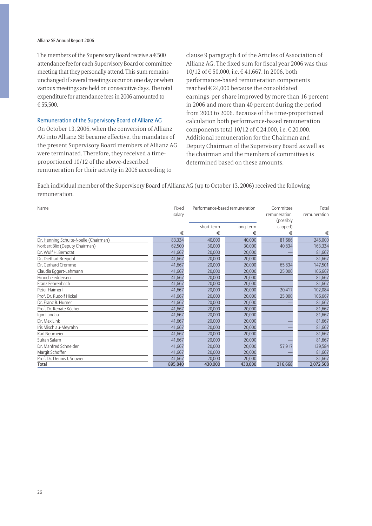#### Allianz SE Annual Report 2006

The members of the Supervisory Board receive a  $\epsilon$  500 attendance fee for each Supervisory Board or committee meeting that they personally attend. This sum remains unchanged if several meetings occur on one day or when various meetings are held on consecutive days. The total expenditure for attendance fees in 2006 amounted to € 55,500.

#### Remuneration of the Supervisory Board of Allianz AG

On October 13, 2006, when the conversion of Allianz AG into Allianz SE became effective, the mandates of the present Supervisory Board members of Allianz AG were terminated. Therefore, they received a timeproportioned 10/12 of the above-described remuneration for their activity in 2006 according to

clause 9 paragraph 4 of the Articles of Association of Allianz AG. The fixed sum for fiscal year 2006 was thus 10/12 of € 50,000, i.e. € 41,667. In 2006, both performance-based remuneration components reached € 24,000 because the consolidated earnings-per-share improved by more than 16 percent in 2006 and more than 40 percent during the period from 2003 to 2006. Because of the time-proportioned calculation both performance-based remuneration components total 10/12 of € 24,000, i.e. € 20,000. Additional remuneration for the Chairman and Deputy Chairman of the Supervisory Board as well as the chairman and the members of committees is determined based on these amounts.

Each individual member of the Supervisory Board of Allianz AG (up to October 13, 2006) received the following remuneration.

| Name                                  | Fixed<br>salary | Performance-based remuneration |           | Committee<br>remuneration<br>(possibly | Total<br>remuneration |
|---------------------------------------|-----------------|--------------------------------|-----------|----------------------------------------|-----------------------|
|                                       |                 | short-term                     | long-term | capped)                                |                       |
|                                       | €               | €                              | €         | €                                      | €                     |
| Dr. Henning Schulte-Noelle (Chairman) | 83,334          | 40,000                         | 40,000    | 81,666                                 | 245,000               |
| Norbert Blix (Deputy Chairman)        | 62,500          | 30,000                         | 30,000    | 40,834                                 | 163,334               |
| Dr. Wulf H. Bernotat                  | 41,667          | 20,000                         | 20,000    |                                        | 81,667                |
| Dr. Diethart Breipohl                 | 41,667          | 20,000                         | 20,000    |                                        | 81,667                |
| Dr. Gerhard Cromme                    | 41,667          | 20,000                         | 20,000    | 65,834                                 | 147,501               |
| Claudia Eggert-Lehmann                | 41,667          | 20,000                         | 20,000    | 25,000                                 | 106,667               |
| Hinrich Feddersen                     | 41,667          | 20,000                         | 20,000    |                                        | 81,667                |
| Franz Fehrenbach                      | 41,667          | 20,000                         | 20,000    |                                        | 81,667                |
| Peter Haimerl                         | 41,667          | 20,000                         | 20,000    | 20,417                                 | 102,084               |
| Prof. Dr. Rudolf Hickel               | 41,667          | 20,000                         | 20,000    | 25,000                                 | 106,667               |
| Dr. Franz B. Humer                    | 41,667          | 20,000                         | 20,000    |                                        | 81,667                |
| Prof. Dr. Renate Köcher               | 41,667          | 20,000                         | 20,000    |                                        | 81,667                |
| Igor Landau                           | 41,667          | 20,000                         | 20,000    |                                        | 81,667                |
| Dr. Max Link                          | 41,667          | 20,000                         | 20,000    |                                        | 81,667                |
| Iris Mischlau-Meyrahn                 | 41,667          | 20,000                         | 20,000    |                                        | 81,667                |
| Karl Neumeier                         | 41,667          | 20,000                         | 20,000    |                                        | 81,667                |
| Sultan Salam                          | 41,667          | 20,000                         | 20,000    |                                        | 81,667                |
| Dr. Manfred Schneider                 | 41,667          | 20,000                         | 20,000    | 57,917                                 | 139,584               |
| Margit Schoffer                       | 41,667          | 20,000                         | 20,000    |                                        | 81,667                |
| Prof. Dr. Dennis J. Snower            | 41,667          | 20,000                         | 20,000    |                                        | 81,667                |
| Total                                 | 895,840         | 430,000                        | 430,000   | 316,668                                | 2,072,508             |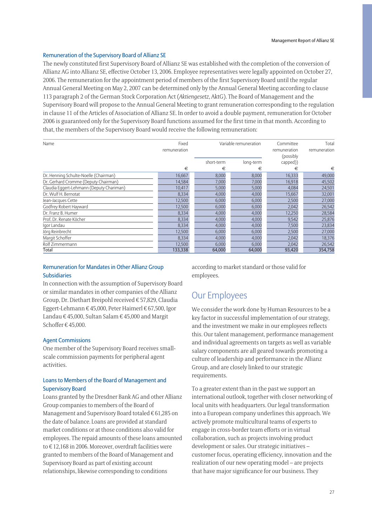### <span id="page-28-0"></span>Remuneration of the Supervisory Board of Allianz SE

The newly constituted first Supervisory Board of Allianz SE was established with the completion of the conversion of Allianz AG into Allianz SE, effective October 13, 2006. Employee representatives were legally appointed on October 27, 2006. The remuneration for the appointment period of members of the first Supervisory Board until the regular Annual General Meeting on May 2, 2007 can be determined only by the Annual General Meeting according to clause 113 paragraph 2 of the German Stock Corporation Act (*Aktiengesetz*, AktG). The Board of Management and the Supervisory Board will propose to the Annual General Meeting to grant remuneration corresponding to the regulation in clause 11 of the Articles of Association of Allianz SE. In order to avoid a double payment, remuneration for October 2006 is guaranteed only for the Supervisory Board functions assumed for the first time in that month. According to that, the members of the Supervisory Board would receive the following remuneration:

| Name                                     | Fixed<br>remuneration |            | Variable remuneration |          | Total<br>remuneration |
|------------------------------------------|-----------------------|------------|-----------------------|----------|-----------------------|
|                                          |                       | short-term | long-term             | capped)) |                       |
|                                          | €                     | €          | €                     | €        | €                     |
| Dr. Henning Schulte-Noelle (Chairman)    | 16,667                | 8,000      | 8,000                 | 16,333   | 49,000                |
| Dr. Gerhard Cromme (Deputy Chairman)     | 14,584                | 7,000      | 7,000                 | 16,918   | 45,502                |
| Claudia Eggert-Lehmann (Deputy Chariman) | 10,417                | 5,000      | 5,000                 | 4,084    | 24,501                |
| Dr. Wulf H. Bernotat                     | 8,334                 | 4,000      | 4,000                 | 15,667   | 32,001                |
| Jean-Jacques Cette                       | 12,500                | 6,000      | 6,000                 | 2,500    | 27,000                |
| Godfrey Robert Hayward                   | 12,500                | 6,000      | 6,000                 | 2,042    | 26,542                |
| Dr. Franz B. Humer                       | 8,334                 | 4,000      | 4,000                 | 12,250   | 28,584                |
| Prof. Dr. Renate Köcher                  | 8,334                 | 4,000      | 4,000                 | 9,542    | 25,876                |
| Igor Landau                              | 8,334                 | 4,000      | 4,000                 | 7,500    | 23,834                |
| Jörg Reinbrecht                          | 12,500                | 6,000      | 6,000                 | 2,500    | 27,000                |
| Margit Schoffer                          | 8,334                 | 4,000      | 4,000                 | 2,042    | 18,376                |
| Rolf Zimmermann                          | 12,500                | 6,000      | 6.000                 | 2,042    | 26,542                |
| Total                                    | 133,338               | 64,000     | 64,000                | 93,420   | 354,758               |

### Remuneration for Mandates in Other Allianz Group Subsidiaries

In connection with the assumption of Supervisory Board or similar mandates in other companies of the Allianz Group, Dr. Diethart Breipohl received € 57,829, Claudia Eggert-Lehmann € 45,000, Peter Haimerl € 67,500, Igor Landau € 45,000, Sultan Salam € 45,000 and Margit Schoffer € 45,000.

## Agent Commissions

One member of the Supervisory Board receives smallscale commission payments for peripheral agent activities.

## Loans to Members of the Board of Management and Supervisory Board

Loans granted by the Dresdner Bank AG and other Allianz Group companies to members of the Board of Management and Supervisory Board totaled € 61,285 on the date of balance. Loans are provided at standard market conditions or at those conditions also valid for employees. The repaid amounts of these loans amounted to € 12,168 in 2006. Moreover, overdraft facilities were granted to members of the Board of Management and Supervisory Board as part of existing account relationships, likewise corresponding to conditions

according to market standard or those valid for employees.

# Our Employees

We consider the work done by Human Resources to be a key factor in successful implementation of our strategy, and the investment we make in our employees reflects this. Our talent management, performance management and individual agreements on targets as well as variable salary components are all geared towards promoting a culture of leadership and performance in the Allianz Group, and are closely linked to our strategic requirements.

To a greater extent than in the past we support an international outlook, together with closer networking of local units with headquarters. Our legal transformation into a European company underlines this approach. We actively promote multicultural teams of experts to engage in cross-border team efforts or in virtual collaboration, such as projects involving product development or sales. Our strategic initiatives – customer focus, operating efficiency, innovation and the realization of our new operating model – are projects that have major significance for our business. They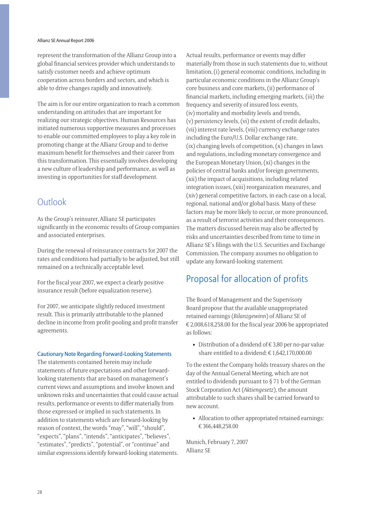#### <span id="page-29-0"></span>Allianz SE Annual Report 2006

represent the transformation of the Allianz Group into a global financial services provider which understands to satisfy customer needs and achieve optimum cooperation across borders and sectors, and which is able to drive changes rapidly and innovatively.

The aim is for our entire organization to reach a common understanding on attitudes that are important for realizing our strategic objectives. Human Resources has initiated numerous supportive measures and processes to enable our committed employees to play a key role in promoting change at the Allianz Group and to derive maximum benefit for themselves and their career from this transformation. This essentially involves developing a new culture of leadership and performance, as well as investing in opportunities for staff development.

# Outlook

As the Group's reinsurer, Allianz SE participates significantly in the economic results of Group companies and associated enterprises.

During the renewal of reinsurance contracts for 2007 the rates and conditions had partially to be adjusted, but still remained on a technically acceptable level.

For the fiscal year 2007, we expect a clearly positive insurance result (before equalization reserve).

For 2007, we anticipate slightly reduced investment result. This is primarily attributable to the planned decline in income from profit-pooling and profit transfer agreements.

### Cautionary Note Regarding Forward-Looking Statements

The statements contained herein may include statements of future expectations and other forwardlooking statements that are based on management's current views and assumptions and involve known and unknown risks and uncertainties that could cause actual results, performance or events to differ materially from those expressed or implied in such statements. In addition to statements which are forward-looking by reason of context, the words "may", "will", "should", "expects", "plans", "intends", "anticipates", "believes", "estimates", "predicts", "potential", or "continue" and similar expressions identify forward-looking statements.

Actual results, performance or events may differ materially from those in such statements due to, without limitation, (i) general economic conditions, including in particular economic conditions in the Allianz Group's core business and core markets, (ii) performance of financial markets, including emerging markets, (iii) the frequency and severity of insured loss events, (iv) mortality and morbidity levels and trends, (v) persistency levels, (vi) the extent of credit defaults, (vii) interest rate levels, (viii) currency exchange rates including the Euro/U.S. Dollar exchange rate, (ix) changing levels of competition, (x) changes in laws and regulations, including monetary convergence and the European Monetary Union, (xi) changes in the policies of central banks and/or foreign governments, (xii) the impact of acquisitions, including related integration issues, (xiii) reorganization measures, and (xiv) general competitive factors, in each case on a local, regional, national and/or global basis. Many of these factors may be more likely to occur, or more pronounced, as a result of terrorist activities and their consequences. The matters discussed herein may also be affected by risks and uncertainties described from time to time in Allianz SE's filings with the U.S. Securities and Exchange Commission. The company assumes no obligation to update any forward-looking statement.

# Proposal for allocation of profits

The Board of Management and the Supervisory Board propose that the available unappropriated retained earnings (*Bilanzgewinn*) of Allianz SE of € 2,008,618,258.00 for the fiscal year 2006 be appropriated as follows:

• Distribution of a dividend of € 3,80 per no-par value share entitled to a dividend:  $\in$  1,642,170,000.00

To the extent the Company holds treasury shares on the day of the Annual General Meeting, which are not entitled to dividends pursuant to  $\S$  71 b of the German Stock Corporation Act (*Aktiengesetz*), the amount attributable to such shares shall be carried forward to new account.

• Allocation to other appropriated retained earnings: € 366,448,258.00

Munich, February 7, 2007 Allianz SE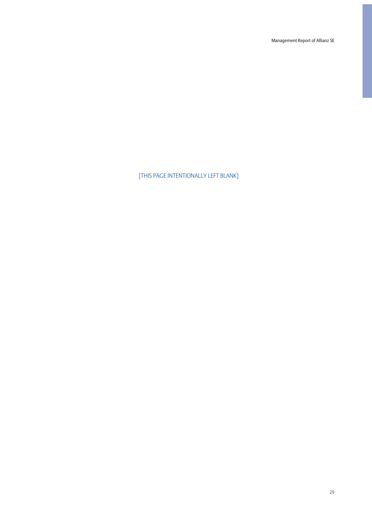[THIS PAGE INTENTIONALLY LEFT BLANK]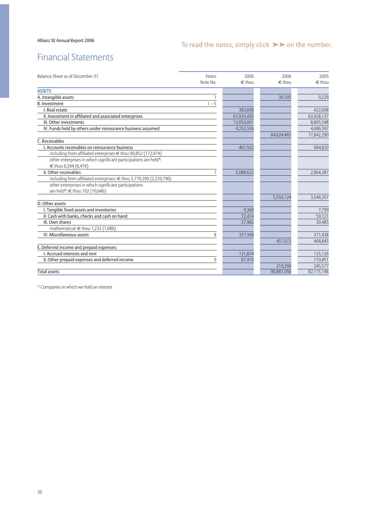# <span id="page-31-0"></span>Financial Statements

| Balance Sheet as of December 31                                     | <b>Notes</b> | 2006            | 2006            | 2005            |
|---------------------------------------------------------------------|--------------|-----------------|-----------------|-----------------|
|                                                                     | Note No.     | $\epsilon$ thou | $\epsilon$ thou | $\epsilon$ thou |
| <b>ASSETS</b>                                                       |              |                 |                 |                 |
| A. Intangible assets                                                |              |                 | 30,105          | 9,229           |
| <b>B.</b> Investment                                                | $1 - 5$      |                 |                 |                 |
| I. Real estate                                                      |              | 383,698         |                 | 422,008         |
| II. Investment in affiliated and associated enterprises             |              | 67,935,430      |                 | 63,928,137      |
| III. Other investments                                              |              | 12,053,001      |                 | 8,805,548       |
| IV. Funds held by others under reinsurance business assumed         |              | 4,252,336       |                 | 4,686,597       |
|                                                                     |              |                 | 84,624,465      | 77,842,290      |
| C. Receivables                                                      |              |                 |                 |                 |
| I. Accounts receivables on reinsurance business                     |              | 461,502         |                 | 684,820         |
| including from affiliated enterprises € thou 90,852 (172,974)       |              |                 |                 |                 |
| other enterprises in which significant participations are held*:    |              |                 |                 |                 |
| € thou 6,394 (6,476)                                                |              |                 |                 |                 |
| II. Other receivables                                               |              | 5,088,622       |                 | 2,864,387       |
| including from affiliated enterprises: € thou 3,779,290 (2,229,796) |              |                 |                 |                 |
| other enterprises in which significant participations               |              |                 |                 |                 |
| are held*: € thou 102 (10,646)                                      |              |                 |                 |                 |
|                                                                     |              |                 | 5,550,124       | 3,549,207       |
| D. Other assets                                                     |              |                 |                 |                 |
| I. Tangible fixed assets and inventories                            |              | 9,368           |                 | 7,799           |
| II. Cash with banks, checks and cash on hand                        |              | 72,414          |                 | 59,121          |
| III. Own shares                                                     |              | 37,982          |                 | 30,485          |
| mathematical: $\in$ thou 1,232 (1,086)                              |              |                 |                 |                 |
| IV. Miscellaneous assets                                            | 8            | 337,308         |                 | 371,438         |
|                                                                     |              |                 | 457,072         | 468,843         |
| E. Deferred income and prepaid expenses:                            |              |                 |                 |                 |
| I. Accrued interests and rent                                       |              | 131,874         |                 | 135,126         |
| II. Other prepaid expenses and deferred income                      | 9            | 87,416          |                 | 110,451         |
|                                                                     |              |                 | 219,290         | 245,577         |
| <b>Total assets</b>                                                 |              |                 | 90,881,056      | 82,115,146      |

\*) Companies in which we hold an interest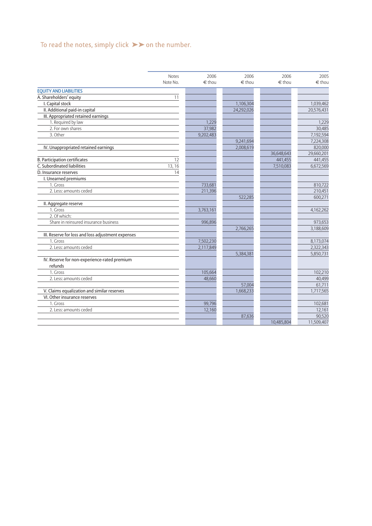# To read the notes, simply click  $\blacktriangleright\blacktriangleright$  on the number.

|                                                    | <b>Notes</b> | 2006            | 2006            | 2006            | 2005       |
|----------------------------------------------------|--------------|-----------------|-----------------|-----------------|------------|
|                                                    | Note No.     | $\epsilon$ thou | $\epsilon$ thou | $\epsilon$ thou | € thou     |
| <b>EQUITY AND LIABILITIES</b>                      |              |                 |                 |                 |            |
| A. Shareholders' equity                            | 11           |                 |                 |                 |            |
| I. Capital stock                                   |              |                 | 1,106,304       |                 | 1,039,462  |
| II. Additional paid-in capital                     |              |                 | 24,292,026      |                 | 20,576,431 |
| III. Appropriated retained earnings                |              |                 |                 |                 |            |
| 1. Required by law                                 |              | 1,229           |                 |                 | 1,229      |
| 2. For own shares                                  |              | 37,982          |                 |                 | 30,485     |
| 3. Other                                           |              | 9,202,483       |                 |                 | 7,192,594  |
|                                                    |              |                 | 9,241,694       |                 | 7,224,308  |
| IV. Unappropriated retained earnings               |              |                 | 2,008,619       |                 | 820,000    |
|                                                    |              |                 |                 | 36,648,643      | 29,660,201 |
| <b>B. Participation certificates</b>               | 12           |                 |                 | 441,455         | 441,455    |
| C. Subordinated liabilities                        | 13, 16       |                 |                 | 7,510,083       | 6,672,569  |
| D. Insurance reserves                              | 14           |                 |                 |                 |            |
| I. Unearned premiums                               |              |                 |                 |                 |            |
| 1. Gross                                           |              | 733,681         |                 |                 | 810,722    |
| 2. Less: amounts ceded                             |              | 211,396         |                 |                 | 210,451    |
|                                                    |              |                 | 522,285         |                 | 600,271    |
| II. Aggregate reserve                              |              |                 |                 |                 |            |
| 1. Gross                                           |              | 3,763,161       |                 |                 | 4,162,262  |
| 2. Of which:                                       |              |                 |                 |                 |            |
| Share in reinsured insurance business              |              | 996,896         |                 |                 | 973,653    |
|                                                    |              |                 | 2,766,265       |                 | 3,188,609  |
| III. Reserve for loss and loss adjustment expenses |              |                 |                 |                 |            |
| 1. Gross                                           |              | 7,502,230       |                 |                 | 8,173,074  |
| 2. Less: amounts ceded                             |              | 2,117,849       |                 |                 | 2,322,343  |
|                                                    |              |                 | 5,384,381       |                 | 5,850,731  |
| IV. Reserve for non-experience-rated premium       |              |                 |                 |                 |            |
| refunds                                            |              |                 |                 |                 |            |
| 1. Gross                                           |              | 105,664         |                 |                 | 102,210    |
| 2. Less: amounts ceded                             |              | 48,660          |                 |                 | 40,499     |
|                                                    |              |                 | 57,004          |                 | 61,711     |
| V. Claims equalization and similar reserves        |              |                 | 1,668,233       |                 | 1,717,565  |
| VI. Other insurance reserves                       |              |                 |                 |                 |            |
| 1. Gross                                           |              | 99,796          |                 |                 | 102,681    |
| 2. Less: amounts ceded                             |              | 12,160          |                 |                 | 12,161     |
|                                                    |              |                 | 87,636          |                 | 90,520     |
|                                                    |              |                 |                 | 10,485,804      | 11,509,407 |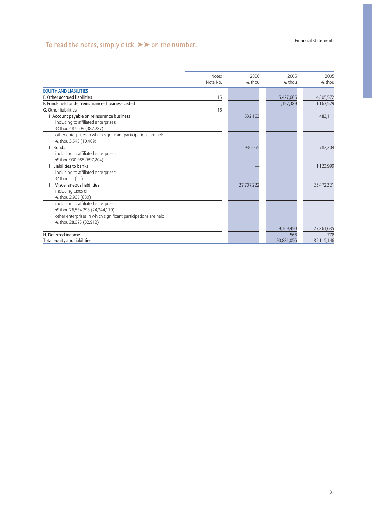# To read the notes, simply click  $\blacktriangleright\blacktriangleright$  on the number.

|                                                                | <b>Notes</b> | 2006            | 2006            | 2005            |
|----------------------------------------------------------------|--------------|-----------------|-----------------|-----------------|
|                                                                | Note No.     | $\epsilon$ thou | $\epsilon$ thou | $\epsilon$ thou |
| <b>EQUITY AND LIABILITIES</b>                                  |              |                 |                 |                 |
| E. Other accrued liabilities                                   | 15           |                 | 5,427,666       | 4,805,572       |
| F. Funds held under reinsurances business ceded                |              |                 | 1,197,389       | 1,163,529       |
| G. Other liabilities                                           | 16           |                 |                 |                 |
| I. Account payable on reinsurance business                     |              | 532,163         |                 | 483,111         |
| including to affiliated enterprises:                           |              |                 |                 |                 |
| € thou 487,609 (387,287)                                       |              |                 |                 |                 |
| other enterprises in which significant participations are held |              |                 |                 |                 |
| € thou 3,543 (10,469)                                          |              |                 |                 |                 |
| II. Bonds                                                      |              | 930,065         |                 | 782,204         |
| including to affiliated enterprises:                           |              |                 |                 |                 |
| € thou 930,065 (697,204)                                       |              |                 |                 |                 |
| II. Liabilities to banks                                       |              |                 |                 | 1,123,999       |
| including to affiliated enterprises:                           |              |                 |                 |                 |
| $\in$ thou $-(-)$                                              |              |                 |                 |                 |
| III. Miscellaneous liabilities                                 |              | 27,707,222      |                 | 25,472,321      |
| including taxes of:                                            |              |                 |                 |                 |
| € thou 2,905 (830)                                             |              |                 |                 |                 |
| including to affiliated enterprises:                           |              |                 |                 |                 |
| € thou 26,534,298 (24,244,119)                                 |              |                 |                 |                 |
| other enterprises in which significant participations are held |              |                 |                 |                 |
| € thou 28,073 (32,912)                                         |              |                 |                 |                 |
|                                                                |              |                 | 29,169,450      | 27,861,635      |
| H. Deferred income                                             |              |                 | 566             | 778             |
| Total equity and liabilities                                   |              |                 | 90,881,056      | 82,115,146      |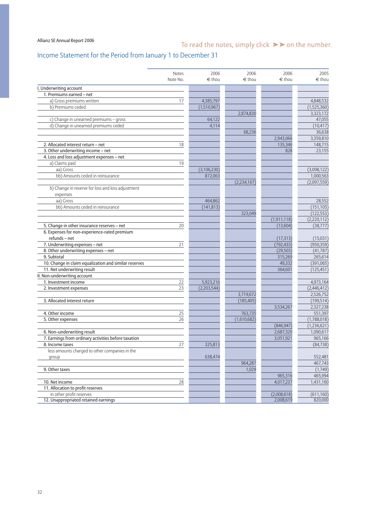# Income Statement for the Period from January 1 to December 31

| <b>Notes</b>                                          | 2006            | 2006            | 2006          | 2005            |
|-------------------------------------------------------|-----------------|-----------------|---------------|-----------------|
| Note No.                                              | $\epsilon$ thou | $\epsilon$ thou | € thou        | $\epsilon$ thou |
| I. Underwriting account                               |                 |                 |               |                 |
| 1. Premiums earned - net                              |                 |                 |               |                 |
| a) Gross premiums written<br>17                       | 4,385,797       |                 |               | 4,848,532       |
| b) Premiums ceded                                     | (1,510,967)     |                 |               | (1,525,360)     |
|                                                       |                 | 2,874,830       |               | 3,323,172       |
| c) Change in unearned premiums - gross                | 64,122          |                 |               | 47,055          |
| d) Change in unearned premiums ceded                  | 4,114           |                 |               | (10, 417)       |
|                                                       |                 | 68,236          |               | 36,638          |
|                                                       |                 |                 | 2,943,066     | 3,359,810       |
| 2. Allocated interest return - net<br>18              |                 |                 | 135,346       | 148,715         |
| 3. Other underwriting income - net                    |                 |                 | 828           | 23,155          |
| 4. Loss and loss adjustment expenses - net            |                 |                 |               |                 |
| a) Claims paid<br>19                                  |                 |                 |               |                 |
| aa) Gross                                             | (3, 106, 230)   |                 |               | (3,098,122)     |
| bb) Amounts ceded in reinsurance                      | 872,063         |                 |               | 1,000,563       |
|                                                       |                 | (2,234,167)     |               | (2,097,559)     |
| b) Change in reserve for loss and loss adjustment     |                 |                 |               |                 |
| expenses                                              |                 |                 |               |                 |
| aa) Gross                                             | 464,862         |                 |               | 28,552          |
| bb) Amounts ceded in reinsurance                      | (141, 813)      |                 |               | (151, 105)      |
|                                                       |                 | 323,049         |               | (122, 553)      |
|                                                       |                 |                 | (1, 911, 118) | (2,220,112)     |
| 5. Change in other insurance reserves - net<br>20     |                 |                 | (13,604)      | (38, 777)       |
| 6. Expenses for non-experience-rated premium          |                 |                 |               |                 |
| refunds - net                                         |                 |                 | (17, 313)     | (15,031)        |
| 7. Underwriting expenses - net<br>21                  |                 |                 | (792, 433)    | (950, 359)      |
| 8. Other underwriting expenses - net                  |                 |                 | (29, 503)     | (41, 787)       |
| 9. Subtotal                                           |                 |                 | 315,269       | 265,614         |
| 10. Change in claim equalization and similar reserves |                 |                 | 49,332        | (391,065)       |
| 11. Net underwriting result                           |                 |                 | 364,601       | (125, 451)      |
| II. Non-underwriting account                          |                 |                 |               |                 |
| 1. Investment income<br>22                            | 5,923,216       |                 |               | 4,973,164       |
| 23<br>2. Investment expenses                          | (2,203,544)     |                 |               | (2,446,412)     |
|                                                       |                 | 3,719,672       |               | 2,526,752       |
| 3. Allocated interest return                          |                 | (185, 405)      |               | (199, 514)      |
|                                                       |                 |                 | 3,534,267     | 2,327,238       |
| 4. Other income<br>25                                 |                 | 763,735         |               | 551,397         |
| 5. Other expenses<br>26                               |                 | (1,610,682)     |               | (1,788,018)     |
|                                                       |                 |                 | (846, 947)    | (1,236,621)     |
| 6. Non-underwriting result                            |                 |                 | 2,687,320     | 1,090,617       |
| 7. Earnings from ordinary activities before taxation  |                 |                 | 3,051,921     | 965,166         |
| 27<br>8. Income taxes                                 | 325,813         |                 |               | (84, 738)       |
| less amounts charged to other companies in the        |                 |                 |               |                 |
| group                                                 | 638,474         |                 |               | 552,481         |
|                                                       |                 | 964,287         |               | 467,743         |
| 9. Other taxes                                        |                 | 1,029           |               | (1, 749)        |
|                                                       |                 |                 | 965,316       | 465,994         |
| 10. Net income<br>28                                  |                 |                 | 4,017,237     | 1,431,160       |
| 11. Allocation to profit reserves                     |                 |                 |               |                 |
| in other profit reserves                              |                 |                 | (2,008,618)   | (611, 160)      |
| 12. Unappropriated retained earnings                  |                 |                 | 2,008,619     | 820,000         |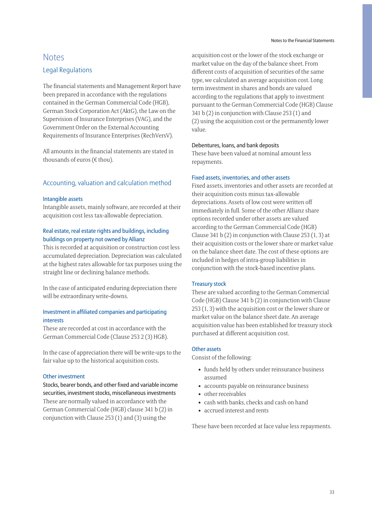# <span id="page-36-0"></span>**Notes**

## Legal Regulations

The financial statements and Management Report have been prepared in accordance with the regulations contained in the German Commercial Code (HGB), German Stock Corporation Act (AktG), the Law on the Supervision of Insurance Enterprises (VAG), and the Government Order on the External Accounting Requirements of Insurance Enterprises (RechVersV).

All amounts in the financial statements are stated in thousands of euros (€ thou).

## Accounting, valuation and calculation method

#### Intangible assets

Intangible assets, mainly software, are recorded at their acquisition cost less tax-allowable depreciation.

### Real estate, real estate rights and buildings, including buildings on property not owned by Allianz

This is recorded at acquisition or construction cost less accumulated depreciation. Depreciation was calculated at the highest rates allowable for tax purposes using the straight line or declining balance methods.

In the case of anticipated enduring depreciation there will be extraordinary write-downs.

### Investment in affiliated companies and participating interests

These are recorded at cost in accordance with the German Commercial Code (Clause 253 2 (3) HGB).

In the case of appreciation there will be write-ups to the fair value up to the historical acquisition costs.

### Other investment

Stocks, bearer bonds, and other fixed and variable income securities, investment stocks, miscellaneous investments These are normally valued in accordance with the German Commercial Code (HGB) clause 341 b (2) in conjunction with Clause 253 (1) and (3) using the

acquisition cost or the lower of the stock exchange or market value on the day of the balance sheet. From different costs of acquisition of securities of the same type, we calculated an average acquisition cost. Long term investment in shares and bonds are valued according to the regulations that apply to investment pursuant to the German Commercial Code (HGB) Clause 341 b (2) in conjunction with Clause 253 (1) and (2) using the acquisition cost or the permanently lower value.

#### Debentures, loans, and bank deposits

These have been valued at nominal amount less repayments.

#### Fixed assets, inventories, and other assets

Fixed assets, inventories and other assets are recorded at their acquisition costs minus tax-allowable depreciations. Assets of low cost were written off immediately in full. Some of the other Allianz share options recorded under other assets are valued according to the German Commercial Code (HGB) Clause 341 b (2) in conjunction with Clause 253 (1, 3) at their acquisition costs or the lower share or market value on the balance sheet date. The cost of these options are included in hedges of intra-group liabilities in conjunction with the stock-based incentive plans.

#### Treasury stock

These are valued according to the German Commercial Code (HGB) Clause 341 b (2) in conjunction with Clause 253 (1, 3) with the acquisition cost or the lower share or market value on the balance sheet date. An average acquisition value has been established for treasury stock purchased at different acquisition cost.

#### Other assets

Consist of the following:

- funds held by others under reinsurance business assumed
- accounts payable on reinsurance business
- other receivables
- cash with banks, checks and cash on hand
- accrued interest and rents

These have been recorded at face value less repayments.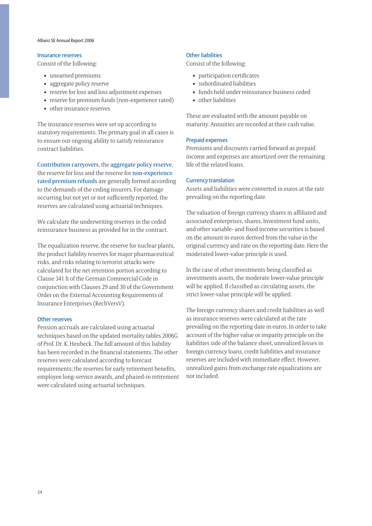#### Insurance reserves

Consist of the following:

- unearned premiums
- aggregate policy reserve
- reserve for loss and loss adjustment expenses
- reserve for premium funds (non-experience rated)
- other insurance reserves

The insurance reserves were set up according to statutory requirements. The primary goal in all cases is to ensure our ongoing ability to satisfy reinsurance contract liabilities.

Contribution carryovers, the aggregate policy reserve, the reserve for loss and the reserve for non-experience rated premium refunds are generally formed according to the demands of the ceding insurers. For damage occurring but not yet or not sufficiently reported, the reserves are calculated using actuarial techniques.

We calculate the underwriting reserves in the ceded reinsurance business as provided for in the contract.

The equalization reserve, the reserve for nuclear plants, the product liability reserves for major pharmaceutical risks, and risks relating to terrorist attacks were calculated for the net retention portion according to Clause 341 h of the German Commercial Code in conjunction with Clauses 29 and 30 of the Government Order on the External Accounting Requirements of Insurance Enterprises (RechVersV).

#### Other reserves

Pension accruals are calculated using actuarial techniques based on the updated mortality tables 2006G of Prof. Dr. K. Heubeck. The full amount of this liability has been recorded in the financial statements. The other reserves were calculated according to forecast requirements; the reserves for early retirement benefits, employee long-service awards, and phased-in retirement were calculated using actuarial techniques.

#### Other liabilities

Consist of the following:

- participation certificates
- subordinated liabilities
- funds held under reinsurance business ceded
- other liabilities

These are evaluated with the amount payable on maturity. Annuities are recorded at their cash value.

#### Prepaid expenses

Premiums and discounts carried forward as prepaid income and expenses are amortized over the remaining life of the related loans.

#### Currency translation

Assets and liabilities were converted in euros at the rate prevailing on the reporting date.

The valuation of foreign currency shares in affiliated and associated enterprises, shares, Investment fund units, and other variable- and fixed income securities is based on the amount in euros derived from the value in the original currency and rate on the reporting date. Here the moderated lower-value principle is used.

In the case of other investments being classified as investments assets, the moderate lower-value principle will be applied. If classified as circulating assets, the strict lower-value principle will be applied.

The foreign currency shares and credit liabilities as well as insurance reserves were calculated at the rate prevailing on the reporting date in euros. In order to take account of the higher value or imparity principle on the liabilities side of the balance sheet, unrealized losses in foreign currency loans, credit liabilities and insurance reserves are included with immediate effect. However, unrealized gains from exchange rate equalizations are not included.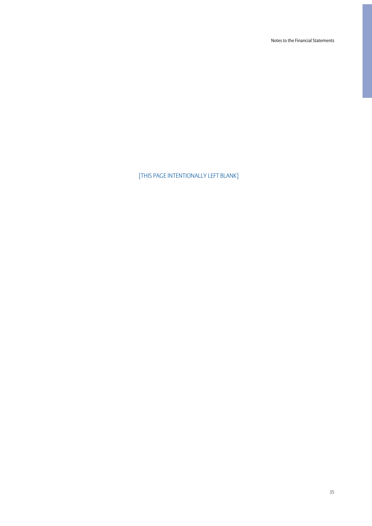[THIS PAGE INTENTIONALLY LEFT BLANK]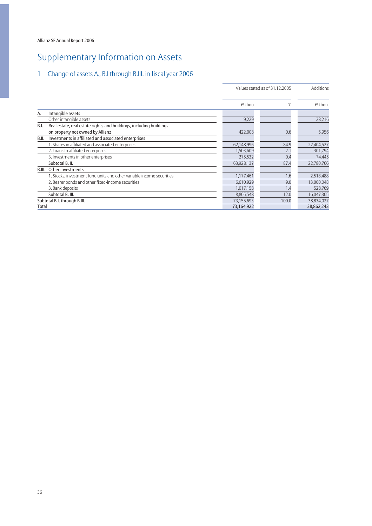# <span id="page-39-0"></span>Supplementary Information on Assets

# 1 Change of assets A., B.I through B.III. in fiscal year 2006

|             |                                                                       | Values stated as of 31.12.2005 |       | Additions       |
|-------------|-----------------------------------------------------------------------|--------------------------------|-------|-----------------|
|             |                                                                       | $\epsilon$ thou                | %     | $\epsilon$ thou |
| А.          | Intangible assets                                                     |                                |       |                 |
|             | Other intangible assets                                               | 9,229                          |       | 28,216          |
| <b>B.I.</b> | Real estate, real estate rights, and buildings, including buildings   |                                |       |                 |
|             | on property not owned by Allianz                                      | 422,008                        | 0.6   | 5,956           |
| B.II.       | Investments in affiliated and associated enterprises                  |                                |       |                 |
|             | 1. Shares in affiliated and associated enterprises                    | 62,148,996                     | 84.9  | 22,404,527      |
|             | 2. Loans to affiliated enterprises                                    | 1,503,609                      | 2.1   | 301,794         |
|             | 3. Investments in other enterprises                                   | 275,532                        | 0.4   | 74,445          |
|             | Subtotal B. II.                                                       | 63,928,137                     | 87.4  | 22,780,766      |
|             | <b>B.III.</b> Other investments                                       |                                |       |                 |
|             | 1. Stocks, investment fund units and other variable income securities | 1,177,461                      | 1.6   | 2,518,488       |
|             | 2. Bearer bonds and other fixed-income securities                     | 6,610,929                      | 9.0   | 13,000,048      |
|             | 3. Bank deposits                                                      | 1,017,158                      | 1.4   | 528,769         |
|             | Subtotal B. III.                                                      | 8,805,548                      | 12.0  | 16,047,305      |
|             | Subtotal B.I. through B.III.                                          | 73,155,693                     | 100.0 | 38,834,027      |
| Total       |                                                                       | 73,164,922                     |       | 38,862,243      |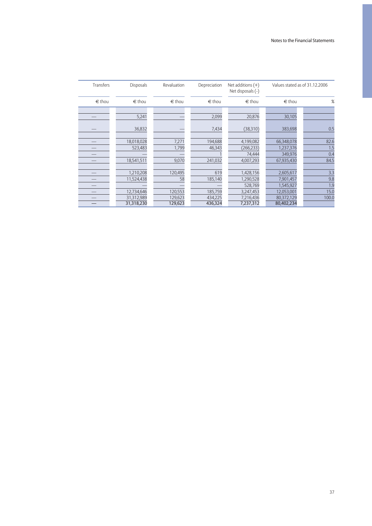| Transfers       | <b>Disposals</b> | Revaluation     | Depreciation    | Net additions $(+)$<br>Net disposals (-) |                 | Values stated as of 31.12.2006 |
|-----------------|------------------|-----------------|-----------------|------------------------------------------|-----------------|--------------------------------|
| $\epsilon$ thou | $\epsilon$ thou  | $\epsilon$ thou | $\epsilon$ thou | $\epsilon$ thou                          | $\epsilon$ thou | %                              |
|                 | 5,241            |                 | 2,099           | 20,876                                   | 30,105          |                                |
|                 | 36,832           |                 | 7,434           | (38, 310)                                | 383,698         | 0.5                            |
|                 | 18,018,028       | 7,271           | 194,688         | 4,199,082                                | 66,348,078      | 82.6                           |
|                 | 523,483          | 1,799           | 46,343          | (266, 233)                               | 1,237,376       | 1.5                            |
|                 |                  |                 |                 | 74,444                                   | 349,976         | 0.4                            |
|                 | 18,541,511       | 9,070           | 241,032         | 4,007,293                                | 67,935,430      | 84.5                           |
|                 |                  |                 |                 |                                          |                 |                                |
|                 | 1,210,208        | 120,495         | 619             | 1,428,156                                | 2,605,617       | 3.3                            |
|                 | 11,524,438       | 58              | 185,140         | 1,290,528                                | 7,901,457       | 9.8                            |
|                 |                  |                 |                 | 528,769                                  | 1,545,927       | 1.9                            |
|                 | 12,734,646       | 120,553         | 185,759         | 3,247,453                                | 12,053,001      | 15.0                           |
|                 | 31,312,989       | 129,623         | 434,225         | 7,216,436                                | 80,372,129      | 100.0                          |
|                 | 31,318,230       | 129,623         | 436,324         | 7,237,312                                | 80,402,234      |                                |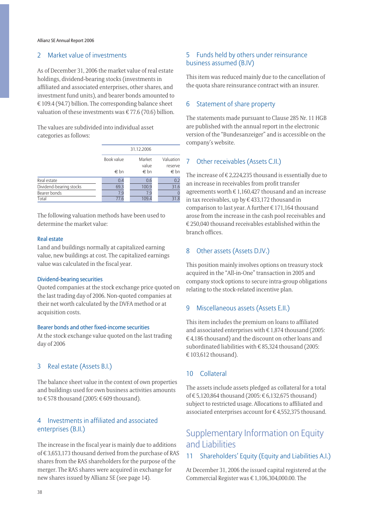# <span id="page-41-0"></span>2 Market value of investments

As of December 31, 2006 the market value of real estate holdings, dividend-bearing stocks (investments in affiliated and associated enterprises, other shares, and investment fund units), and bearer bonds amounted to  $\in$  109.4 (94.7) billion. The corresponding balance sheet valuation of these investments was  $\epsilon$  77.6 (70.6) billion.

The values are subdivided into individual asset categories as follows:

|                         |               | 31.12.2006      |                      |
|-------------------------|---------------|-----------------|----------------------|
|                         | Book value    | Market<br>value | Valuation<br>reserve |
|                         | $\epsilon$ bn | € bn            | € bn                 |
| Real estate             | 0.4           | 0.6             | 0.2                  |
| Dividend-bearing stocks | 69.3          | 100.9           | 31.6                 |
| Bearer bonds            | 7.9           | 7.9             |                      |
| Total                   | 77.6          | 109.4           | 31.8                 |

The following valuation methods have been used to determine the market value:

### Real estate

Land and buildings normally at capitalized earning value, new buildings at cost. The capitalized earnings value was calculated in the fiscal year.

### Dividend-bearing securities

Quoted companies at the stock exchange price quoted on the last trading day of 2006. Non-quoted companies at their net worth calculated by the DVFA method or at acquisition costs.

### Bearer bonds and other fixed-income securities

At the stock exchange value quoted on the last trading day of 2006

# 3 Real estate (Assets B.I.)

The balance sheet value in the context of own properties and buildings used for own business activities amounts to € 578 thousand (2005: € 609 thousand).

# 4 Investments in affiliated and associated enterprises (B.II.)

The increase in the fiscal year is mainly due to additions of € 3,653,173 thousand derived from the purchase of RAS shares from the RAS shareholders for the purpose of the merger. The RAS shares were acquired in exchange for new shares issued by Allianz SE (see page 14).

## 5 Funds held by others under reinsurance business assumed (B.IV)

This item was reduced mainly due to the cancellation of the quota share reinsurance contract with an insurer.

## 6 Statement of share property

The statements made pursuant to Clause 285 Nr. 11 HGB are published with the annual report in the electronic version of the "Bundesanzeiger" and is accessible on the company's website.

# 7 Other receivables (Assets C.II.)

The increase of  $\epsilon$  2,224,235 thousand is essentially due to an increase in receivables from profit transfer agreements worth € 1,160,427 thousand and an increase in tax receivables, up by € 433,172 thousand in comparison to last year. A further € 171,164 thousand arose from the increase in the cash pool receivables and € 250,040 thousand receivables established within the branch offices.

## 8 Other assets (Assets D.IV.)

This position mainly involves options on treasury stock acquired in the "All-in-One" transaction in 2005 and company stock options to secure intra-group obligations relating to the stock-related incentive plan.

# 9 Miscellaneous assets (Assets E.II.)

This item includes the premium on loans to affiliated and associated enterprises with  $\epsilon$  1,874 thousand (2005: € 4,186 thousand) and the discount on other loans and subordinated liabilities with € 85,324 thousand (2005: € 103,612 thousand).

# 10 Collateral

The assets include assets pledged as collateral for a total of € 5,120,864 thousand (2005: € 6,132,675 thousand) subject to restricted usage. Allocations to affiliated and associated enterprises account for € 4,552,375 thousand.

# Supplementary Information on Equity and Liabilities

## 11 Shareholders' Equity (Equity and Liabilities A.I.)

At December 31, 2006 the issued capital registered at the Commercial Register was € 1,106,304,000.00. The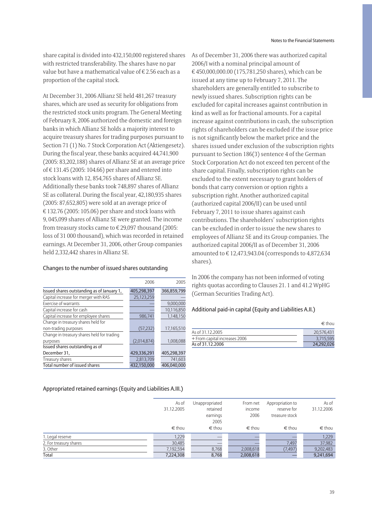share capital is divided into 432,150,000 registered shares with restricted transferability. The shares have no par value but have a mathematical value of € 2.56 each as a proportion of the capital stock.

At December 31, 2006 Allianz SE held 481,267 treasury shares, which are used as security for obligations from the restricted stock units program. The General Meeting of February 8, 2006 authorized the domestic and foreign banks in which Allianz SE holds a majority interest to acquire treasury shares for trading purposes pursuant to Section 71 (1) No. 7 Stock Corporation Act (Aktiengesetz). During the fiscal year, these banks acquired 44,741,900 (2005: 83,202,188) shares of Allianz SE at an average price of € 131.45 (2005: 104.66) per share and entered into stock loans with 12, 854,765 shares of Allianz SE. Additionally these banks took 748,897 shares of Allianz SE as collateral. During the fiscal year, 42,180,935 shares (2005: 87,652,805) were sold at an average price of € 132.76 (2005: 105.06) per share and stock loans with 9, 045,099 shares of Allianz SE were granted. The income from treasury stocks came to € 29,097 thousand (2005: loss of 31 000 thousand), which was recorded in retained earnings. At December 31, 2006, other Group companies held 2,332,442 shares in Allianz SE.

### Changes to the number of issued shares outstanding

|                                            | 2006        | 2005        |
|--------------------------------------------|-------------|-------------|
| Issued shares outstanding as of January 1, | 405,298,397 | 366,859,799 |
| Capital increase for merger with RAS       | 25,123,259  |             |
| Exercise of warrants                       |             | 9,000,000   |
| Capital increase for cash                  |             | 10,116,850  |
| Capital increase for employee shares       | 986,741     | 1,148,150   |
| Change in treasury shares held for         |             |             |
| non-trading purposes                       | (57, 232)   | 17,165,510  |
| Change in treasury shares held for trading |             |             |
| purposes                                   | (2,014,874) | 1,008,088   |
| Issued shares outstanding as of            |             |             |
| December 31,                               | 429,336,291 | 405,298,397 |
| Treasury shares                            | 2,813,709   | 741,603     |
| Total number of issued shares              | 432,150,000 | 406,040,000 |

Appropriated retained earnings (Equity and Liabilities A.III.)

As of December 31, 2006 there was authorized capital 2006/I with a nominal principal amount of € 450,000,000.00 (175,781,250 shares), which can be issued at any time up to February 7, 2011. The shareholders are generally entitled to subscribe to newly issued shares. Subscription rights can be excluded for capital increases against contribution in kind as well as for fractional amounts. For a capital increase against contributions in cash, the subscription rights of shareholders can be excluded if the issue price is not significantly below the market price and the shares issued under exclusion of the subscription rights pursuant to Section 186(3) sentence 4 of the German Stock Corporation Act do not exceed ten percent of the share capital. Finally, subscription rights can be excluded to the extent necessary to grant holders of bonds that carry conversion or option rights a subscription right. Another authorized capital (authorized capital 2006/II) can be used until February 7, 2011 to issue shares against cash contributions. The shareholders' subscription rights can be excluded in order to issue the new shares to employees of Allianz SE and its Group companies. The authorized capital 2006/II as of December 31, 2006 amounted to  $\epsilon$  12,473,943.04 (corresponds to 4,872,634 shares).

In 2006 the company has not been informed of voting rights quotas according to Clauses 21. 1 and 41.2 WpHG (German Securities Trading Act).

### Additional paid-in capital (Equity and Liabilities A.II.)

|                               | $\epsilon$ thou |
|-------------------------------|-----------------|
| As of 31.12.2005              | 20.576.431      |
| + From capital increases 2006 | 3.715.595       |
| As of 31.12.2006              | 24,292,026      |

|                        | As of<br>31.12.2005 | Unappropriated<br>retained<br>earnings<br>2005 | From net<br>income<br>2006 | Appropriation to<br>reserve for<br>treasure stock | As of<br>31.12.2006 |
|------------------------|---------------------|------------------------------------------------|----------------------------|---------------------------------------------------|---------------------|
|                        | $\epsilon$ thou     | $\epsilon$ thou                                | € thou                     | € thou                                            | $\epsilon$ thou     |
| 1. Legal reserve       | 1,229               |                                                |                            |                                                   | 1,229               |
| 2. For treasury shares | 30,485              |                                                |                            | 7,497                                             | 37,982              |
| 3. Other               | 7,192,594           | 8,768                                          | 2,008,618                  | (7, 497)                                          | 9,202,483           |
| Total                  | 7,224,308           | 8,768                                          | 2,008,618                  |                                                   | 9,241,694           |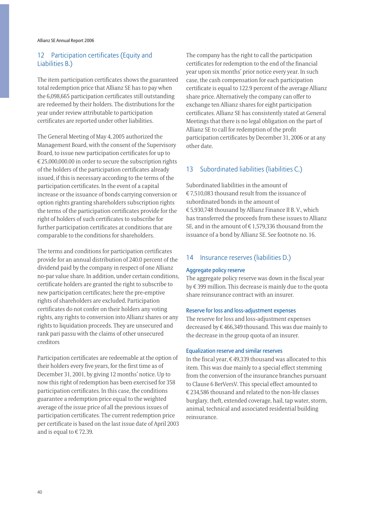# <span id="page-43-0"></span>12 Participation certificates (Equity and Liabilities B.)

The item participation certificates shows the guaranteed total redemption price that Allianz SE has to pay when the 6,098,665 participation certificates still outstanding are redeemed by their holders. The distributions for the year under review attributable to participation certificates are reported under other liabilities.

The General Meeting of May 4, 2005 authorized the Management Board, with the consent of the Supervisory Board, to issue new participation certificates for up to € 25,000,000.00 in order to secure the subscription rights of the holders of the participation certificates already issued, if this is necessary according to the terms of the participation certificates. In the event of a capital increase or the issuance of bonds carrying conversion or option rights granting shareholders subscription rights the terms of the participation certificates provide for the right of holders of such certificates to subscribe for further participation certificates at conditions that are comparable to the conditions for shareholders.

The terms and conditions for participation certificates provide for an annual distribution of 240.0 percent of the dividend paid by the company in respect of one Allianz no-par value share. In addition, under certain conditions, certificate holders are granted the right to subscribe to new participation certificates; here the pre-emptive rights of shareholders are excluded. Participation certificates do not confer on their holders any voting rights, any rights to conversion into Allianz shares or any rights to liquidation proceeds. They are unsecured and rank pari passu with the claims of other unsecured creditors

Participation certificates are redeemable at the option of their holders every five years, for the first time as of December 31, 2001, by giving 12 months' notice. Up to now this right of redemption has been exercised for 358 participation certificates. In this case, the conditions guarantee a redemption price equal to the weighted average of the issue price of all the previous issues of participation certificates. The current redemption price per certificate is based on the last issue date of April 2003 and is equal to  $\epsilon$  72.39.

The company has the right to call the participation certificates for redemption to the end of the financial year upon six months' prior notice every year. In such case, the cash compensation for each participation certificate is equal to 122.9 percent of the average Allianz share price. Alternatively the company can offer to exchange ten Allianz shares for eight participation certificates. Allianz SE has consistently stated at General Meetings that there is no legal obligation on the part of Allianz SE to call for redemption of the profit participation certificates by December 31, 2006 or at any other date.

## 13 Subordinated liabilities (liabilities C.)

Subordinated liabilities in the amount of € 7,510,083 thousand result from the issuance of subordinated bonds in the amount of € 5,930,748 thousand by Allianz Finance II B. V., which has transferred the proceeds from these issues to Allianz SE, and in the amount of  $\in$  1,579,336 thousand from the issuance of a bond by Allianz SE. See footnote no. 16.

## 14 Insurance reserves (liabilities D.)

### Aggregate policy reserve

The aggregate policy reserve was down in the fiscal year by € 399 million. This decrease is mainly due to the quota share reinsurance contract with an insurer.

### Reserve for loss and loss-adjustment expenses

The reserve for loss and loss-adjustment expenses decreased by € 466,349 thousand. This was due mainly to the decrease in the group quota of an insurer.

### Equalization reserve and similar reserves

In the fiscal year,  $\epsilon$  49,339 thousand was allocated to this item. This was due mainly to a special effect stemming from the conversion of the insurance branches pursuant to Clause 6 BerVersV. This special effect amounted to € 234,586 thousand and related to the non-life classes burglary, theft, extended coverage, hail, tap water, storm, animal, technical and associated residential building reinsurance.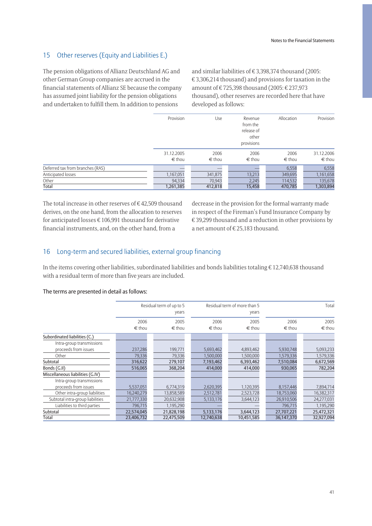# <span id="page-44-0"></span>15 Other reserves (Equity and Liabilities E.)

The pension obligations of Allianz Deutschland AG and other German Group companies are accrued in the financial statements of Allianz SE because the company has assumed joint liability for the pension obligations and undertaken to fulfill them. In addition to pensions

and similar liabilities of € 3,398,374 thousand (2005: € 3,306,214 thousand) and provisions for taxation in the amount of € 725,398 thousand (2005: € 237,973 thousand), other reserves are recorded here that have developed as follows:

|                                  | Provision                     | Use                     | Revenue<br>from the<br>release of<br>other<br>provisions | Allocation     | Provision                     |
|----------------------------------|-------------------------------|-------------------------|----------------------------------------------------------|----------------|-------------------------------|
|                                  | 31.12.2005<br>$\epsilon$ thou | 2006<br>$\epsilon$ thou | 2006<br>$\epsilon$ thou                                  | 2006<br>€ thou | 31.12.2006<br>$\epsilon$ thou |
| Deferred tax from branches (RAS) |                               |                         |                                                          | 6,558          | 6,558                         |
| Anticipated losses               | 1,167,051                     | 341,875                 | 13,213                                                   | 349,695        | 1,161,658                     |
| Other                            | 94,334                        | 70,943                  | 2,245                                                    | 114,532        | 135,678                       |
| Total                            | 1,261,385                     | 412,818                 | 15,458                                                   | 470,785        | 1,303,894                     |

The total increase in other reserves of € 42,509 thousand derives, on the one hand, from the allocation to reserves for anticipated losses  $\epsilon$  106,991 thousand for derivative financial instruments, and, on the other hand, from a

decrease in the provision for the formal warranty made in respect of the Fireman's Fund Insurance Company by € 39,299 thousand and a reduction in other provisions by a net amount of € 25,183 thousand.

# 16 Long-term and secured liabilities, external group financing

In the items covering other liabilities, subordinated liabilities and bonds liabilities totaling € 12,740,638 thousand with a residual term of more than five years are included.

### The terms are presented in detail as follows:

|                                  |                         | Residual term of up to 5<br>years |                 | Residual term of more than 5<br>years |                         | Total           |
|----------------------------------|-------------------------|-----------------------------------|-----------------|---------------------------------------|-------------------------|-----------------|
|                                  | 2006<br>$\epsilon$ thou | 2005<br>$\epsilon$ thou           | 2006            | 2005                                  | 2006<br>$\epsilon$ thou | 2005            |
|                                  |                         |                                   | $\epsilon$ thou | $\epsilon$ thou                       |                         | $\epsilon$ thou |
| Subordinated liabilities (C.)    |                         |                                   |                 |                                       |                         |                 |
| Intra-group transmissions        |                         |                                   |                 |                                       |                         |                 |
| proceeds from issues             | 237,286                 | 199,771                           | 5,693,462       | 4,893,462                             | 5,930,748               | 5,093,233       |
| Other                            | 79,336                  | 79,336                            | 1,500,000       | 1,500,000                             | 1,579,336               | 1,579,336       |
| Subtotal                         | 316,622                 | 279,107                           | 7,193,462       | 6,393,462                             | 7,510,084               | 6,672,569       |
| Bonds (G.II)                     | 516,065                 | 368,204                           | 414,000         | 414,000                               | 930,065                 | 782,204         |
| Miscellaneous liabilities (G.IV) |                         |                                   |                 |                                       |                         |                 |
| Intra-group transmissions        |                         |                                   |                 |                                       |                         |                 |
| proceeds from issues             | 5,537,051               | 6,774,319                         | 2,620,395       | 1,120,395                             | 8,157,446               | 7,894,714       |
| Other intra-group liabilities    | 16,240,279              | 13,858,589                        | 2,512,781       | 2,523,728                             | 18,753,060              | 16,382,317      |
| Subtotal intra-group liabilities | 21,777,330              | 20,632,908                        | 5,133,176       | 3,644,123                             | 26,910,506              | 24,277,031      |
| Liabilities to third parties     | 796,715                 | 1,195,290                         |                 |                                       | 796,715                 | 1,195,290       |
| Subtotal                         | 22,574,045              | 21,828,198                        | 5,133,176       | 3,644,123                             | 27,707,221              | 25,472,321      |
| Total                            | 23,406,732              | 22,475,509                        | 12,740,638      | 10,451,585                            | 36,147,370              | 32,927,094      |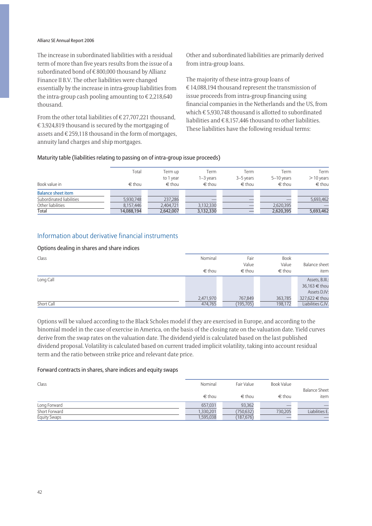#### Allianz SE Annual Report 2006

The increase in subordinated liabilities with a residual term of more than five years results from the issue of a subordinated bond of € 800,000 thousand by Allianz Finance II B.V. The other liabilities were changed essentially by the increase in intra-group liabilities from the intra-group cash pooling amounting to  $\epsilon$  2,218,640 thousand.

From the other total liabilities of  $\epsilon$  27,707,221 thousand, € 3,924,819 thousand is secured by the mortgaging of assets and  $\epsilon$  259,118 thousand in the form of mortgages, annuity land charges and ship mortgages.

Other and subordinated liabilities are primarily derived from intra-group loans.

The majority of these intra-group loans of € 14,088,194 thousand represent the transmission of issue proceeds from intra-group financing using financial companies in the Netherlands and the US, from which € 5,930,748 thousand is allotted to subordinated liabilities and € 8,157,446 thousand to other liabilities. These liabilities have the following residual terms:

### Maturity table (liabilities relating to passing on of intra-group issue proceeds)

| Book value in                                         | Total<br>$\epsilon$ thou | Term up<br>to 1 year<br>€ thou | Term<br>l-3 years<br>$\epsilon$ thou | Term<br>3-5 years<br>$\epsilon$ thou | Term<br>5-10 years<br>$\epsilon$ thou | Term<br>$>$ 10 years<br>€ thou |
|-------------------------------------------------------|--------------------------|--------------------------------|--------------------------------------|--------------------------------------|---------------------------------------|--------------------------------|
| <b>Balance sheet item</b><br>Subordinated liabilities | 5,930,748                | 237,286                        |                                      |                                      |                                       | 5,693,462                      |
| Other liabilities<br>Total                            | 8.157.446<br>14,088,194  | 2,404,721<br>2,642,007         | 3,132,330<br>3,132,330               |                                      | 2,620,395<br>2,620,395                | 5,693,462                      |

## Information about derivative financial instruments

### Options dealing in shares and share indices

| Class      | Nominal   | Fair                     | Book                     |                               |
|------------|-----------|--------------------------|--------------------------|-------------------------------|
|            | € thou    | Value<br>$\epsilon$ thou | Value<br>$\epsilon$ thou | Balance sheet<br>item         |
| Long Call  |           |                          |                          | Assets, B.III.:               |
|            |           |                          |                          | 36,163 € thou<br>Assets D.IV: |
|            | 2,471,970 | 767,849                  | 363,785                  | 327,622 € thou                |
| Short Call | 474,765   | (195, 705)               | 198,172                  | Liabilities G.IV.             |

Options will be valued according to the Black Scholes model if they are exercised in Europe, and according to the binomial model in the case of exercise in America, on the basis of the closing rate on the valuation date. Yield curves derive from the swap rates on the valuation date. The dividend yield is calculated based on the last published dividend proposal. Volatility is calculated based on current traded implicit volatility, taking into account residual term and the ratio between strike price and relevant date price.

### Forward contracts in shares, share indices and equity swaps

| Class               | Nominal   | Fair Value | Book Value | <b>Balance Sheet</b> |
|---------------------|-----------|------------|------------|----------------------|
|                     | € thou    | € thou     | € thou     | item                 |
| Long Forward        | 657,031   | 93,362     |            |                      |
| Short Forward       | 1,330,201 | (750, 632) | 730,205    | Liabilities E.       |
| <b>Equity Swaps</b> | 1,595,038 | (187, 676) |            |                      |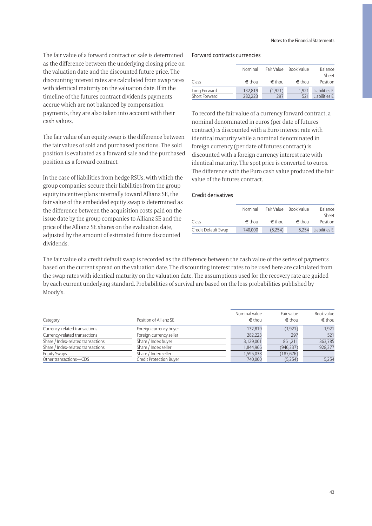The fair value of a forward contract or sale is determined as the difference between the underlying closing price on the valuation date and the discounted future price. The discounting interest rates are calculated from swap rates with identical maturity on the valuation date. If in the timeline of the futures contract dividends payments accrue which are not balanced by compensation payments, they are also taken into account with their cash values.

The fair value of an equity swap is the difference between the fair values of sold and purchased positions. The sold position is evaluated as a forward sale and the purchased position as a forward contract.

In the case of liabilities from hedge RSUs, with which the group companies secure their liabilities from the group equity incentive plans internally toward Allianz SE, the fair value of the embedded equity swap is determined as the difference between the acquisition costs paid on the issue date by the group companies to Allianz SE and the price of the Allianz SE shares on the evaluation date, adjusted by the amount of estimated future discounted dividends.

#### Forward contracts currencies

|                               | Nominal            |                 | Fair Value Book Value | Balance<br>Sheet                 |
|-------------------------------|--------------------|-----------------|-----------------------|----------------------------------|
| Class                         | € thou             | $\epsilon$ thou | € thou                | Position                         |
| Long Forward<br>Short Forward | 132.819<br>282.223 | (1, 921)<br>297 | 1.921<br>521          | Liabilities E.<br>Liabilities E. |

To record the fair value of a currency forward contract, a nominal denominated in euros (per date of futures contract) is discounted with a Euro interest rate with identical maturity while a nominal denominated in foreign currency (per date of futures contract) is discounted with a foreign currency interest rate with identical maturity. The spot price is converted to euros. The difference with the Euro cash value produced the fair value of the futures contract.

#### Credit derivatives

|                     | Nominal         |                 | Fair Value Book Value | Balance<br>Sheet     |
|---------------------|-----------------|-----------------|-----------------------|----------------------|
| Class               | $\epsilon$ thou | $\epsilon$ thou | $\epsilon$ thou       | Position             |
| Credit Default Swap | 740,000         | (5,254)         |                       | 5,254 Liabilities E. |
|                     |                 |                 |                       |                      |

The fair value of a credit default swap is recorded as the difference between the cash value of the series of payments based on the current spread on the valuation date. The discounting interest rates to be used here are calculated from the swap rates with identical maturity on the valuation date. The assumptions used for the recovery rate are guided by each current underlying standard. Probabilities of survival are based on the loss probabilities published by Moody's.

| Category                           | Position of Allianz SE  | Nominal value<br>$\epsilon$ thou | Fair value<br>€ thou | Book value<br>$\epsilon$ thou |
|------------------------------------|-------------------------|----------------------------------|----------------------|-------------------------------|
| Currency-related transactions      | Foreign currency buyer  | 132,819                          | (1, 921)             | 1,921                         |
| Currency-related transactions      | Foreign currency seller | 282,223                          | 297                  | 521                           |
| Share / Index-related transactions | Share / Index buyer     | 3,129,001                        | 861,211              | 363,785                       |
| Share / Index-related transactions | Share / Index seller    | 1,844,966                        | (946, 337)           | 928,377                       |
| <b>Equity Swaps</b>                | Share / Index seller    | 1,595,038                        | (187, 676)           |                               |
| Other transactions-CDS             | Credit Protection Buyer | 740,000                          | (5,254)              | 5,254                         |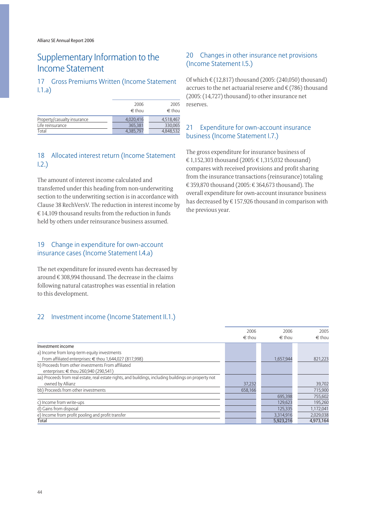# <span id="page-47-0"></span>Supplementary Information to the Income Statement

## 17 Gross Premiums Written (Income Statement  $I.1.a)$

|                             | 2006<br>$\epsilon$ thou | 2005<br>$\epsilon$ thou |
|-----------------------------|-------------------------|-------------------------|
| Property/casualty insurance | 4,020,416               | 4,518,467               |
| Life reinsurance            | 365,381                 | 330,065                 |
| Total                       | 4,385,797               | 4,848,532               |

# 18 Allocated interest return (Income Statement I.2.)

The amount of interest income calculated and transferred under this heading from non-underwriting section to the underwriting section is in accordance with Clause 38 RechVersV. The reduction in interest income by  $\epsilon$  14.109 thousand results from the reduction in funds held by others under reinsurance business assumed.

## 19 Change in expenditure for own-account insurance cases (Income Statement I.4.a)

The net expenditure for insured events has decreased by around € 308,994 thousand. The decrease in the claims following natural catastrophes was essential in relation to this development.

# 22 Investment income (Income Statement II.1.)

|                                                                                                       | 2006<br>$\epsilon$ thou | 2006<br>€ thou | 2005<br>$\epsilon$ thou |
|-------------------------------------------------------------------------------------------------------|-------------------------|----------------|-------------------------|
| Investment income                                                                                     |                         |                |                         |
| a) Income from long-term equity investments                                                           |                         |                |                         |
| From affiliated enterprises: € thou 1,644,027 (817,998)                                               |                         | 1,657,944      | 821,223                 |
| b) Proceeds from other investments From affiliated                                                    |                         |                |                         |
| enterprises: € thou 260,940 (290,541)                                                                 |                         |                |                         |
| aa) Proceeds from real estate, real estate rights, and buildings, including buildings on property not |                         |                |                         |
| owned by Allianz                                                                                      | 37,232                  |                | 39,702                  |
| bb) Proceeds from other investments                                                                   | 658,166                 |                | 715,900                 |
|                                                                                                       |                         | 695,398        | 755,602                 |
| c) Income from write-ups                                                                              |                         | 129,623        | 195,260                 |
| d) Gains from disposal                                                                                |                         | 125,335        | 1,172,041               |
| e) Income from profit pooling and profit transfer                                                     |                         | 3,314,916      | 2,029,038               |
| Total                                                                                                 |                         | 5,923,216      | 4.973.164               |

## 20 Changes in other insurance net provisions (Income Statement I.5.)

Of which € (12,817) thousand (2005: (240,050) thousand) accrues to the net actuarial reserve and  $\epsilon$  (786) thousand (2005: (14,727) thousand) to other insurance net reserves.

# 21 Expenditure for own-account insurance business (Income Statement I.7.)

The gross expenditure for insurance business of € 1,152,303 thousand (2005: € 1,315,032 thousand) compares with received provisions and profit sharing from the insurance transactions (reinsurance) totaling € 359,870 thousand (2005: € 364,673 thousand). The overall expenditure for own-account insurance business has decreased by € 157,926 thousand in comparison with the previous year.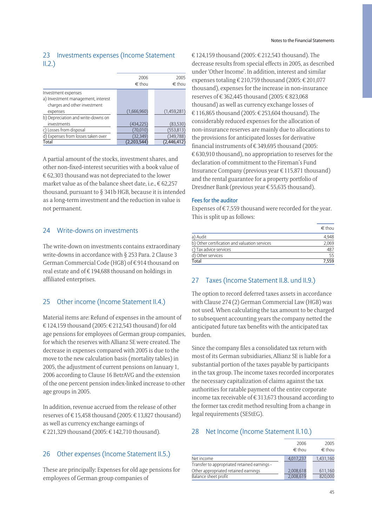## <span id="page-48-0"></span>23 Investments expenses (Income Statement  $II.2.$

|                                    | 2006<br>$\epsilon$ thou | 2005<br>€ thou |
|------------------------------------|-------------------------|----------------|
| Investment expenses                |                         |                |
| a) Investment management, interest |                         |                |
| charges and other investment       |                         |                |
| expenses                           | (1,666,960)             | (1,459,281)    |
| b) Depreciation and write-downs on |                         |                |
| investments                        | (434, 225)              | (83, 530)      |
| c) Losses from disposal            | (70,010)                | (553, 813)     |
| d) Expenses from losses taken over | (32, 349)               | (349, 788)     |
| Total                              |                         | (2, 446, 412)  |

A partial amount of the stocks, investment shares, and other non-fixed-interest securities with a book value of  $\epsilon$  62,303 thousand was not depreciated to the lower market value as of the balance sheet date, i.e.,  $\epsilon$  62,257 thousand, pursuant to § 341b HGB, because it is intended as a long-term investment and the reduction in value is not permanent.

## 24 Write-downs on investments

The write-down on investments contains extraordinary write-downs in accordance with § 253 Para. 2 Clause 3 German Commercial Code (HGB) of € 914 thousand on real estate and of € 194,688 thousand on holdings in affiliated enterprises.

## 25 Other income (Income Statement II.4.)

Material items are: Refund of expenses in the amount of € 124,159 thousand (2005: € 212,543 thousand) for old age pensions for employees of German group companies, for which the reserves with Allianz SE were created. The decrease in expenses compared with 2005 is due to the move to the new calculation basis (mortality tables) in 2005, the adjustment of current pensions on January 1, 2006 according to Clause 16 BetrAVG and the extension of the one percent pension index-linked increase to other age groups in 2005.

In addition, revenue accrued from the release of other reserves of € 15,458 thousand (2005: € 13,827 thousand) as well as currency exchange earnings of € 221,329 thousand (2005: € 142,710 thousand).

## 26 Other expenses (Income Statement II.5.)

These are principally: Expenses for old age pensions for employees of German group companies of

€ 124,159 thousand (2005: € 212,543 thousand). The decrease results from special effects in 2005, as described under 'Other Income'. In addition, interest and similar expenses totaling  $\epsilon$  210,759 thousand (2005:  $\epsilon$  201,077 thousand), expenses for the increase in non-insurance reserves of € 362,445 thousand (2005: € 823,068 thousand) as well as currency exchange losses of € 116,865 thousand (2005: € 253,604 thousand). The considerably reduced expenses for the allocation of non-insurance reserves are mainly due to allocations to the provisions for anticipated losses for derivative financial instruments of € 349,695 thousand (2005: € 630,910 thousand), no appropriation to reserves for the declaration of commitment to the Fireman's Fund Insurance Company (previous year € 115,871 thousand) and the rental guarantee for a property portfolio of Dresdner Bank (previous year € 55,635 thousand).

#### Fees for the auditor

Expenses of  $\epsilon$  7,559 thousand were recorded for the year. This is split up as follows:

|                                               | $\epsilon$ thou |
|-----------------------------------------------|-----------------|
| a) Audit                                      | 4.948           |
| b) Other certification and valuation services | 2.069           |
| c) Tax advice services                        | 487             |
| d) Other services                             | 55              |
| Total                                         | 7.559           |

# 27 Taxes (Income Statement II.8. und II.9.)

The option to record deferred taxes assets in accordance with Clause 274 (2) German Commercial Law (HGB) was not used. When calculating the tax amount to be charged to subsequent accounting years the company netted the anticipated future tax benefits with the anticipated tax burden.

Since the company files a consolidated tax return with most of its German subsidiaries, Allianz SE is liable for a substantial portion of the taxes payable by participants in the tax group. The income taxes recorded incorporates the necessary capitalization of claims against the tax authorities for ratable payment of the entire corporate income tax receivable of € 313,673 thousand according to the former tax credit method resulting from a change in legal requirements (SEStEG).

## 28 Net Income (Income Statement II.10.)

|                                              | 2006<br>$\epsilon$ thou | 2005<br>$\epsilon$ thou |
|----------------------------------------------|-------------------------|-------------------------|
| Net income                                   | 4,017,237               | 1,431,160               |
| Transfer to appropriated retained earnings - |                         |                         |
| Other appropriated retained earnings         | 2,008,618               | 611,160                 |
| Balance sheet profit                         | 2,008,619               | 820,000                 |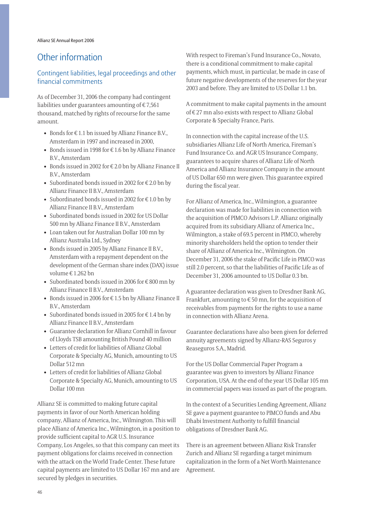# <span id="page-49-0"></span>Other information

# Contingent liabilities, legal proceedings and other financial commitments

As of December 31, 2006 the company had contingent liabilities under guarantees amounting of  $\epsilon$  7,561 thousand, matched by rights of recourse for the same amount.

- Bonds for  $\epsilon$  1.1 bn issued by Allianz Finance B.V., Amsterdam in 1997 and increased in 2000,
- Bonds issued in 1998 for € 1.6 bn by Allianz Finance B.V., Amsterdam
- Bonds issued in 2002 for € 2.0 bn by Allianz Finance II B.V., Amsterdam
- Subordinated bonds issued in 2002 for € 2.0 bn by Allianz Finance II B.V., Amsterdam
- Subordinated bonds issued in 2002 for  $\epsilon$  1.0 bn by Allianz Finance II B.V., Amsterdam
- Subordinated bonds issued in 2002 for US Dollar 500 mn by Allianz Finance II B.V., Amsterdam
- Loan taken out for Australian Dollar 100 mn by Allianz Australia Ltd., Sydney
- Bonds issued in 2005 by Allianz Finance II B.V., Amsterdam with a repayment dependent on the development of the German share index (DAX) issue volume € 1.262 bn
- Subordinated bonds issued in 2006 for € 800 mn by Allianz Finance II B.V., Amsterdam
- Bonds issued in 2006 for € 1.5 bn by Allianz Finance II B.V., Amsterdam
- Subordinated bonds issued in 2005 for  $\epsilon$  1.4 bn by Allianz Finance II B.V., Amsterdam
- Guarantee declaration for Allianz Cornhill in favour of Lloyds TSB amounting British Pound 40 million
- Letters of credit for liabilities of Allianz Global Corporate & Specialty AG, Munich, amounting to US Dollar 512 mn
- Letters of credit for liabilities of Allianz Global Corporate & Specialty AG, Munich, amounting to US Dollar 100 mn

Allianz SE is committed to making future capital payments in favor of our North American holding company, Allianz of America, Inc., Wilmington. This will place Allianz of America Inc., Wilmington, in a position to provide sufficient capital to AGR U.S. Insurance Company, Los Angeles, so that this company can meet its payment obligations for claims received in connection with the attack on the World Trade Center. These future capital payments are limited to US Dollar 167 mn and are secured by pledges in securities.

With respect to Fireman's Fund Insurance Co., Novato, there is a conditional commitment to make capital payments, which must, in particular, be made in case of future negative developments of the reserves for the year 2003 and before. They are limited to US Dollar 1.1 bn.

A commitment to make capital payments in the amount of € 27 mn also exists with respect to Allianz Global Corporate & Specialty France, Paris.

In connection with the capital increase of the U.S. subsidiaries Allianz Life of North America, Fireman's Fund Insurance Co. and AGR US Insurance Company, guarantees to acquire shares of Allianz Life of North America and Allianz Insurance Company in the amount of US Dollar 650 mn were given. This guarantee expired during the fiscal year.

For Allianz of America, Inc., Wilmington, a guarantee declaration was made for liabilities in connection with the acquisition of PIMCO Advisors L.P. Allianz originally acquired from its subsidiary Allianz of America Inc., Wilmington, a stake of 69.5 percent in PIMCO, whereby minority shareholders held the option to tender their share of Allianz of America Inc., Wilmington. On December 31, 2006 the stake of Pacific Life in PIMCO was still 2.0 percent, so that the liabilities of Pacific Life as of December 31, 2006 amounted to US Dollar 0.3 bn.

A guarantee declaration was given to Dresdner Bank AG, Frankfurt, amounting to  $\epsilon$  50 mn, for the acquisition of receivables from payments for the rights to use a name in connection with Allianz Arena.

Guarantee declarations have also been given for deferred annuity agreements signed by Allianz-RAS Seguros y Reaseguros S.A., Madrid.

For the US Dollar Commercial Paper Program a guarantee was given to investors by Allianz Finance Corporation, USA. At the end of the year US Dollar 105 mn in commercial papers was issued as part of the program.

In the context of a Securities Lending Agreement, Allianz SE gave a payment guarantee to PIMCO funds and Abu Dhabi Investment Authority to fulfill financial obligations of Dresdner Bank AG.

There is an agreement between Allianz Risk Transfer Zurich and Allianz SE regarding a target minimum capitalization in the form of a Net Worth Maintenance Agreement.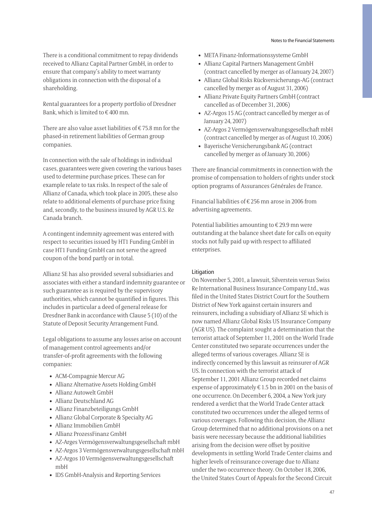There is a conditional commitment to repay dividends received to Allianz Capital Partner GmbH, in order to ensure that company's ability to meet warranty obligations in connection with the disposal of a shareholding.

Rental guarantees for a property portfolio of Dresdner Bank, which is limited to  $€$  400 mn.

There are also value asset liabilities of  $\epsilon$  75.8 mn for the phased-in retirement liabilities of German group companies.

In connection with the sale of holdings in individual cases, guarantees were given covering the various bases used to determine purchase prices. These can for example relate to tax risks. In respect of the sale of Allianz of Canada, which took place in 2005, these also relate to additional elements of purchase price fixing and, secondly, to the business insured by AGR U.S. Re Canada branch.

A contingent indemnity agreement was entered with respect to securities issued by HT1 Funding GmbH in case HT1 Funding GmbH can not serve the agreed coupon of the bond partly or in total.

Allianz SE has also provided several subsidiaries and associates with either a standard indemnity guarantee or such guarantee as is required by the supervisory authorities, which cannot be quantified in figures. This includes in particular a deed of general release for Dresdner Bank in accordance with Clause 5 (10) of the Statute of Deposit Security Arrangement Fund.

Legal obligations to assume any losses arise on account of management control agreements and/or transfer-of-profit agreements with the following companies:

- ACM-Compagnie Mercur AG
- Allianz Alternative Assets Holding GmbH
- Allianz Autowelt GmbH
- Allianz Deutschland AG
- Allianz Finanzbeteiligungs GmbH
- Allianz Global Corporate & Specialty AG
- Allianz Immobilien GmbH
- Allianz ProzessFinanz GmbH
- AZ-Arges Vermögensverwaltungsgesellschaft mbH
- AZ-Argos 3 Vermögensverwaltungsgesellschaft mbH
- AZ-Argos 10 Vermögensverwaltungsgesellschaft mbH
- IDS GmbH-Analysis and Reporting Services
- META Finanz-Informationssysteme GmbH
- Allianz Capital Partners Management GmbH (contract cancelled by merger as of January 24, 2007)
- Allianz Global Risks Rückversicherungs-AG (contract cancelled by merger as of August 31, 2006)
- Allianz Private Equity Partners GmbH (contract cancelled as of December 31, 2006)
- AZ-Argos 15 AG (contract cancelled by merger as of January 24, 2007)
- AZ-Argos 2 Vermögensverwaltungsgesellschaft mbH (contract cancelled by merger as of August 10, 2006)
- Bayerische Versicherungsbank AG (contract cancelled by merger as of January 30, 2006)

There are financial commitments in connection with the promise of compensation to holders of rights under stock option programs of Assurances Générales de France.

Financial liabilities of € 256 mn arose in 2006 from advertising agreements.

Potential liabilities amounting to  $\epsilon$  29.9 mn were outstanding at the balance sheet date for calls on equity stocks not fully paid up with respect to affiliated enterprises.

### Litigation

On November 5, 2001, a lawsuit, Silverstein versus Swiss Re International Business Insurance Company Ltd., was filed in the United States District Court for the Southern District of New York against certain insurers and reinsurers, including a subsidiary of Allianz SE which is now named Allianz Global Risks US Insurance Company (AGR US). The complaint sought a determination that the terrorist attack of September 11, 2001 on the World Trade Center constituted two separate occurrences under the alleged terms of various coverages. Allianz SE is indirectly concerned by this lawsuit as reinsurer of AGR US. In connection with the terrorist attack of September 11, 2001 Allianz Group recorded net claims expense of approximately  $\epsilon$  1.5 bn in 2001 on the basis of one occurrence. On December 6, 2004, a New York jury rendered a verdict that the World Trade Center attack constituted two occurrences under the alleged terms of various coverages. Following this decision, the Allianz Group determined that no additional provisions on a net basis were necessary because the additional liabilities arising from the decision were offset by positive developments in settling World Trade Center claims and higher levels of reinsurance coverage due to Allianz under the two occurrence theory. On October 18, 2006, the United States Court of Appeals for the Second Circuit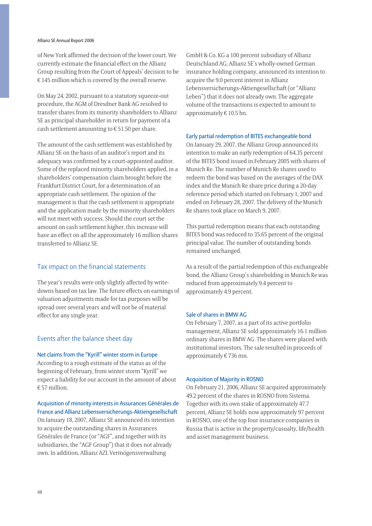#### Allianz SE Annual Report 2006

of New York affirmed the decision of the lower court. We currently estimate the financial effect on the Allianz Group resulting from the Court of Appeals' decision to be € 145 million which is covered by the overall reserve.

On May 24, 2002, pursuant to a statutory squeeze-out procedure, the AGM of Dresdner Bank AG resolved to transfer shares from its minority shareholders to Allianz SE as principal shareholder in return for payment of a cash settlement amounting to  $\epsilon$  51.50 per share.

The amount of the cash settlement was established by Allianz SE on the basis of an auditor's report and its adequacy was confirmed by a court-appointed auditor. Some of the replaced minority shareholders applied, in a shareholders' compensation claim brought before the Frankfurt District Court, for a determination of an appropriate cash settlement. The opinion of the management is that the cash settlement is appropriate and the application made by the minority shareholders will not meet with success. Should the court set the amount on cash settlement higher, this increase will have an effect on all the approximately 16 million shares transferred to Allianz SE.

## Tax impact on the financial statements

The year's results were only slightly affected by writedowns based on tax law. The future effects on earnings of valuation adjustments made for tax purposes will be spread over several years and will not be of material effect for any single year.

## Events after the balance sheet day

#### Net claims from the "Kyrill" winter storm in Europe

According to a rough estimate of the status as of the beginning of February, from winter storm "Kyrill" we expect a liability for our account in the amount of about  $€57$  million

## Acquisition of minority interests in Assurances Générales de France and Allianz Lebensversicherungs-Aktiengesellschaft

On January 18, 2007, Allianz SE announced its intention to acquire the outstanding shares in Assurances Générales de France (or "AGF", and together with its subsidiaries, the "AGF Group") that it does not already own. In addition, Allianz AZL Vermögensverwaltung

GmbH & Co. KG a 100 percent subsidiary of Allianz Deutschland AG, Allianz SE's wholly-owned German insurance holding company, announced its intention to acquire the 9.0 percent interest in Allianz Lebensversicherungs-Aktiengesellschaft (or "Allianz Leben") that it does not already own. The aggregate volume of the transactions is expected to amount to approximately  $\notin$  10.5 bn.

## Early partial redemption of BITES exchangeable bond

On January 29, 2007, the Allianz Group announced its intention to make an early redemption of 64.35 percent of the BITES bond issued in February 2005 with shares of Munich Re. The number of Munich Re shares used to redeem the bond was based on the averages of the DAX index and the Munich Re share price during a 20-day reference period which started on February 1, 2007 and ended on February 28, 2007. The delivery of the Munich Re shares took place on March 9, 2007.

This partial redemption means that each outstanding BITES bond was reduced to 35.65 percent of the original principal value. The number of outstanding bonds remained unchanged.

As a result of the partial redemption of this exchangeable bond, the Allianz Group's shareholding in Munich Re was reduced from approximately 9.4 percent to approximately 4.9 percent.

## Sale of shares in BMW AG

On February 7, 2007, as a part of its active portfolio management, Allianz SE sold approximately 16.1 million ordinary shares in BMW AG. The shares were placed with institutional investors. The sale resulted in proceeds of approximately € 736 mn.

## Acquisition of Majority in ROSNO

On February 21, 2006, Allianz SE acquired approximately 49.2 percent of the shares in ROSNO from Sistema. Together with its own stake of approximately 47.7 percent, Allianz SE holds now approximately 97 percent in ROSNO, one of the top four insurance companies in Russia that is active in the property/casualty, life/health and asset management business.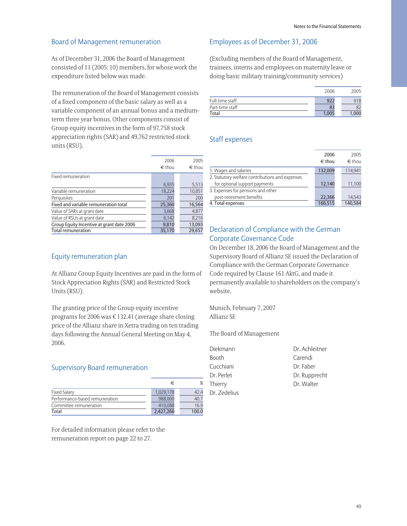## Board of Management remuneration

As of December 31, 2006 the Board of Management consisted of 11 (2005: 10) members, for whose work the expenditure listed below was made.

The remuneration of the Board of Management consists of a fixed component of the basic salary as well as a variable component of an annual bonus and a mediumterm three year bonus. Other components consist of Group equity incentives in the form of 97,758 stock appreciation rights (SAR) and 49,762 restricted stock units (RSU).

|                                           | 2006<br>$\epsilon$ thou | 2005<br>$\in$ thou |
|-------------------------------------------|-------------------------|--------------------|
| Fixed remuneration                        |                         |                    |
|                                           | 6,935                   | 5,513              |
| Variable remuneration                     | 18,224                  | 10,851             |
| Perquisites                               | 201                     | 200                |
| Fixed and variable remuneration total     | 25,360                  | 16,564             |
| Value of SARs at grant date               | 3,668                   | 4,877              |
| Value of RSUs at grant date               | 6,142                   | 8,216              |
| Group Equity Incentive at grant date 2006 | 9,810                   | 13,093             |
| <b>Total remuneration</b>                 | 35,170                  | 29,657             |

## Equity remuneration plan

At Allianz Group Equity Incentives are paid in the form of Stock Appreciation Rights (SAR) and Restricted Stock Units (RSU).

The granting price of the Group equity incentive programs for 2006 was € 132.41 (average share closing price of the Allianz share in Xetra trading on ten trading days following the Annual General Meeting on May 4, 2006.

## Supervisory Board remuneration

|                                | €         | ℁     |
|--------------------------------|-----------|-------|
| <b>Fixed Salary</b>            | 1.029.178 | 47 4  |
| Performance-based remuneration | 988,000   | 40.7  |
| Committee remuneration         | 410,088   | 16.9  |
| Total                          | 2.427.266 | 100.0 |

For detailed information please refer to the remuneration report on page 22 to 27.

## Employees as of December 31, 2006

(Excluding members of the Board of Management, trainees, interns and employees on maternity leave or doing basic military training/community services)

|                 | 2006  | 2005  |
|-----------------|-------|-------|
| Full-time staff |       | 18    |
| Part-time staff | 83    |       |
| Total           | 1.005 | 1.000 |

## Staff expenses

|                                                 | 2006<br>$\in$ thou | 2005<br>$\epsilon$ thou |
|-------------------------------------------------|--------------------|-------------------------|
| 1. Wages and salaries                           | 132,009            | 114,941                 |
| 2. Statutory welfare contributions and expenses |                    |                         |
| for optional support payments                   | 12,140             | 11,100                  |
| 3. Expenses for pensions and other              |                    |                         |
| post-retirement benefits                        | 22,366             | 14,543                  |
| 4. Total expenses                               | 166,515            | 140,584                 |

# Declaration of Compliance with the German Corporate Governance Code

On December 18, 2006 the Board of Management and the Supervisory Board of Allianz SE issued the Declaration of Compliance with the German Corporate Governance Code required by Clause 161 AktG, and made it permanently available to shareholders on the company's website.

Munich, February 7, 2007 Allianz SE

The Board of Management

| Diekmann     | Dr. Achleitner |
|--------------|----------------|
| <b>Booth</b> | Carendi        |
| Cucchiani    | Dr. Faber      |
| Dr. Perlet   | Dr. Rupprecht  |
| Thierry      | Dr. Walter     |
| Dr. Zedelius |                |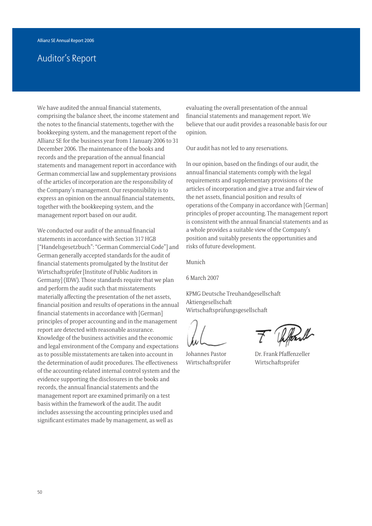# <span id="page-53-0"></span>Auditor's Report

We have audited the annual financial statements, comprising the balance sheet, the income statement and the notes to the financial statements, together with the bookkeeping system, and the management report of the Allianz SE for the business year from 1 January 2006 to 31 December 2006. The maintenance of the books and records and the preparation of the annual financial statements and management report in accordance with German commercial law and supplementary provisions of the articles of incorporation are the responsibility of the Company's management. Our responsibility is to express an opinion on the annual financial statements, together with the bookkeeping system, and the management report based on our audit.

We conducted our audit of the annual financial statements in accordance with Section 317 HGB ["Handelsgesetzbuch": "German Commercial Code"] and German generally accepted standards for the audit of financial statements promulgated by the Institut der Wirtschaftsprüfer [Institute of Public Auditors in Germany] (IDW). Those standards require that we plan and perform the audit such that misstatements materially affecting the presentation of the net assets, financial position and results of operations in the annual financial statements in accordance with [German] principles of proper accounting and in the management report are detected with reasonable assurance. Knowledge of the business activities and the economic and legal environment of the Company and expectations as to possible misstatements are taken into account in the determination of audit procedures. The effectiveness of the accounting-related internal control system and the evidence supporting the disclosures in the books and records, the annual financial statements and the management report are examined primarily on a test basis within the framework of the audit. The audit includes assessing the accounting principles used and significant estimates made by management, as well as

evaluating the overall presentation of the annual financial statements and management report. We believe that our audit provides a reasonable basis for our opinion.

Our audit has not led to any reservations.

In our opinion, based on the findings of our audit, the annual financial statements comply with the legal requirements and supplementary provisions of the articles of incorporation and give a true and fair view of the net assets, financial position and results of operations of the Company in accordance with [German] principles of proper accounting. The management report is consistent with the annual financial statements and as a whole provides a suitable view of the Company's position and suitably presents the opportunities and risks of future development.

Munich

6 March 2007

KPMG Deutsche Treuhandgesellschaft Aktiengesellschaft Wirtschaftsprüfungsgesellschaft

Robert

Johannes Pastor Dr. Frank Pfaffenzeller Wirtschaftsprüfer Wirtschaftsprüfer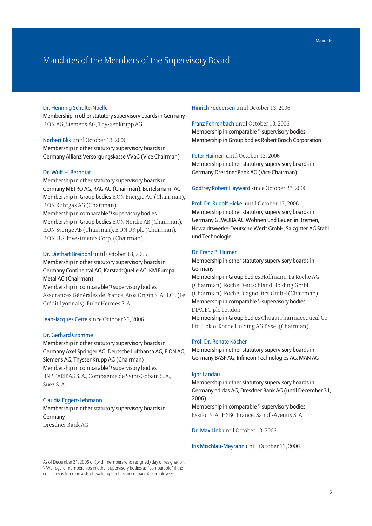# <span id="page-54-0"></span>Mandates of the Members of the Supervisory Board

#### Dr. Henning Schulte-Noelle

Membership in other statutory supervisory boards in Germany E.ON AG, Siemens AG, ThyssenKrupp AG

Norbert Blix until October 13, 2006 Membership in other statutory supervisory boards in Germany Allianz Versorgungskasse VVaG (Vice Chairman)

#### Dr. Wulf H. Bernotat

Membership in other statutory supervisory boards in Germany METRO AG, RAG AG (Chairman), Bertelsmann AG Membership in Group bodies E.ON Energie AG (Chairman), E.ON Ruhrgas AG (Chairman) Membership in comparable \*) supervisory bodies Membership in Group bodies E.ON Nordic AB (Chairman), E.ON Sverige AB (Chairman), E.ON UK plc (Chairman), E.ON U.S. Investments Corp. (Chairman)

Dr. Diethart Breipohl until October 13, 2006 Membership in other statutory supervisory boards in Germany Continental AG, KarstadtQuelle AG, KM Europa Metal AG (Chairman) Membership in comparable \*) supervisory bodies Assurances Générales de France, Atos Origin S. A., LCL (Le Crédit Lyonnais), Euler Hermes S. A.

Jean-Jacques Cette since October 27, 2006

#### Dr. Gerhard Cromme

Membership in other statutory supervisory boards in Germany Axel Springer AG, Deutsche Lufthansa AG, E.ON AG, Siemens AG, ThyssenKrupp AG (Chairman) Membership in comparable \*) supervisory bodies BNP PARIBAS S. A., Compagnie de Saint-Gobain S. A., Suez S. A.

#### Claudia Eggert-Lehmann

Membership in other statutory supervisory boards in Germany Dresdner Bank AG

#### Hinrich Feddersen until October 13, 2006

Franz Fehrenbach until October 13, 2006 Membership in comparable \*) supervisory bodies

Membership in Group bodies Robert Bosch Corporation

Peter Haimerl until October 13, 2006 Membership in other statutory supervisory boards in Germany Dresdner Bank AG (Vice Chairman)

Godfrey Robert Hayward since October 27, 2006

Prof. Dr. Rudolf Hickel until October 13, 2006 Membership in other statutory supervisory boards in Germany GEWOBA AG Wohnen und Bauen in Bremen, Howaldtswerke-Deutsche Werft GmbH, Salzgitter AG Stahl und Technologie

#### Dr. Franz B. Humer

Membership in other statutory supervisory boards in Germany

Membership in Group bodies Hoffmann-La Roche AG (Chairman), Roche Deutschland Holding GmbH (Chairman), Roche Diagnostics GmbH (Chairman) Membership in comparable \*) supervisory bodies DIAGEO plc London

Membership in Group bodies Chugai Pharmaceutical Co. Ltd. Tokio, Roche Holding AG Basel (Chairman)

#### Prof. Dr. Renate Köcher

Membership in other statutory supervisory boards in Germany BASF AG, Infineon Technologies AG, MAN AG

#### Igor Landau

Membership in other statutory supervisory boards in Germany adidas AG, Dresdner Bank AG (until December 31, 2006)

Membership in comparable \*) supervisory bodies Essilor S. A., HSBC France, Sanofi-Aventis S. A.

Dr. Max Link until October 13, 2006

Iris Mischlau-Meyrahn until October 13, 2006

As of December 31, 2006 or (with members who resigned) day of resignation. \*) We regard memberships in other supervisory bodies as "comparable" if the company is listed on a stock exchange or has more than 500 employees.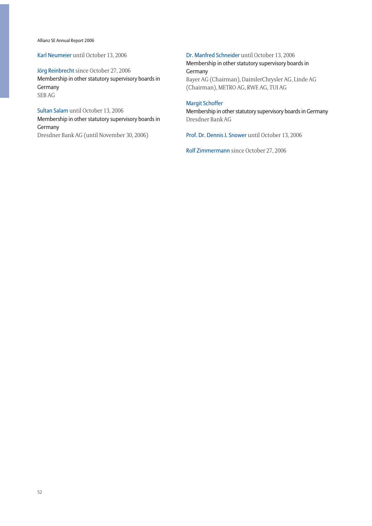Allianz SE Annual Report 2006

Karl Neumeier until October 13, 2006

Jörg Reinbrecht since October 27, 2006 Membership in other statutory supervisory boards in Germany SEB AG

Sultan Salam until October 13, 2006 Membership in other statutory supervisory boards in Germany Dresdner Bank AG (until November 30, 2006)

Dr. Manfred Schneider until October 13, 2006 Membership in other statutory supervisory boards in Germany Bayer AG (Chairman), DaimlerChrysler AG, Linde AG (Chairman), METRO AG, RWE AG, TUI AG

### Margit Schoffer

Membership in other statutory supervisory boards in Germany Dresdner Bank AG

Prof. Dr. Dennis J. Snower until October 13, 2006

Rolf Zimmermann since October 27, 2006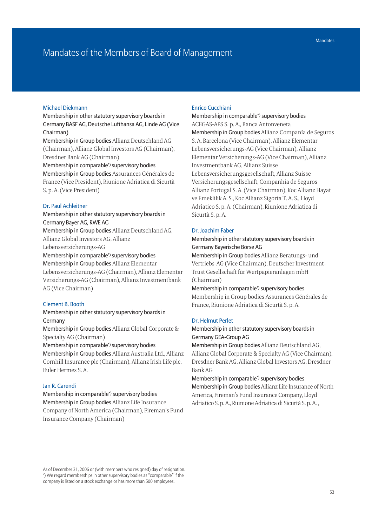# <span id="page-56-0"></span>Mandates of the Members of Board of Management

#### Michael Diekmann

Membership in other statutory supervisory boards in Germany BASF AG, Deutsche Lufthansa AG, Linde AG (Vice Chairman)

Membership in Group bodies Allianz Deutschland AG (Chairman), Allianz Global Investors AG (Chairman), Dresdner Bank AG (Chairman)

Membership in comparable<sup>\*</sup>) supervisory bodies Membership in Group bodies Assurances Générales de France (Vice President), Riunione Adriatica di Sicurtà S. p. A. (Vice President)

#### Dr. Paul Achleitner

Membership in other statutory supervisory boards in Germany Bayer AG, RWE AG

Membership in Group bodies Allianz Deutschland AG, Allianz Global Investors AG, Allianz

Lebensversicherungs-AG

Membership in comparable<sup>\*</sup>) supervisory bodies Membership in Group bodies Allianz Elementar

Lebensversicherungs-AG (Chairman), Allianz Elementar Versicherungs-AG (Chairman), Allianz Investmentbank AG (Vice Chairman)

#### Clement B. Booth

Membership in other statutory supervisory boards in Germany

Membership in Group bodies Allianz Global Corporate & Specialty AG (Chairman)

### Membership in comparable<sup>\*</sup>) supervisory bodies

Membership in Group bodies Allianz Australia Ltd., Allianz Cornhill Insurance plc (Chairman), Allianz Irish Life plc, Euler Hermes S. A.

#### Jan R. Carendi

Membership in comparable\*) supervisory bodies Membership in Group bodies Allianz Life Insurance Company of North America (Chairman), Fireman's Fund Insurance Company (Chairman)

#### Enrico Cucchiani

Membership in comparable\*) supervisory bodies ACEGAS-APS S. p. A., Banca Antonveneta Membership in Group bodies Allianz Companía de Seguros S. A. Barcelona (Vice Chairman), Allianz Elementar Lebensversicherungs-AG (Vice Chairman), Allianz Elementar Versicherungs-AG (Vice Chairman), Allianz Investmentbank AG, Allianz Suisse Lebensversicherungsgesellschaft, Allianz Suisse Versicherungsgesellschaft, Companhia de Seguros Allianz Portugal S. A. (Vice Chairman), Koc Allianz Hayat ve Emeklilik A. S., Koc Allianz Sigorta T. A. S., Lloyd Adriatico S. p. A. (Chairman), Riunione Adriatica di Sicurtà S. p. A.

### Dr. Joachim Faber

### Membership in other statutory supervisory boards in Germany Bayerische Börse AG

Membership in Group bodies Allianz Beratungs- und Vertriebs-AG (Vice Chairman), Deutscher Investment-Trust Gesellschaft für Wertpapieranlagen mbH (Chairman)

Membership in comparable\*) supervisory bodies Membership in Group bodies Assurances Générales de France, Riunione Adriatica di Sicurtà S. p. A.

#### Dr. Helmut Perlet

## Membership in other statutory supervisory boards in Germany GEA-Group AG

Membership in Group bodies Allianz Deutschland AG, Allianz Global Corporate & Specialty AG (Vice Chairman), Dresdner Bank AG, Allianz Global Investors AG, Dresdner Bank AG

Membership in comparable<sup>\*</sup>) supervisory bodies Membership in Group bodies Allianz Life Insurance of North America, Fireman's Fund Insurance Company, Lloyd Adriatico S. p. A., Riunione Adriatica di Sicurtà S. p. A. ,

As of December 31, 2006 or (with members who resigned) day of resignation. \* ) We regard memberships in other supervisory bodies as "comparable" if the company is listed on a stock exchange or has more than 500 employees.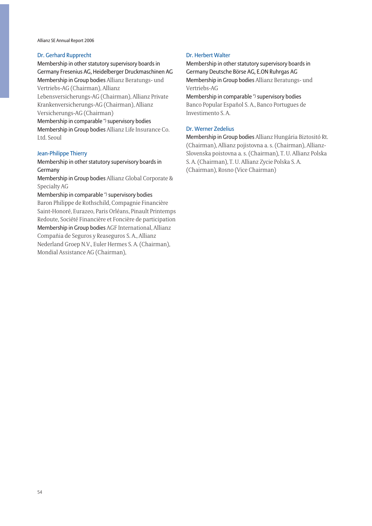### Dr. Gerhard Rupprecht

Membership in other statutory supervisory boards in Germany Fresenius AG, Heidelberger Druckmaschinen AG Membership in Group bodies Allianz Beratungs- und Vertriebs-AG (Chairman), Allianz Lebensversicherungs-AG (Chairman), Allianz Private Krankenversicherungs-AG (Chairman), Allianz Versicherungs-AG (Chairman) Membership in comparable \*) supervisory bodies Membership in Group bodies Allianz Life Insurance Co. Ltd. Seoul

### Jean-Philippe Thierry

## Membership in other statutory supervisory boards in Germany

Membership in Group bodies Allianz Global Corporate & Specialty AG

Membership in comparable \*) supervisory bodies Baron Philippe de Rothschild, Compagnie Financière Saint-Honoré, Eurazeo, Paris Orléans, Pinault Printemps Redoute, Société Financière et Foncière de participation Membership in Group bodies AGF International, Allianz Compañia de Seguros y Reaseguros S. A., Allianz Nederland Groep N.V., Euler Hermes S. A. (Chairman), Mondial Assistance AG (Chairman),

### Dr. Herbert Walter

Membership in other statutory supervisory boards in Germany Deutsche Börse AG, E.ON Ruhrgas AG Membership in Group bodies Allianz Beratungs- und Vertriebs-AG

Membership in comparable \*) supervisory bodies Banco Popular Español S. A., Banco Portugues de Investimento S. A.

## Dr. Werner Zedelius

Membership in Group bodies Allianz Hungária Biztositó Rt. (Chairman), Allianz pojistovna a. s. (Chairman), Allianz-Slovenska poistovna a. s. (Chairman), T. U. Allianz Polska S. A. (Chairman), T. U. Allianz Zycie Polska S. A. (Chairman), Rosno (Vice Chairman)